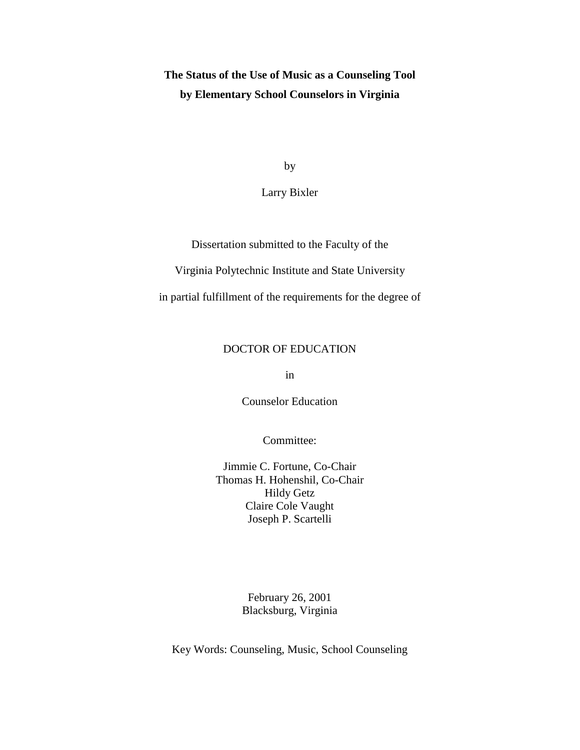**The Status of the Use of Music as a Counseling Tool by Elementary School Counselors in Virginia**

by

Larry Bixler

Dissertation submitted to the Faculty of the

Virginia Polytechnic Institute and State University

in partial fulfillment of the requirements for the degree of

## DOCTOR OF EDUCATION

in

Counselor Education

Committee:

Jimmie C. Fortune, Co-Chair Thomas H. Hohenshil, Co-Chair Hildy Getz Claire Cole Vaught Joseph P. Scartelli

> February 26, 2001 Blacksburg, Virginia

Key Words: Counseling, Music, School Counseling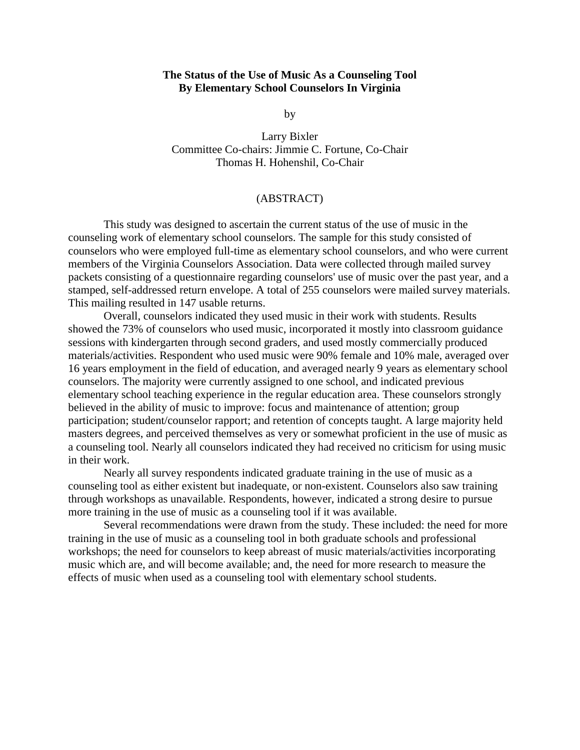## **The Status of the Use of Music As a Counseling Tool By Elementary School Counselors In Virginia**

by

Larry Bixler Committee Co-chairs: Jimmie C. Fortune, Co-Chair Thomas H. Hohenshil, Co-Chair

## (ABSTRACT)

This study was designed to ascertain the current status of the use of music in the counseling work of elementary school counselors. The sample for this study consisted of counselors who were employed full-time as elementary school counselors, and who were current members of the Virginia Counselors Association. Data were collected through mailed survey packets consisting of a questionnaire regarding counselors' use of music over the past year, and a stamped, self-addressed return envelope. A total of 255 counselors were mailed survey materials. This mailing resulted in 147 usable returns.

Overall, counselors indicated they used music in their work with students. Results showed the 73% of counselors who used music, incorporated it mostly into classroom guidance sessions with kindergarten through second graders, and used mostly commercially produced materials/activities. Respondent who used music were 90% female and 10% male, averaged over 16 years employment in the field of education, and averaged nearly 9 years as elementary school counselors. The majority were currently assigned to one school, and indicated previous elementary school teaching experience in the regular education area. These counselors strongly believed in the ability of music to improve: focus and maintenance of attention; group participation; student/counselor rapport; and retention of concepts taught. A large majority held masters degrees, and perceived themselves as very or somewhat proficient in the use of music as a counseling tool. Nearly all counselors indicated they had received no criticism for using music in their work.

Nearly all survey respondents indicated graduate training in the use of music as a counseling tool as either existent but inadequate, or non-existent. Counselors also saw training through workshops as unavailable. Respondents, however, indicated a strong desire to pursue more training in the use of music as a counseling tool if it was available.

Several recommendations were drawn from the study. These included: the need for more training in the use of music as a counseling tool in both graduate schools and professional workshops; the need for counselors to keep abreast of music materials/activities incorporating music which are, and will become available; and, the need for more research to measure the effects of music when used as a counseling tool with elementary school students.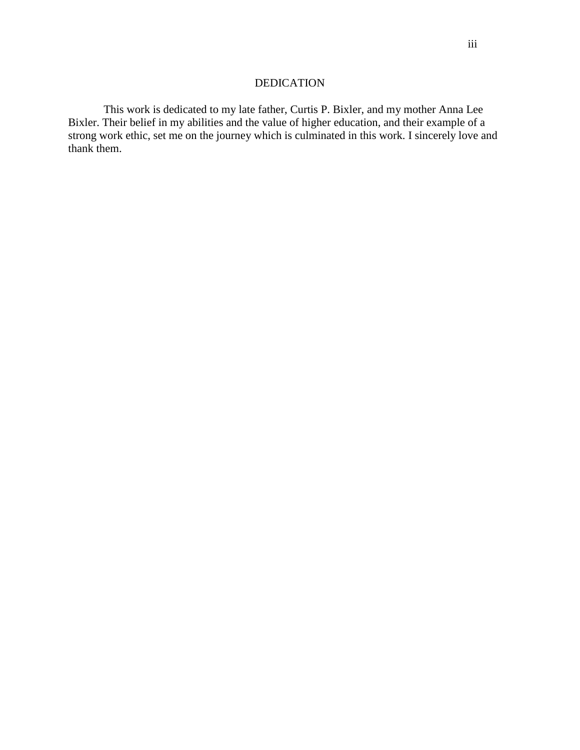## DEDICATION

This work is dedicated to my late father, Curtis P. Bixler, and my mother Anna Lee Bixler. Their belief in my abilities and the value of higher education, and their example of a strong work ethic, set me on the journey which is culminated in this work. I sincerely love and thank them.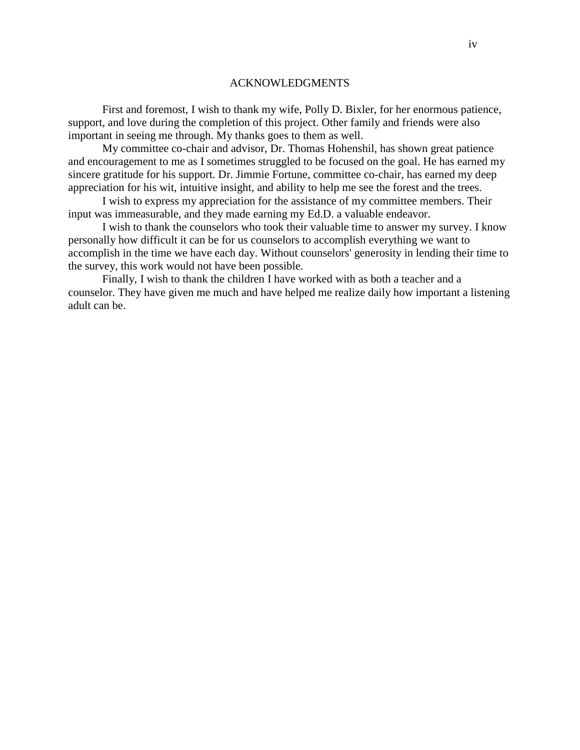#### ACKNOWLEDGMENTS

First and foremost, I wish to thank my wife, Polly D. Bixler, for her enormous patience, support, and love during the completion of this project. Other family and friends were also important in seeing me through. My thanks goes to them as well.

My committee co-chair and advisor, Dr. Thomas Hohenshil, has shown great patience and encouragement to me as I sometimes struggled to be focused on the goal. He has earned my sincere gratitude for his support. Dr. Jimmie Fortune, committee co-chair, has earned my deep appreciation for his wit, intuitive insight, and ability to help me see the forest and the trees.

I wish to express my appreciation for the assistance of my committee members. Their input was immeasurable, and they made earning my Ed.D. a valuable endeavor.

I wish to thank the counselors who took their valuable time to answer my survey. I know personally how difficult it can be for us counselors to accomplish everything we want to accomplish in the time we have each day. Without counselors' generosity in lending their time to the survey, this work would not have been possible.

Finally, I wish to thank the children I have worked with as both a teacher and a counselor. They have given me much and have helped me realize daily how important a listening adult can be.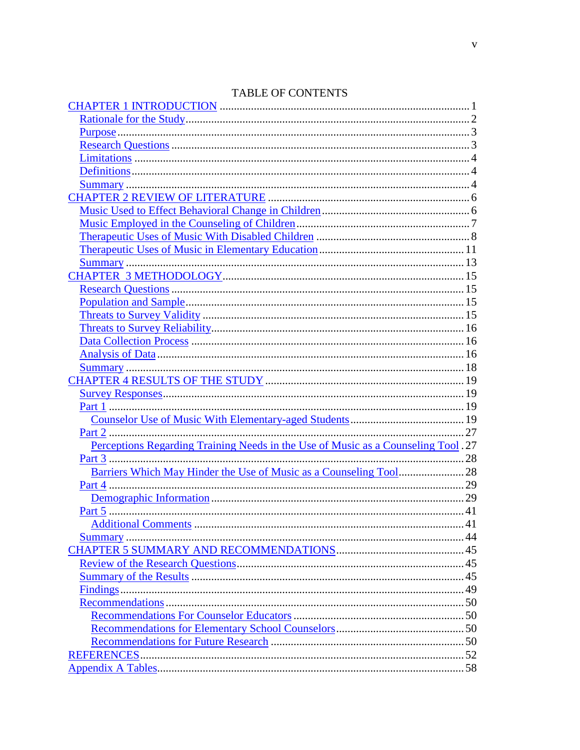<span id="page-4-0"></span>

| Perceptions Regarding Training Needs in the Use of Music as a Counseling Tool. 27 |  |
|-----------------------------------------------------------------------------------|--|
|                                                                                   |  |
|                                                                                   |  |
|                                                                                   |  |
|                                                                                   |  |
|                                                                                   |  |
|                                                                                   |  |
|                                                                                   |  |
|                                                                                   |  |
|                                                                                   |  |
|                                                                                   |  |
|                                                                                   |  |
|                                                                                   |  |
|                                                                                   |  |
|                                                                                   |  |
|                                                                                   |  |
|                                                                                   |  |
|                                                                                   |  |

# TABLE OF CONTENTS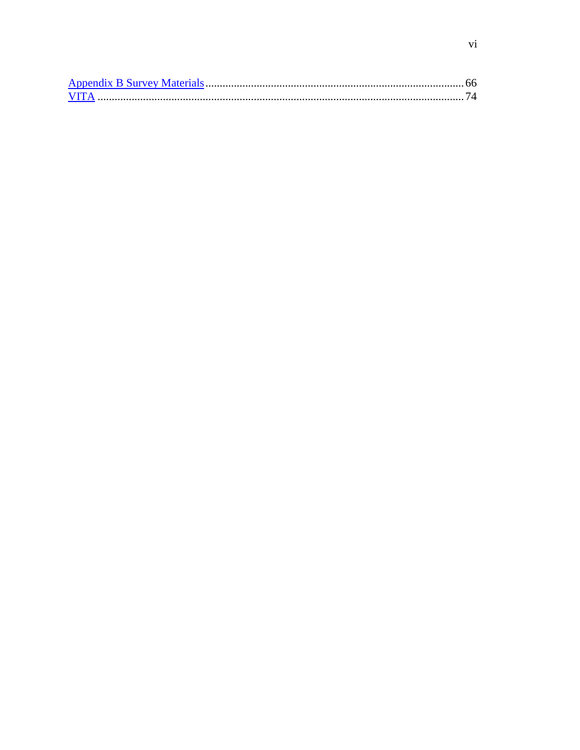| <b>VITA</b> |  |
|-------------|--|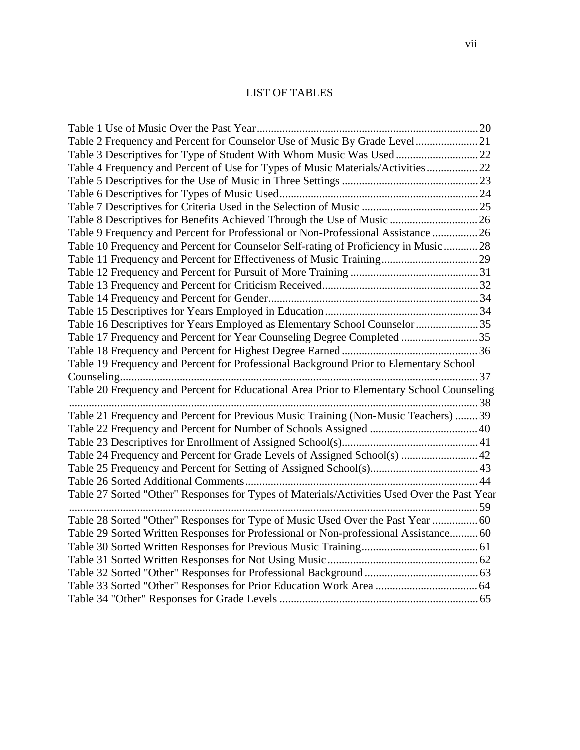# LIST OF TABLES

| Table 2 Frequency and Percent for Counselor Use of Music By Grade Level21                   |  |
|---------------------------------------------------------------------------------------------|--|
|                                                                                             |  |
| Table 4 Frequency and Percent of Use for Types of Music Materials/Activities22              |  |
|                                                                                             |  |
|                                                                                             |  |
|                                                                                             |  |
| Table 8 Descriptives for Benefits Achieved Through the Use of Music  26                     |  |
| Table 9 Frequency and Percent for Professional or Non-Professional Assistance  26           |  |
| Table 10 Frequency and Percent for Counselor Self-rating of Proficiency in Music  28        |  |
|                                                                                             |  |
|                                                                                             |  |
|                                                                                             |  |
|                                                                                             |  |
|                                                                                             |  |
| Table 16 Descriptives for Years Employed as Elementary School Counselor 35                  |  |
| Table 17 Frequency and Percent for Year Counseling Degree Completed 35                      |  |
|                                                                                             |  |
| Table 19 Frequency and Percent for Professional Background Prior to Elementary School       |  |
|                                                                                             |  |
| Table 20 Frequency and Percent for Educational Area Prior to Elementary School Counseling   |  |
|                                                                                             |  |
| Table 21 Frequency and Percent for Previous Music Training (Non-Music Teachers)  39         |  |
|                                                                                             |  |
|                                                                                             |  |
| Table 24 Frequency and Percent for Grade Levels of Assigned School(s)  42                   |  |
|                                                                                             |  |
|                                                                                             |  |
| Table 27 Sorted "Other" Responses for Types of Materials/Activities Used Over the Past Year |  |
|                                                                                             |  |
| Table 28 Sorted "Other" Responses for Type of Music Used Over the Past Year  60             |  |
| Table 29 Sorted Written Responses for Professional or Non-professional Assistance 60        |  |
|                                                                                             |  |
|                                                                                             |  |
|                                                                                             |  |
|                                                                                             |  |
|                                                                                             |  |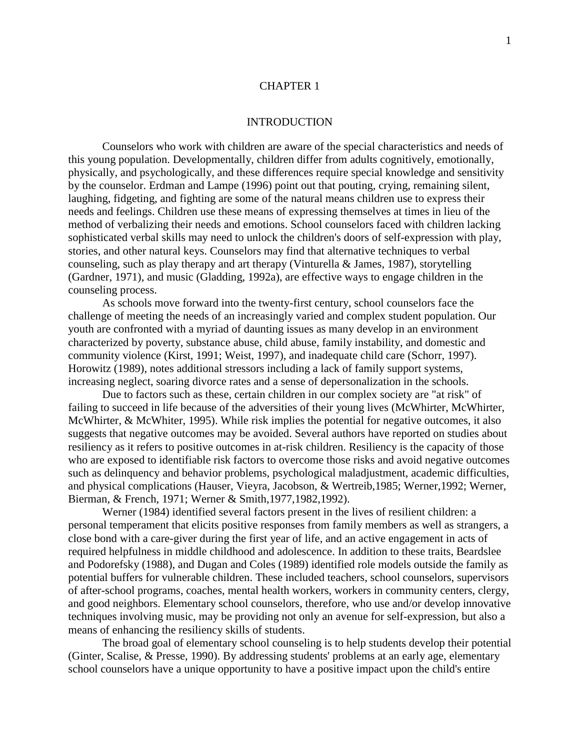### [CHAPTER 1](#page-4-0)

### INTRODUCTION

<span id="page-7-0"></span>Counselors who work with children are aware of the special characteristics and needs of this young population. Developmentally, children differ from adults cognitively, emotionally, physically, and psychologically, and these differences require special knowledge and sensitivity by the counselor. Erdman and Lampe (1996) point out that pouting, crying, remaining silent, laughing, fidgeting, and fighting are some of the natural means children use to express their needs and feelings. Children use these means of expressing themselves at times in lieu of the method of verbalizing their needs and emotions. School counselors faced with children lacking sophisticated verbal skills may need to unlock the children's doors of self-expression with play, stories, and other natural keys. Counselors may find that alternative techniques to verbal counseling, such as play therapy and art therapy (Vinturella & James, 1987), storytelling (Gardner, 1971), and music (Gladding, 1992a), are effective ways to engage children in the counseling process.

As schools move forward into the twenty-first century, school counselors face the challenge of meeting the needs of an increasingly varied and complex student population. Our youth are confronted with a myriad of daunting issues as many develop in an environment characterized by poverty, substance abuse, child abuse, family instability, and domestic and community violence (Kirst, 1991; Weist, 1997), and inadequate child care (Schorr, 1997). Horowitz (1989), notes additional stressors including a lack of family support systems, increasing neglect, soaring divorce rates and a sense of depersonalization in the schools.

Due to factors such as these, certain children in our complex society are "at risk" of failing to succeed in life because of the adversities of their young lives (McWhirter, McWhirter, McWhirter, & McWhiter, 1995). While risk implies the potential for negative outcomes, it also suggests that negative outcomes may be avoided. Several authors have reported on studies about resiliency as it refers to positive outcomes in at-risk children. Resiliency is the capacity of those who are exposed to identifiable risk factors to overcome those risks and avoid negative outcomes such as delinquency and behavior problems, psychological maladjustment, academic difficulties, and physical complications (Hauser, Vieyra, Jacobson, & Wertreib,1985; Werner,1992; Werner, Bierman, & French, 1971; Werner & Smith,1977,1982,1992).

Werner (1984) identified several factors present in the lives of resilient children: a personal temperament that elicits positive responses from family members as well as strangers, a close bond with a care-giver during the first year of life, and an active engagement in acts of required helpfulness in middle childhood and adolescence. In addition to these traits, Beardslee and Podorefsky (1988), and Dugan and Coles (1989) identified role models outside the family as potential buffers for vulnerable children. These included teachers, school counselors, supervisors of after-school programs, coaches, mental health workers, workers in community centers, clergy, and good neighbors. Elementary school counselors, therefore, who use and/or develop innovative techniques involving music, may be providing not only an avenue for self-expression, but also a means of enhancing the resiliency skills of students.

The broad goal of elementary school counseling is to help students develop their potential (Ginter, Scalise, & Presse, 1990). By addressing students' problems at an early age, elementary school counselors have a unique opportunity to have a positive impact upon the child's entire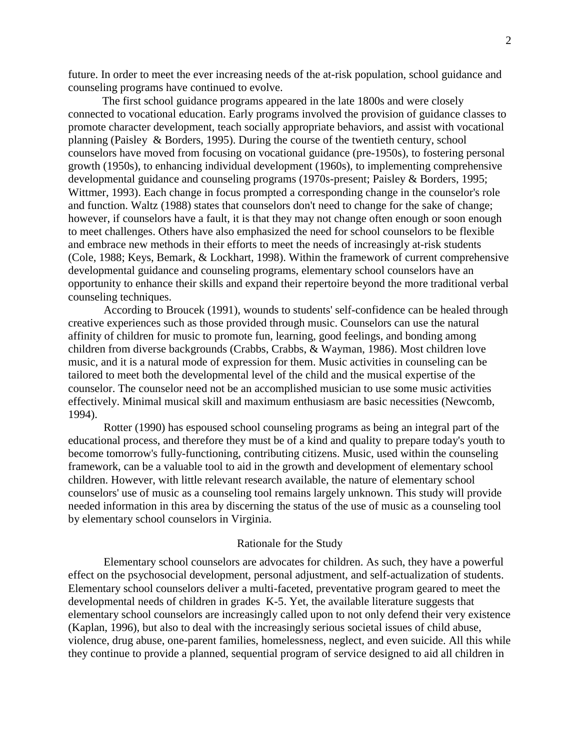future. In order to meet the ever increasing needs of the at-risk population, school guidance and counseling programs have continued to evolve.

The first school guidance programs appeared in the late 1800s and were closely connected to vocational education. Early programs involved the provision of guidance classes to promote character development, teach socially appropriate behaviors, and assist with vocational planning (Paisley & Borders, 1995). During the course of the twentieth century, school counselors have moved from focusing on vocational guidance (pre-1950s), to fostering personal growth (1950s), to enhancing individual development (1960s), to implementing comprehensive developmental guidance and counseling programs (1970s-present; Paisley & Borders, 1995; Wittmer, 1993). Each change in focus prompted a corresponding change in the counselor's role and function. Waltz (1988) states that counselors don't need to change for the sake of change; however, if counselors have a fault, it is that they may not change often enough or soon enough to meet challenges. Others have also emphasized the need for school counselors to be flexible and embrace new methods in their efforts to meet the needs of increasingly at-risk students (Cole, 1988; Keys, Bemark, & Lockhart, 1998). Within the framework of current comprehensive developmental guidance and counseling programs, elementary school counselors have an opportunity to enhance their skills and expand their repertoire beyond the more traditional verbal counseling techniques.

According to Broucek (1991), wounds to students' self-confidence can be healed through creative experiences such as those provided through music. Counselors can use the natural affinity of children for music to promote fun, learning, good feelings, and bonding among children from diverse backgrounds (Crabbs, Crabbs, & Wayman, 1986). Most children love music, and it is a natural mode of expression for them. Music activities in counseling can be tailored to meet both the developmental level of the child and the musical expertise of the counselor. The counselor need not be an accomplished musician to use some music activities effectively. Minimal musical skill and maximum enthusiasm are basic necessities (Newcomb, 1994).

Rotter (1990) has espoused school counseling programs as being an integral part of the educational process, and therefore they must be of a kind and quality to prepare today's youth to become tomorrow's fully-functioning, contributing citizens. Music, used within the counseling framework, can be a valuable tool to aid in the growth and development of elementary school children. However, with little relevant research available, the nature of elementary school counselors' use of music as a counseling tool remains largely unknown. This study will provide needed information in this area by discerning the status of the use of music as a counseling tool by elementary school counselors in Virginia.

#### Rationale for the Study

Elementary school counselors are advocates for children. As such, they have a powerful effect on the psychosocial development, personal adjustment, and self-actualization of students. Elementary school counselors deliver a multi-faceted, preventative program geared to meet the developmental needs of children in grades K-5. Yet, the available literature suggests that elementary school counselors are increasingly called upon to not only defend their very existence (Kaplan, 1996), but also to deal with the increasingly serious societal issues of child abuse, violence, drug abuse, one-parent families, homelessness, neglect, and even suicide. All this while they continue to provide a planned, sequential program of service designed to aid all children in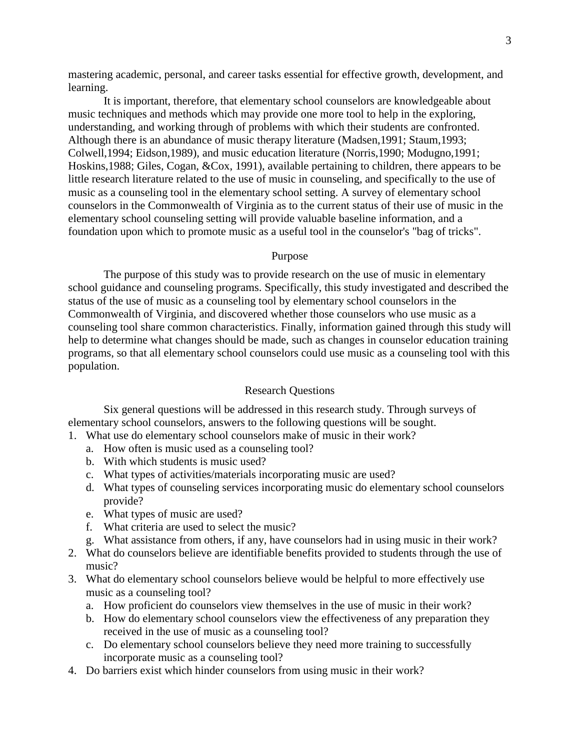mastering academic, personal, and career tasks essential for effective growth, development, and learning.

It is important, therefore, that elementary school counselors are knowledgeable about music techniques and methods which may provide one more tool to help in the exploring, understanding, and working through of problems with which their students are confronted. Although there is an abundance of music therapy literature (Madsen,1991; Staum,1993; Colwell,1994; Eidson,1989), and music education literature (Norris,1990; Modugno,1991; Hoskins,1988; Giles, Cogan, &Cox, 1991), available pertaining to children, there appears to be little research literature related to the use of music in counseling, and specifically to the use of music as a counseling tool in the elementary school setting. A survey of elementary school counselors in the Commonwealth of Virginia as to the current status of their use of music in the elementary school counseling setting will provide valuable baseline information, and a foundation upon which to promote music as a useful tool in the counselor's "bag of tricks".

#### Purpose

The purpose of this study was to provide research on the use of music in elementary school guidance and counseling programs. Specifically, this study investigated and described the status of the use of music as a counseling tool by elementary school counselors in the Commonwealth of Virginia, and discovered whether those counselors who use music as a counseling tool share common characteristics. Finally, information gained through this study will help to determine what changes should be made, such as changes in counselor education training programs, so that all elementary school counselors could use music as a counseling tool with this population.

#### Research Questions

Six general questions will be addressed in this research study. Through surveys of elementary school counselors, answers to the following questions will be sought.

- 1. What use do elementary school counselors make of music in their work?
	- a. How often is music used as a counseling tool?
	- b. With which students is music used?
	- c. What types of activities/materials incorporating music are used?
	- d. What types of counseling services incorporating music do elementary school counselors provide?
	- e. What types of music are used?
	- f. What criteria are used to select the music?
	- g. What assistance from others, if any, have counselors had in using music in their work?
- 2. What do counselors believe are identifiable benefits provided to students through the use of music?
- 3. What do elementary school counselors believe would be helpful to more effectively use music as a counseling tool?
	- a. How proficient do counselors view themselves in the use of music in their work?
	- b. How do elementary school counselors view the effectiveness of any preparation they received in the use of music as a counseling tool?
	- c. Do elementary school counselors believe they need more training to successfully incorporate music as a counseling tool?
- 4. Do barriers exist which hinder counselors from using music in their work?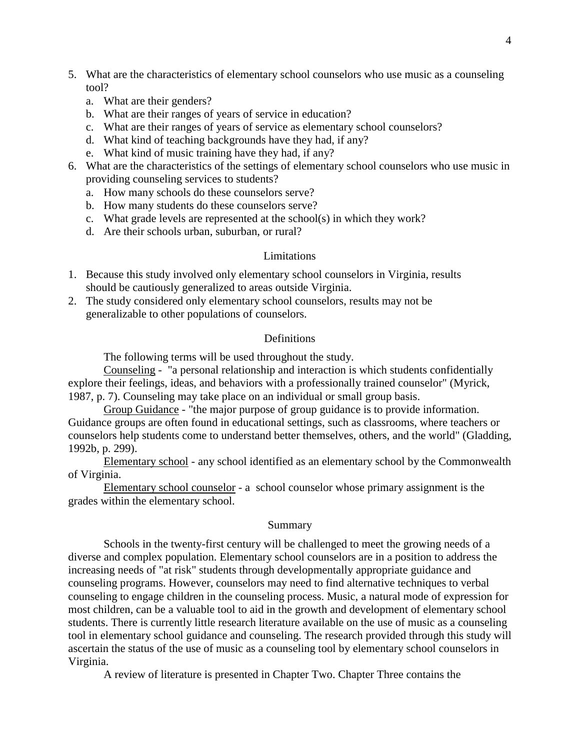- 5. What are the characteristics of elementary school counselors who use music as a counseling tool?
	- a. What are their genders?
	- b. What are their ranges of years of service in education?
	- c. What are their ranges of years of service as elementary school counselors?
	- d. What kind of teaching backgrounds have they had, if any?
	- e. What kind of music training have they had, if any?
- 6. What are the characteristics of the settings of elementary school counselors who use music in providing counseling services to students?
	- a. How many schools do these counselors serve?
	- b. How many students do these counselors serve?
	- c. What grade levels are represented at the school(s) in which they work?
	- d. Are their schools urban, suburban, or rural?

### Limitations

- 1. Because this study involved only elementary school counselors in Virginia, results should be cautiously generalized to areas outside Virginia.
- 2. The study considered only elementary school counselors, results may not be generalizable to other populations of counselors.

### Definitions

The following terms will be used throughout the study.

Counseling - "a personal relationship and interaction is which students confidentially explore their feelings, ideas, and behaviors with a professionally trained counselor" (Myrick, 1987, p. 7). Counseling may take place on an individual or small group basis.

Group Guidance - "the major purpose of group guidance is to provide information. Guidance groups are often found in educational settings, such as classrooms, where teachers or counselors help students come to understand better themselves, others, and the world" (Gladding, 1992b, p. 299).

Elementary school - any school identified as an elementary school by the Commonwealth of Virginia.

Elementary school counselor - a school counselor whose primary assignment is the grades within the elementary school.

### Summary

Schools in the twenty-first century will be challenged to meet the growing needs of a diverse and complex population. Elementary school counselors are in a position to address the increasing needs of "at risk" students through developmentally appropriate guidance and counseling programs. However, counselors may need to find alternative techniques to verbal counseling to engage children in the counseling process. Music, a natural mode of expression for most children, can be a valuable tool to aid in the growth and development of elementary school students. There is currently little research literature available on the use of music as a counseling tool in elementary school guidance and counseling. The research provided through this study will ascertain the status of the use of music as a counseling tool by elementary school counselors in Virginia.

A review of literature is presented in Chapter Two. Chapter Three contains the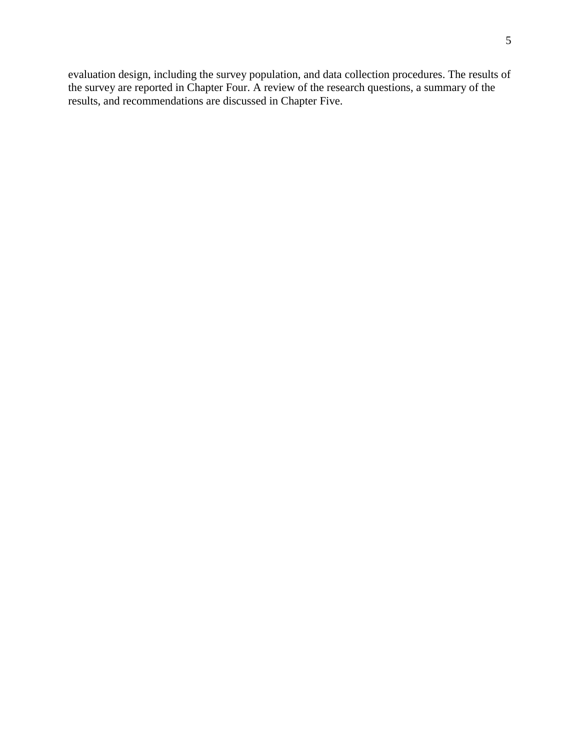evaluation design, including the survey population, and data collection procedures. The results of the survey are reported in Chapter Four. A review of the research questions, a summary of the results, and recommendations are discussed in Chapter Five.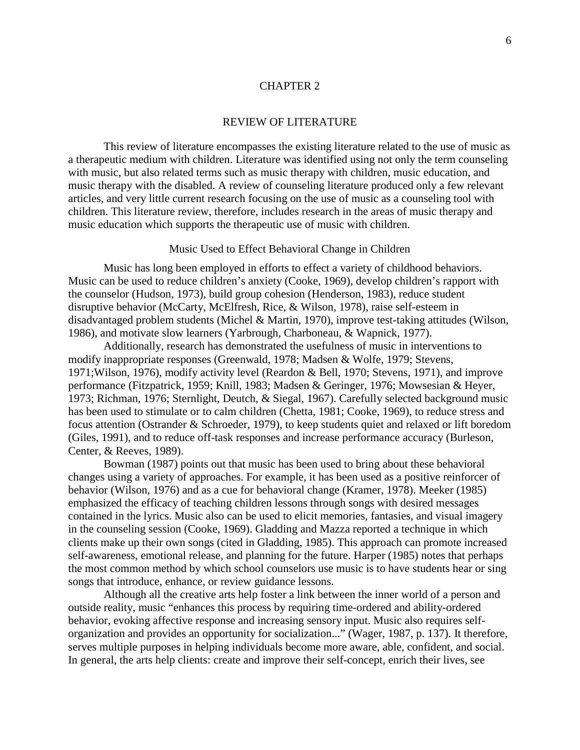### [CHAPTER 2](#page-4-0)

#### REVIEW OF LITERATURE

<span id="page-12-0"></span>This review of literature encompasses the existing literature related to the use of music as a therapeutic medium with children. Literature was identified using not only the term counseling with music, but also related terms such as music therapy with children, music education, and music therapy with the disabled. A review of counseling literature produced only a few relevant articles, and very little current research focusing on the use of music as a counseling tool with children. This literature review, therefore, includes research in the areas of music therapy and music education which supports the therapeutic use of music with children.

#### Music Used to Effect Behavioral Change in Children

Music has long been employed in efforts to effect a variety of childhood behaviors. Music can be used to reduce children's anxiety (Cooke, 1969), develop children's rapport with the counselor (Hudson, 1973), build group cohesion (Henderson, 1983), reduce student disruptive behavior (McCarty, McElfresh, Rice, & Wilson, 1978), raise self-esteem in disadvantaged problem students (Michel & Martin, 1970), improve test-taking attitudes (Wilson, 1986), and motivate slow learners (Yarbrough, Charboneau, & Wapnick, 1977).

Additionally, research has demonstrated the usefulness of music in interventions to modify inappropriate responses (Greenwald, 1978; Madsen & Wolfe, 1979; Stevens, 1971;Wilson, 1976), modify activity level (Reardon & Bell, 1970; Stevens, 1971), and improve performance (Fitzpatrick, 1959; Knill, 1983; Madsen & Geringer, 1976; Mowsesian & Heyer, 1973; Richman, 1976; Sternlight, Deutch, & Siegal, 1967). Carefully selected background music has been used to stimulate or to calm children (Chetta, 1981; Cooke, 1969), to reduce stress and focus attention (Ostrander & Schroeder, 1979), to keep students quiet and relaxed or lift boredom (Giles, 1991), and to reduce off-task responses and increase performance accuracy (Burleson, Center, & Reeves, 1989).

Bowman (1987) points out that music has been used to bring about these behavioral changes using a variety of approaches. For example, it has been used as a positive reinforcer of behavior (Wilson, 1976) and as a cue for behavioral change (Kramer, 1978). Meeker (1985) emphasized the efficacy of teaching children lessons through songs with desired messages contained in the lyrics. Music also can be used to elicit memories, fantasies, and visual imagery in the counseling session (Cooke, 1969). Gladding and Mazza reported a technique in which clients make up their own songs (cited in Gladding, 1985). This approach can promote increased self-awareness, emotional release, and planning for the future. Harper (1985) notes that perhaps the most common method by which school counselors use music is to have students hear or sing songs that introduce, enhance, or review guidance lessons.

Although all the creative arts help foster a link between the inner world of a person and outside reality, music "enhances this process by requiring time-ordered and ability-ordered behavior, evoking affective response and increasing sensory input. Music also requires selforganization and provides an opportunity for socialization..." (Wager, 1987, p. 137). It therefore, serves multiple purposes in helping individuals become more aware, able, confident, and social. In general, the arts help clients: create and improve their self-concept, enrich their lives, see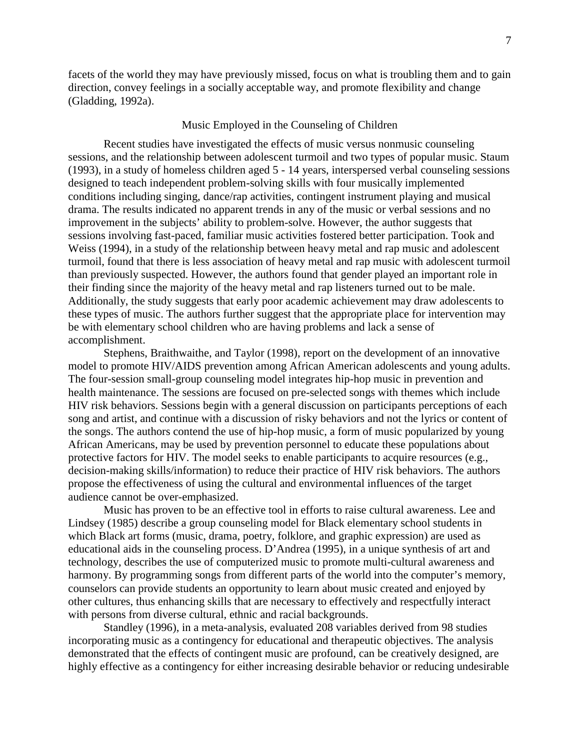facets of the world they may have previously missed, focus on what is troubling them and to gain direction, convey feelings in a socially acceptable way, and promote flexibility and change (Gladding, 1992a).

## Music Employed in the Counseling of Children

Recent studies have investigated the effects of music versus nonmusic counseling sessions, and the relationship between adolescent turmoil and two types of popular music. Staum (1993), in a study of homeless children aged 5 - 14 years, interspersed verbal counseling sessions designed to teach independent problem-solving skills with four musically implemented conditions including singing, dance/rap activities, contingent instrument playing and musical drama. The results indicated no apparent trends in any of the music or verbal sessions and no improvement in the subjects' ability to problem-solve. However, the author suggests that sessions involving fast-paced, familiar music activities fostered better participation. Took and Weiss (1994), in a study of the relationship between heavy metal and rap music and adolescent turmoil, found that there is less association of heavy metal and rap music with adolescent turmoil than previously suspected. However, the authors found that gender played an important role in their finding since the majority of the heavy metal and rap listeners turned out to be male. Additionally, the study suggests that early poor academic achievement may draw adolescents to these types of music. The authors further suggest that the appropriate place for intervention may be with elementary school children who are having problems and lack a sense of accomplishment.

Stephens, Braithwaithe, and Taylor (1998), report on the development of an innovative model to promote HIV/AIDS prevention among African American adolescents and young adults. The four-session small-group counseling model integrates hip-hop music in prevention and health maintenance. The sessions are focused on pre-selected songs with themes which include HIV risk behaviors. Sessions begin with a general discussion on participants perceptions of each song and artist, and continue with a discussion of risky behaviors and not the lyrics or content of the songs. The authors contend the use of hip-hop music, a form of music popularized by young African Americans, may be used by prevention personnel to educate these populations about protective factors for HIV. The model seeks to enable participants to acquire resources (e.g., decision-making skills/information) to reduce their practice of HIV risk behaviors. The authors propose the effectiveness of using the cultural and environmental influences of the target audience cannot be over-emphasized.

Music has proven to be an effective tool in efforts to raise cultural awareness. Lee and Lindsey (1985) describe a group counseling model for Black elementary school students in which Black art forms (music, drama, poetry, folklore, and graphic expression) are used as educational aids in the counseling process. D'Andrea (1995), in a unique synthesis of art and technology, describes the use of computerized music to promote multi-cultural awareness and harmony. By programming songs from different parts of the world into the computer's memory, counselors can provide students an opportunity to learn about music created and enjoyed by other cultures, thus enhancing skills that are necessary to effectively and respectfully interact with persons from diverse cultural, ethnic and racial backgrounds.

Standley (1996), in a meta-analysis, evaluated 208 variables derived from 98 studies incorporating music as a contingency for educational and therapeutic objectives. The analysis demonstrated that the effects of contingent music are profound, can be creatively designed, are highly effective as a contingency for either increasing desirable behavior or reducing undesirable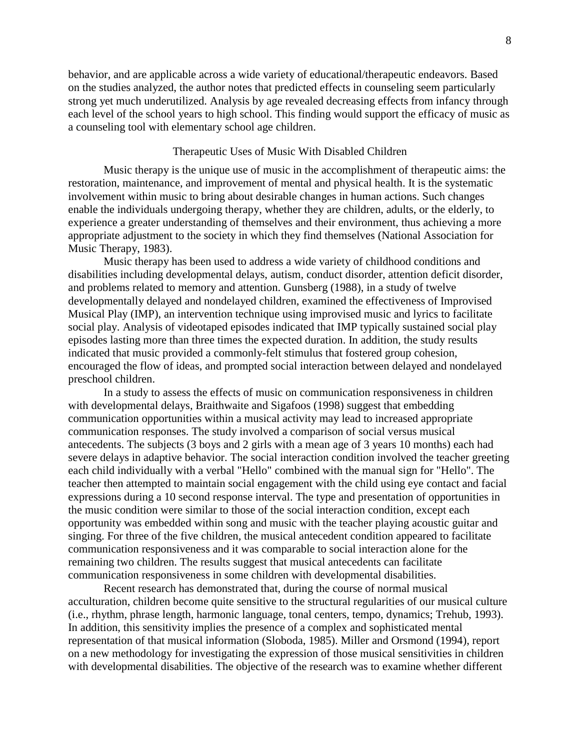behavior, and are applicable across a wide variety of educational/therapeutic endeavors. Based on the studies analyzed, the author notes that predicted effects in counseling seem particularly strong yet much underutilized. Analysis by age revealed decreasing effects from infancy through each level of the school years to high school. This finding would support the efficacy of music as a counseling tool with elementary school age children.

## Therapeutic Uses of Music With Disabled Children

Music therapy is the unique use of music in the accomplishment of therapeutic aims: the restoration, maintenance, and improvement of mental and physical health. It is the systematic involvement within music to bring about desirable changes in human actions. Such changes enable the individuals undergoing therapy, whether they are children, adults, or the elderly, to experience a greater understanding of themselves and their environment, thus achieving a more appropriate adjustment to the society in which they find themselves (National Association for Music Therapy, 1983).

Music therapy has been used to address a wide variety of childhood conditions and disabilities including developmental delays, autism, conduct disorder, attention deficit disorder, and problems related to memory and attention. Gunsberg (1988), in a study of twelve developmentally delayed and nondelayed children, examined the effectiveness of Improvised Musical Play (IMP), an intervention technique using improvised music and lyrics to facilitate social play. Analysis of videotaped episodes indicated that IMP typically sustained social play episodes lasting more than three times the expected duration. In addition, the study results indicated that music provided a commonly-felt stimulus that fostered group cohesion, encouraged the flow of ideas, and prompted social interaction between delayed and nondelayed preschool children.

In a study to assess the effects of music on communication responsiveness in children with developmental delays, Braithwaite and Sigafoos (1998) suggest that embedding communication opportunities within a musical activity may lead to increased appropriate communication responses. The study involved a comparison of social versus musical antecedents. The subjects (3 boys and 2 girls with a mean age of 3 years 10 months) each had severe delays in adaptive behavior. The social interaction condition involved the teacher greeting each child individually with a verbal "Hello" combined with the manual sign for "Hello". The teacher then attempted to maintain social engagement with the child using eye contact and facial expressions during a 10 second response interval. The type and presentation of opportunities in the music condition were similar to those of the social interaction condition, except each opportunity was embedded within song and music with the teacher playing acoustic guitar and singing. For three of the five children, the musical antecedent condition appeared to facilitate communication responsiveness and it was comparable to social interaction alone for the remaining two children. The results suggest that musical antecedents can facilitate communication responsiveness in some children with developmental disabilities.

Recent research has demonstrated that, during the course of normal musical acculturation, children become quite sensitive to the structural regularities of our musical culture (i.e., rhythm, phrase length, harmonic language, tonal centers, tempo, dynamics; Trehub, 1993). In addition, this sensitivity implies the presence of a complex and sophisticated mental representation of that musical information (Sloboda, 1985). Miller and Orsmond (1994), report on a new methodology for investigating the expression of those musical sensitivities in children with developmental disabilities. The objective of the research was to examine whether different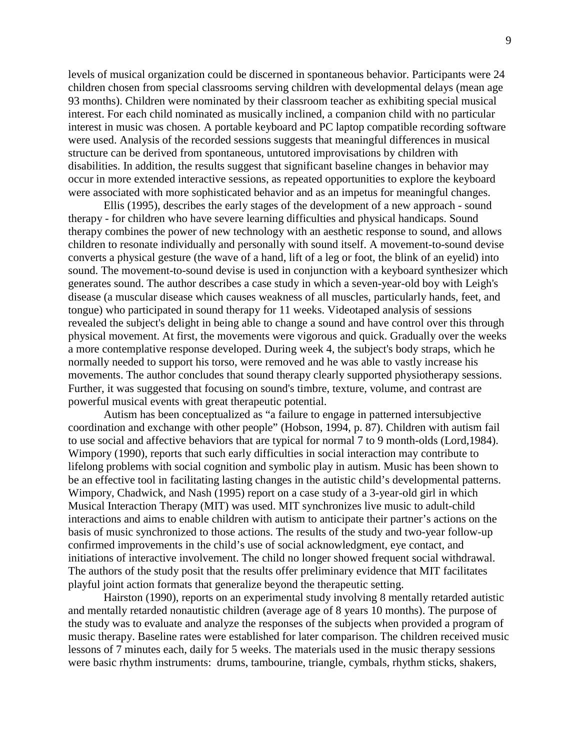levels of musical organization could be discerned in spontaneous behavior. Participants were 24 children chosen from special classrooms serving children with developmental delays (mean age 93 months). Children were nominated by their classroom teacher as exhibiting special musical interest. For each child nominated as musically inclined, a companion child with no particular interest in music was chosen. A portable keyboard and PC laptop compatible recording software were used. Analysis of the recorded sessions suggests that meaningful differences in musical structure can be derived from spontaneous, untutored improvisations by children with disabilities. In addition, the results suggest that significant baseline changes in behavior may occur in more extended interactive sessions, as repeated opportunities to explore the keyboard were associated with more sophisticated behavior and as an impetus for meaningful changes.

Ellis (1995), describes the early stages of the development of a new approach - sound therapy - for children who have severe learning difficulties and physical handicaps. Sound therapy combines the power of new technology with an aesthetic response to sound, and allows children to resonate individually and personally with sound itself. A movement-to-sound devise converts a physical gesture (the wave of a hand, lift of a leg or foot, the blink of an eyelid) into sound. The movement-to-sound devise is used in conjunction with a keyboard synthesizer which generates sound. The author describes a case study in which a seven-year-old boy with Leigh's disease (a muscular disease which causes weakness of all muscles, particularly hands, feet, and tongue) who participated in sound therapy for 11 weeks. Videotaped analysis of sessions revealed the subject's delight in being able to change a sound and have control over this through physical movement. At first, the movements were vigorous and quick. Gradually over the weeks a more contemplative response developed. During week 4, the subject's body straps, which he normally needed to support his torso, were removed and he was able to vastly increase his movements. The author concludes that sound therapy clearly supported physiotherapy sessions. Further, it was suggested that focusing on sound's timbre, texture, volume, and contrast are powerful musical events with great therapeutic potential.

Autism has been conceptualized as "a failure to engage in patterned intersubjective coordination and exchange with other people" (Hobson, 1994, p. 87). Children with autism fail to use social and affective behaviors that are typical for normal 7 to 9 month-olds (Lord,1984). Wimpory (1990), reports that such early difficulties in social interaction may contribute to lifelong problems with social cognition and symbolic play in autism. Music has been shown to be an effective tool in facilitating lasting changes in the autistic child's developmental patterns. Wimpory, Chadwick, and Nash (1995) report on a case study of a 3-year-old girl in which Musical Interaction Therapy (MIT) was used. MIT synchronizes live music to adult-child interactions and aims to enable children with autism to anticipate their partner's actions on the basis of music synchronized to those actions. The results of the study and two-year follow-up confirmed improvements in the child's use of social acknowledgment, eye contact, and initiations of interactive involvement. The child no longer showed frequent social withdrawal. The authors of the study posit that the results offer preliminary evidence that MIT facilitates playful joint action formats that generalize beyond the therapeutic setting.

Hairston (1990), reports on an experimental study involving 8 mentally retarded autistic and mentally retarded nonautistic children (average age of 8 years 10 months). The purpose of the study was to evaluate and analyze the responses of the subjects when provided a program of music therapy. Baseline rates were established for later comparison. The children received music lessons of 7 minutes each, daily for 5 weeks. The materials used in the music therapy sessions were basic rhythm instruments: drums, tambourine, triangle, cymbals, rhythm sticks, shakers,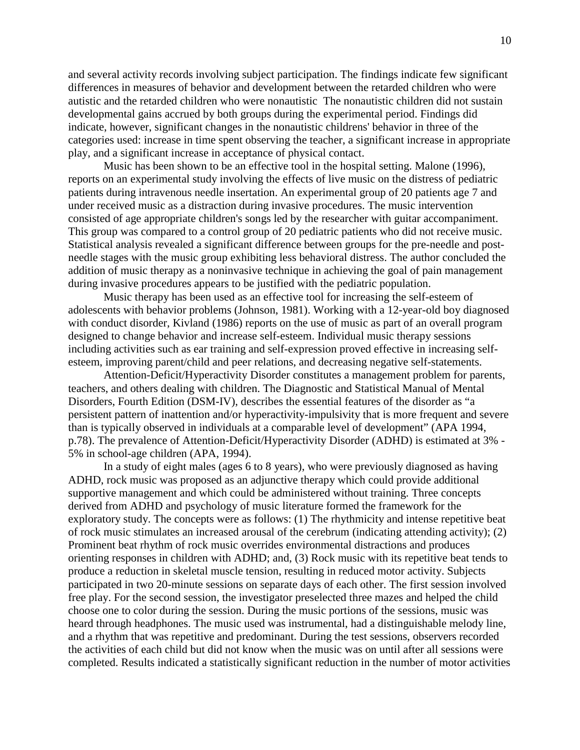and several activity records involving subject participation. The findings indicate few significant differences in measures of behavior and development between the retarded children who were autistic and the retarded children who were nonautistic The nonautistic children did not sustain developmental gains accrued by both groups during the experimental period. Findings did indicate, however, significant changes in the nonautistic childrens' behavior in three of the categories used: increase in time spent observing the teacher, a significant increase in appropriate play, and a significant increase in acceptance of physical contact.

Music has been shown to be an effective tool in the hospital setting. Malone (1996), reports on an experimental study involving the effects of live music on the distress of pediatric patients during intravenous needle insertation. An experimental group of 20 patients age 7 and under received music as a distraction during invasive procedures. The music intervention consisted of age appropriate children's songs led by the researcher with guitar accompaniment. This group was compared to a control group of 20 pediatric patients who did not receive music. Statistical analysis revealed a significant difference between groups for the pre-needle and postneedle stages with the music group exhibiting less behavioral distress. The author concluded the addition of music therapy as a noninvasive technique in achieving the goal of pain management during invasive procedures appears to be justified with the pediatric population.

Music therapy has been used as an effective tool for increasing the self-esteem of adolescents with behavior problems (Johnson, 1981). Working with a 12-year-old boy diagnosed with conduct disorder, Kivland (1986) reports on the use of music as part of an overall program designed to change behavior and increase self-esteem. Individual music therapy sessions including activities such as ear training and self-expression proved effective in increasing selfesteem, improving parent/child and peer relations, and decreasing negative self-statements.

Attention-Deficit/Hyperactivity Disorder constitutes a management problem for parents, teachers, and others dealing with children. The Diagnostic and Statistical Manual of Mental Disorders, Fourth Edition (DSM-IV), describes the essential features of the disorder as "a persistent pattern of inattention and/or hyperactivity-impulsivity that is more frequent and severe than is typically observed in individuals at a comparable level of development" (APA 1994, p.78). The prevalence of Attention-Deficit/Hyperactivity Disorder (ADHD) is estimated at 3% - 5% in school-age children (APA, 1994).

In a study of eight males (ages 6 to 8 years), who were previously diagnosed as having ADHD, rock music was proposed as an adjunctive therapy which could provide additional supportive management and which could be administered without training. Three concepts derived from ADHD and psychology of music literature formed the framework for the exploratory study. The concepts were as follows: (1) The rhythmicity and intense repetitive beat of rock music stimulates an increased arousal of the cerebrum (indicating attending activity); (2) Prominent beat rhythm of rock music overrides environmental distractions and produces orienting responses in children with ADHD; and, (3) Rock music with its repetitive beat tends to produce a reduction in skeletal muscle tension, resulting in reduced motor activity. Subjects participated in two 20-minute sessions on separate days of each other. The first session involved free play. For the second session, the investigator preselected three mazes and helped the child choose one to color during the session. During the music portions of the sessions, music was heard through headphones. The music used was instrumental, had a distinguishable melody line, and a rhythm that was repetitive and predominant. During the test sessions, observers recorded the activities of each child but did not know when the music was on until after all sessions were completed. Results indicated a statistically significant reduction in the number of motor activities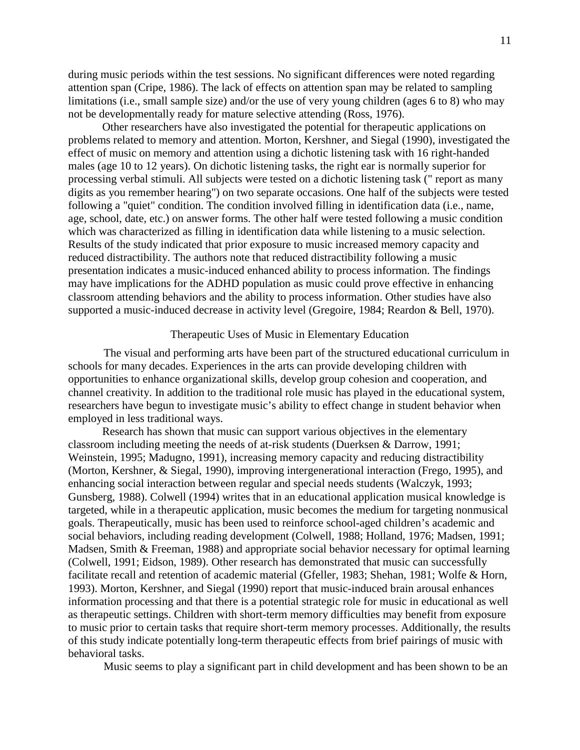during music periods within the test sessions. No significant differences were noted regarding attention span (Cripe, 1986). The lack of effects on attention span may be related to sampling limitations (i.e., small sample size) and/or the use of very young children (ages 6 to 8) who may not be developmentally ready for mature selective attending (Ross, 1976).

Other researchers have also investigated the potential for therapeutic applications on problems related to memory and attention. Morton, Kershner, and Siegal (1990), investigated the effect of music on memory and attention using a dichotic listening task with 16 right-handed males (age 10 to 12 years). On dichotic listening tasks, the right ear is normally superior for processing verbal stimuli. All subjects were tested on a dichotic listening task (" report as many digits as you remember hearing") on two separate occasions. One half of the subjects were tested following a "quiet" condition. The condition involved filling in identification data (i.e., name, age, school, date, etc.) on answer forms. The other half were tested following a music condition which was characterized as filling in identification data while listening to a music selection. Results of the study indicated that prior exposure to music increased memory capacity and reduced distractibility. The authors note that reduced distractibility following a music presentation indicates a music-induced enhanced ability to process information. The findings may have implications for the ADHD population as music could prove effective in enhancing classroom attending behaviors and the ability to process information. Other studies have also supported a music-induced decrease in activity level (Gregoire, 1984; Reardon & Bell, 1970).

## Therapeutic Uses of Music in Elementary Education

The visual and performing arts have been part of the structured educational curriculum in schools for many decades. Experiences in the arts can provide developing children with opportunities to enhance organizational skills, develop group cohesion and cooperation, and channel creativity. In addition to the traditional role music has played in the educational system, researchers have begun to investigate music's ability to effect change in student behavior when employed in less traditional ways.

Research has shown that music can support various objectives in the elementary classroom including meeting the needs of at-risk students (Duerksen & Darrow, 1991; Weinstein, 1995; Madugno, 1991), increasing memory capacity and reducing distractibility (Morton, Kershner, & Siegal, 1990), improving intergenerational interaction (Frego, 1995), and enhancing social interaction between regular and special needs students (Walczyk, 1993; Gunsberg, 1988). Colwell (1994) writes that in an educational application musical knowledge is targeted, while in a therapeutic application, music becomes the medium for targeting nonmusical goals. Therapeutically, music has been used to reinforce school-aged children's academic and social behaviors, including reading development (Colwell, 1988; Holland, 1976; Madsen, 1991; Madsen, Smith & Freeman, 1988) and appropriate social behavior necessary for optimal learning (Colwell, 1991; Eidson, 1989). Other research has demonstrated that music can successfully facilitate recall and retention of academic material (Gfeller, 1983; Shehan, 1981; Wolfe & Horn, 1993). Morton, Kershner, and Siegal (1990) report that music-induced brain arousal enhances information processing and that there is a potential strategic role for music in educational as well as therapeutic settings. Children with short-term memory difficulties may benefit from exposure to music prior to certain tasks that require short-term memory processes. Additionally, the results of this study indicate potentially long-term therapeutic effects from brief pairings of music with behavioral tasks.

Music seems to play a significant part in child development and has been shown to be an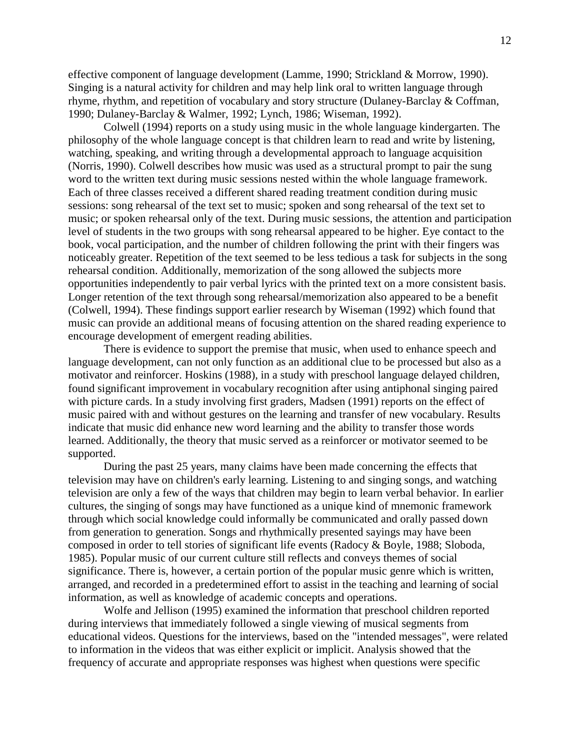effective component of language development (Lamme, 1990; Strickland & Morrow, 1990). Singing is a natural activity for children and may help link oral to written language through rhyme, rhythm, and repetition of vocabulary and story structure (Dulaney-Barclay & Coffman, 1990; Dulaney-Barclay & Walmer, 1992; Lynch, 1986; Wiseman, 1992).

Colwell (1994) reports on a study using music in the whole language kindergarten. The philosophy of the whole language concept is that children learn to read and write by listening, watching, speaking, and writing through a developmental approach to language acquisition (Norris, 1990). Colwell describes how music was used as a structural prompt to pair the sung word to the written text during music sessions nested within the whole language framework. Each of three classes received a different shared reading treatment condition during music sessions: song rehearsal of the text set to music; spoken and song rehearsal of the text set to music; or spoken rehearsal only of the text. During music sessions, the attention and participation level of students in the two groups with song rehearsal appeared to be higher. Eye contact to the book, vocal participation, and the number of children following the print with their fingers was noticeably greater. Repetition of the text seemed to be less tedious a task for subjects in the song rehearsal condition. Additionally, memorization of the song allowed the subjects more opportunities independently to pair verbal lyrics with the printed text on a more consistent basis. Longer retention of the text through song rehearsal/memorization also appeared to be a benefit (Colwell, 1994). These findings support earlier research by Wiseman (1992) which found that music can provide an additional means of focusing attention on the shared reading experience to encourage development of emergent reading abilities.

There is evidence to support the premise that music, when used to enhance speech and language development, can not only function as an additional clue to be processed but also as a motivator and reinforcer. Hoskins (1988), in a study with preschool language delayed children, found significant improvement in vocabulary recognition after using antiphonal singing paired with picture cards. In a study involving first graders, Madsen (1991) reports on the effect of music paired with and without gestures on the learning and transfer of new vocabulary. Results indicate that music did enhance new word learning and the ability to transfer those words learned. Additionally, the theory that music served as a reinforcer or motivator seemed to be supported.

During the past 25 years, many claims have been made concerning the effects that television may have on children's early learning. Listening to and singing songs, and watching television are only a few of the ways that children may begin to learn verbal behavior. In earlier cultures, the singing of songs may have functioned as a unique kind of mnemonic framework through which social knowledge could informally be communicated and orally passed down from generation to generation. Songs and rhythmically presented sayings may have been composed in order to tell stories of significant life events (Radocy & Boyle, 1988; Sloboda, 1985). Popular music of our current culture still reflects and conveys themes of social significance. There is, however, a certain portion of the popular music genre which is written, arranged, and recorded in a predetermined effort to assist in the teaching and learning of social information, as well as knowledge of academic concepts and operations.

Wolfe and Jellison (1995) examined the information that preschool children reported during interviews that immediately followed a single viewing of musical segments from educational videos. Questions for the interviews, based on the "intended messages", were related to information in the videos that was either explicit or implicit. Analysis showed that the frequency of accurate and appropriate responses was highest when questions were specific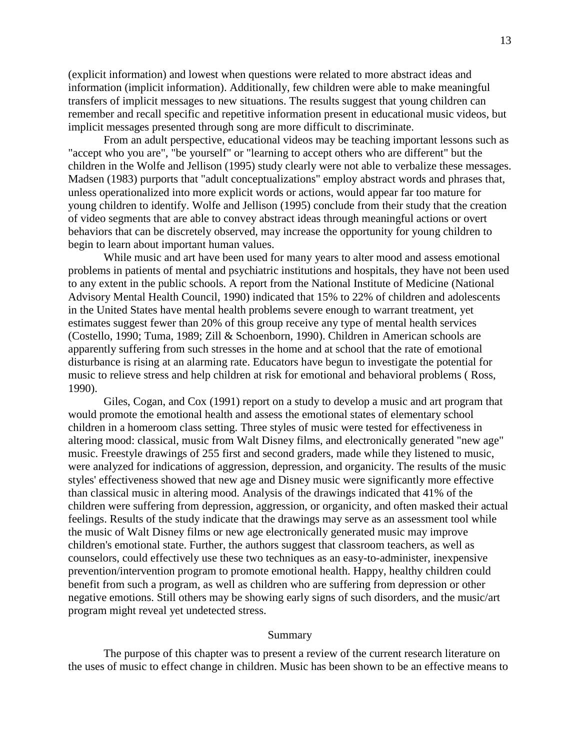(explicit information) and lowest when questions were related to more abstract ideas and information (implicit information). Additionally, few children were able to make meaningful transfers of implicit messages to new situations. The results suggest that young children can remember and recall specific and repetitive information present in educational music videos, but implicit messages presented through song are more difficult to discriminate.

From an adult perspective, educational videos may be teaching important lessons such as "accept who you are", "be yourself" or "learning to accept others who are different" but the children in the Wolfe and Jellison (1995) study clearly were not able to verbalize these messages. Madsen (1983) purports that "adult conceptualizations" employ abstract words and phrases that, unless operationalized into more explicit words or actions, would appear far too mature for young children to identify. Wolfe and Jellison (1995) conclude from their study that the creation of video segments that are able to convey abstract ideas through meaningful actions or overt behaviors that can be discretely observed, may increase the opportunity for young children to begin to learn about important human values.

While music and art have been used for many years to alter mood and assess emotional problems in patients of mental and psychiatric institutions and hospitals, they have not been used to any extent in the public schools. A report from the National Institute of Medicine (National Advisory Mental Health Council, 1990) indicated that 15% to 22% of children and adolescents in the United States have mental health problems severe enough to warrant treatment, yet estimates suggest fewer than 20% of this group receive any type of mental health services (Costello, 1990; Tuma, 1989; Zill & Schoenborn, 1990). Children in American schools are apparently suffering from such stresses in the home and at school that the rate of emotional disturbance is rising at an alarming rate. Educators have begun to investigate the potential for music to relieve stress and help children at risk for emotional and behavioral problems ( Ross, 1990).

Giles, Cogan, and Cox (1991) report on a study to develop a music and art program that would promote the emotional health and assess the emotional states of elementary school children in a homeroom class setting. Three styles of music were tested for effectiveness in altering mood: classical, music from Walt Disney films, and electronically generated "new age" music. Freestyle drawings of 255 first and second graders, made while they listened to music, were analyzed for indications of aggression, depression, and organicity. The results of the music styles' effectiveness showed that new age and Disney music were significantly more effective than classical music in altering mood. Analysis of the drawings indicated that 41% of the children were suffering from depression, aggression, or organicity, and often masked their actual feelings. Results of the study indicate that the drawings may serve as an assessment tool while the music of Walt Disney films or new age electronically generated music may improve children's emotional state. Further, the authors suggest that classroom teachers, as well as counselors, could effectively use these two techniques as an easy-to-administer, inexpensive prevention/intervention program to promote emotional health. Happy, healthy children could benefit from such a program, as well as children who are suffering from depression or other negative emotions. Still others may be showing early signs of such disorders, and the music/art program might reveal yet undetected stress.

#### Summary

The purpose of this chapter was to present a review of the current research literature on the uses of music to effect change in children. Music has been shown to be an effective means to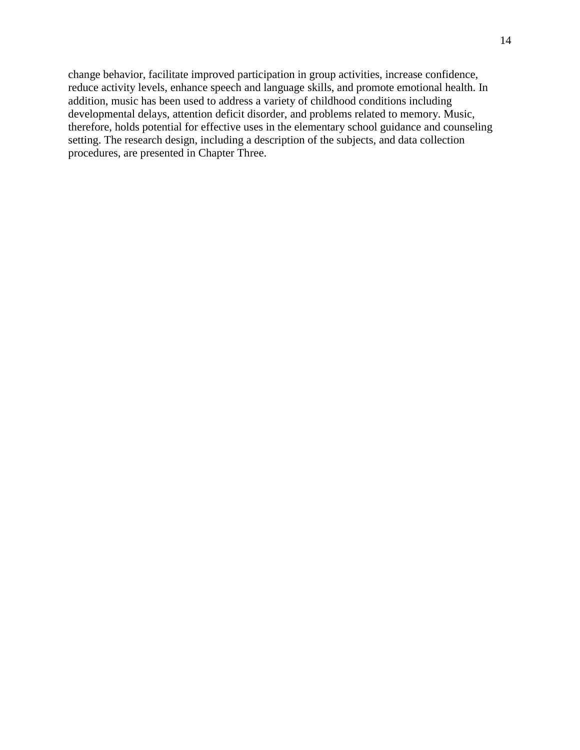change behavior, facilitate improved participation in group activities, increase confidence, reduce activity levels, enhance speech and language skills, and promote emotional health. In addition, music has been used to address a variety of childhood conditions including developmental delays, attention deficit disorder, and problems related to memory. Music, therefore, holds potential for effective uses in the elementary school guidance and counseling setting. The research design, including a description of the subjects, and data collection procedures, are presented in Chapter Three.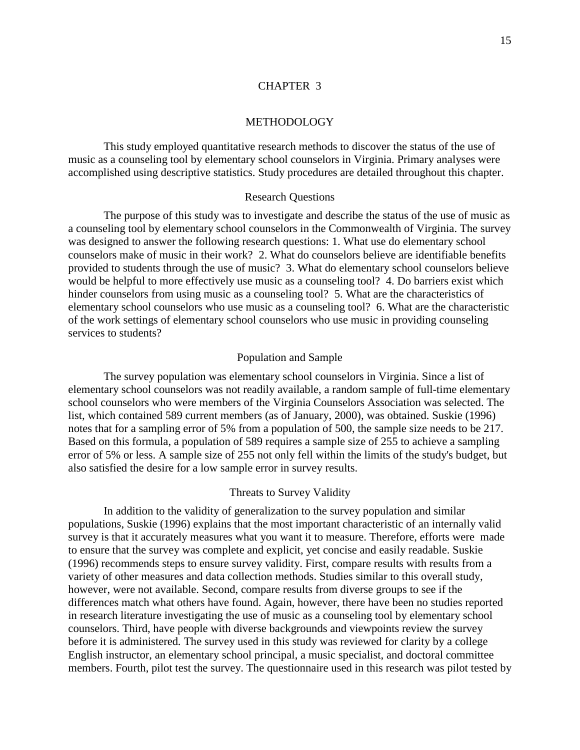### [CHAPTER 3](#page-4-0)

#### METHODOLOGY

<span id="page-21-0"></span>This study employed quantitative research methods to discover the status of the use of music as a counseling tool by elementary school counselors in Virginia. Primary analyses were accomplished using descriptive statistics. Study procedures are detailed throughout this chapter.

#### Research Questions

The purpose of this study was to investigate and describe the status of the use of music as a counseling tool by elementary school counselors in the Commonwealth of Virginia. The survey was designed to answer the following research questions: 1. What use do elementary school counselors make of music in their work? 2. What do counselors believe are identifiable benefits provided to students through the use of music? 3. What do elementary school counselors believe would be helpful to more effectively use music as a counseling tool? 4. Do barriers exist which hinder counselors from using music as a counseling tool? 5. What are the characteristics of elementary school counselors who use music as a counseling tool? 6. What are the characteristic of the work settings of elementary school counselors who use music in providing counseling services to students?

#### Population and Sample

The survey population was elementary school counselors in Virginia. Since a list of elementary school counselors was not readily available, a random sample of full-time elementary school counselors who were members of the Virginia Counselors Association was selected. The list, which contained 589 current members (as of January, 2000), was obtained. Suskie (1996) notes that for a sampling error of 5% from a population of 500, the sample size needs to be 217. Based on this formula, a population of 589 requires a sample size of 255 to achieve a sampling error of 5% or less. A sample size of 255 not only fell within the limits of the study's budget, but also satisfied the desire for a low sample error in survey results.

#### Threats to Survey Validity

In addition to the validity of generalization to the survey population and similar populations, Suskie (1996) explains that the most important characteristic of an internally valid survey is that it accurately measures what you want it to measure. Therefore, efforts were made to ensure that the survey was complete and explicit, yet concise and easily readable. Suskie (1996) recommends steps to ensure survey validity. First, compare results with results from a variety of other measures and data collection methods. Studies similar to this overall study, however, were not available. Second, compare results from diverse groups to see if the differences match what others have found. Again, however, there have been no studies reported in research literature investigating the use of music as a counseling tool by elementary school counselors. Third, have people with diverse backgrounds and viewpoints review the survey before it is administered*.* The survey used in this study was reviewed for clarity by a college English instructor, an elementary school principal, a music specialist, and doctoral committee members. Fourth, pilot test the survey. The questionnaire used in this research was pilot tested by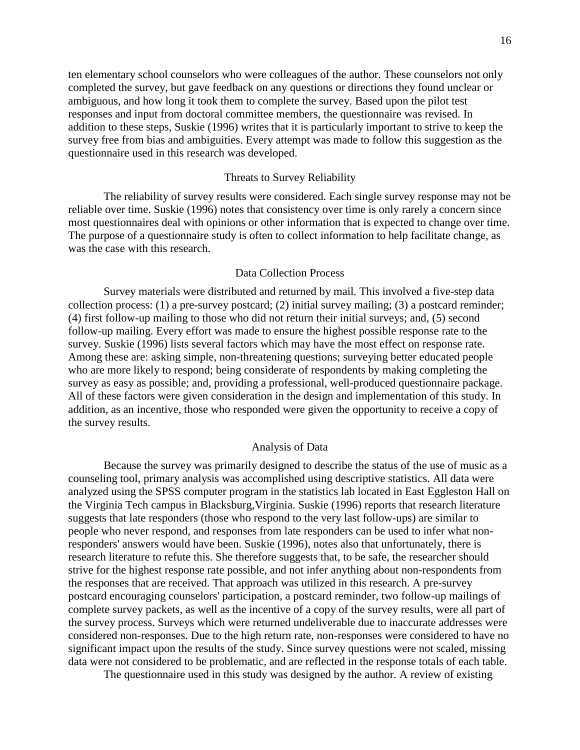ten elementary school counselors who were colleagues of the author. These counselors not only completed the survey, but gave feedback on any questions or directions they found unclear or ambiguous, and how long it took them to complete the survey. Based upon the pilot test responses and input from doctoral committee members, the questionnaire was revised. In addition to these steps, Suskie (1996) writes that it is particularly important to strive to keep the survey free from bias and ambiguities. Every attempt was made to follow this suggestion as the questionnaire used in this research was developed.

### Threats to Survey Reliability

The reliability of survey results were considered. Each single survey response may not be reliable over time. Suskie (1996) notes that consistency over time is only rarely a concern since most questionnaires deal with opinions or other information that is expected to change over time. The purpose of a questionnaire study is often to collect information to help facilitate change, as was the case with this research.

### Data Collection Process

Survey materials were distributed and returned by mail. This involved a five-step data collection process: (1) a pre-survey postcard; (2) initial survey mailing; (3) a postcard reminder; (4) first follow-up mailing to those who did not return their initial surveys; and, (5) second follow-up mailing. Every effort was made to ensure the highest possible response rate to the survey. Suskie (1996) lists several factors which may have the most effect on response rate. Among these are: asking simple, non-threatening questions; surveying better educated people who are more likely to respond; being considerate of respondents by making completing the survey as easy as possible; and, providing a professional, well-produced questionnaire package. All of these factors were given consideration in the design and implementation of this study. In addition, as an incentive, those who responded were given the opportunity to receive a copy of the survey results.

### Analysis of Data

Because the survey was primarily designed to describe the status of the use of music as a counseling tool, primary analysis was accomplished using descriptive statistics. All data were analyzed using the SPSS computer program in the statistics lab located in East Eggleston Hall on the Virginia Tech campus in Blacksburg,Virginia. Suskie (1996) reports that research literature suggests that late responders (those who respond to the very last follow-ups) are similar to people who never respond, and responses from late responders can be used to infer what nonresponders' answers would have been. Suskie (1996), notes also that unfortunately, there is research literature to refute this. She therefore suggests that, to be safe, the researcher should strive for the highest response rate possible, and not infer anything about non-respondents from the responses that are received. That approach was utilized in this research. A pre-survey postcard encouraging counselors' participation, a postcard reminder, two follow-up mailings of complete survey packets, as well as the incentive of a copy of the survey results, were all part of the survey process. Surveys which were returned undeliverable due to inaccurate addresses were considered non-responses. Due to the high return rate, non-responses were considered to have no significant impact upon the results of the study. Since survey questions were not scaled, missing data were not considered to be problematic, and are reflected in the response totals of each table.

The questionnaire used in this study was designed by the author. A review of existing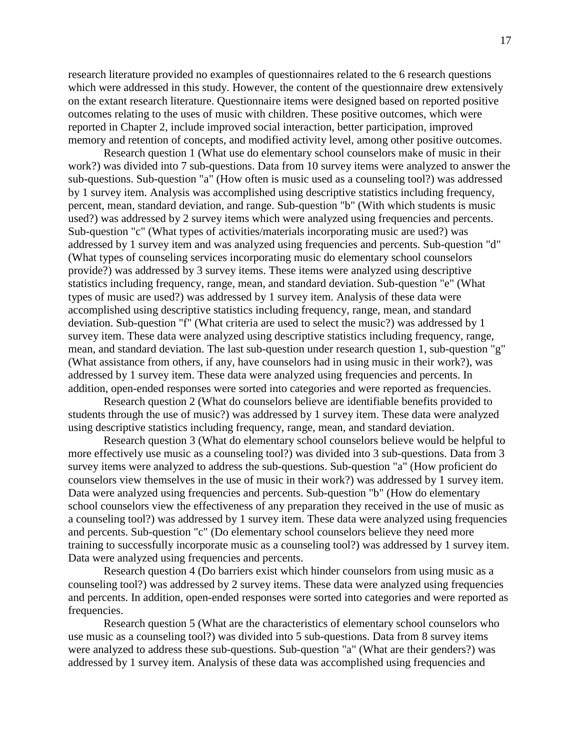research literature provided no examples of questionnaires related to the 6 research questions which were addressed in this study. However, the content of the questionnaire drew extensively on the extant research literature. Questionnaire items were designed based on reported positive outcomes relating to the uses of music with children. These positive outcomes, which were reported in Chapter 2, include improved social interaction, better participation, improved memory and retention of concepts, and modified activity level, among other positive outcomes.

Research question 1 (What use do elementary school counselors make of music in their work?) was divided into 7 sub-questions. Data from 10 survey items were analyzed to answer the sub-questions. Sub-question "a" (How often is music used as a counseling tool?) was addressed by 1 survey item. Analysis was accomplished using descriptive statistics including frequency, percent, mean, standard deviation, and range. Sub-question "b" (With which students is music used?) was addressed by 2 survey items which were analyzed using frequencies and percents. Sub-question "c" (What types of activities/materials incorporating music are used?) was addressed by 1 survey item and was analyzed using frequencies and percents. Sub-question "d" (What types of counseling services incorporating music do elementary school counselors provide?) was addressed by 3 survey items. These items were analyzed using descriptive statistics including frequency, range, mean, and standard deviation. Sub-question "e" (What types of music are used?) was addressed by 1 survey item. Analysis of these data were accomplished using descriptive statistics including frequency, range, mean, and standard deviation. Sub-question "f" (What criteria are used to select the music?) was addressed by 1 survey item. These data were analyzed using descriptive statistics including frequency, range, mean, and standard deviation. The last sub-question under research question 1, sub-question "g" (What assistance from others, if any, have counselors had in using music in their work?), was addressed by 1 survey item. These data were analyzed using frequencies and percents. In addition, open-ended responses were sorted into categories and were reported as frequencies.

Research question 2 (What do counselors believe are identifiable benefits provided to students through the use of music?) was addressed by 1 survey item. These data were analyzed using descriptive statistics including frequency, range, mean, and standard deviation.

Research question 3 (What do elementary school counselors believe would be helpful to more effectively use music as a counseling tool?) was divided into 3 sub-questions. Data from 3 survey items were analyzed to address the sub-questions. Sub-question "a" (How proficient do counselors view themselves in the use of music in their work?) was addressed by 1 survey item. Data were analyzed using frequencies and percents. Sub-question "b" (How do elementary school counselors view the effectiveness of any preparation they received in the use of music as a counseling tool?) was addressed by 1 survey item. These data were analyzed using frequencies and percents. Sub-question "c" (Do elementary school counselors believe they need more training to successfully incorporate music as a counseling tool?) was addressed by 1 survey item. Data were analyzed using frequencies and percents.

Research question 4 (Do barriers exist which hinder counselors from using music as a counseling tool?) was addressed by 2 survey items. These data were analyzed using frequencies and percents. In addition, open-ended responses were sorted into categories and were reported as frequencies.

Research question 5 (What are the characteristics of elementary school counselors who use music as a counseling tool?) was divided into 5 sub-questions. Data from 8 survey items were analyzed to address these sub-questions. Sub-question "a" (What are their genders?) was addressed by 1 survey item. Analysis of these data was accomplished using frequencies and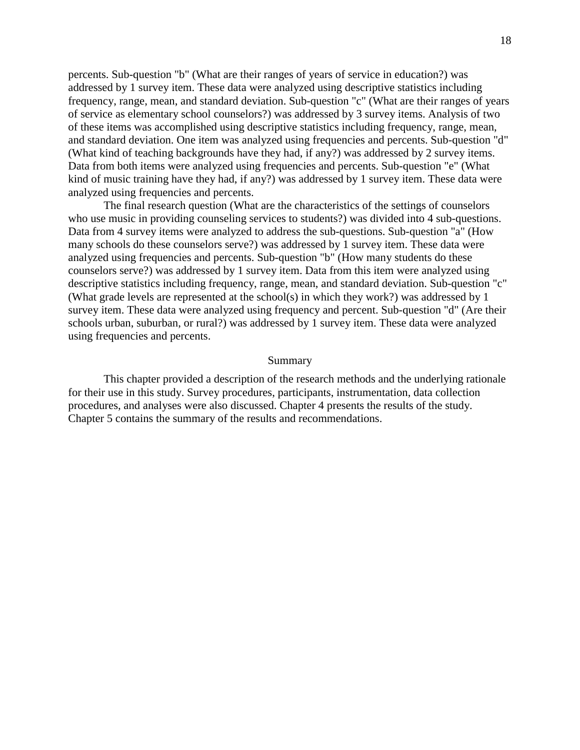percents. Sub-question "b" (What are their ranges of years of service in education?) was addressed by 1 survey item. These data were analyzed using descriptive statistics including frequency, range, mean, and standard deviation. Sub-question "c" (What are their ranges of years of service as elementary school counselors?) was addressed by 3 survey items. Analysis of two of these items was accomplished using descriptive statistics including frequency, range, mean, and standard deviation. One item was analyzed using frequencies and percents. Sub-question "d" (What kind of teaching backgrounds have they had, if any?) was addressed by 2 survey items. Data from both items were analyzed using frequencies and percents. Sub-question "e" (What kind of music training have they had, if any?) was addressed by 1 survey item. These data were analyzed using frequencies and percents.

The final research question (What are the characteristics of the settings of counselors who use music in providing counseling services to students?) was divided into 4 sub-questions. Data from 4 survey items were analyzed to address the sub-questions. Sub-question "a" (How many schools do these counselors serve?) was addressed by 1 survey item. These data were analyzed using frequencies and percents. Sub-question "b" (How many students do these counselors serve?) was addressed by 1 survey item. Data from this item were analyzed using descriptive statistics including frequency, range, mean, and standard deviation. Sub-question "c" (What grade levels are represented at the school(s) in which they work?) was addressed by 1 survey item. These data were analyzed using frequency and percent. Sub-question "d" (Are their schools urban, suburban, or rural?) was addressed by 1 survey item. These data were analyzed using frequencies and percents.

#### Summary

This chapter provided a description of the research methods and the underlying rationale for their use in this study. Survey procedures, participants, instrumentation, data collection procedures, and analyses were also discussed. Chapter 4 presents the results of the study. Chapter 5 contains the summary of the results and recommendations.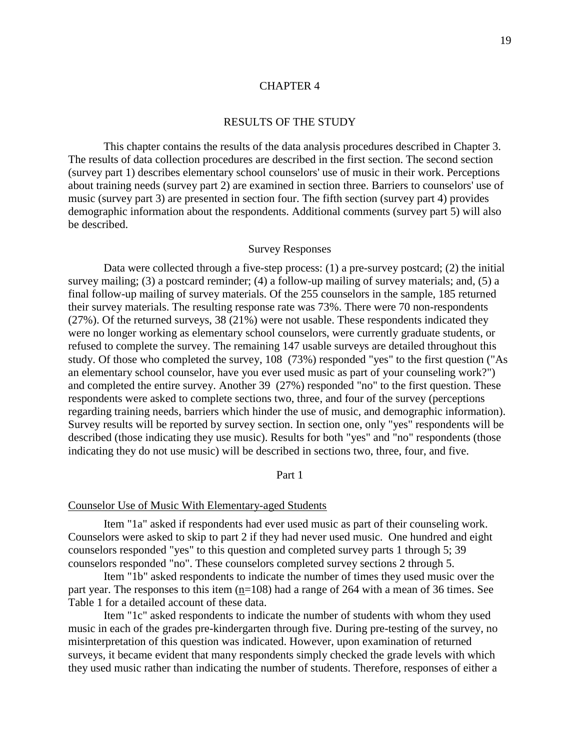### [CHAPTER 4](#page-4-0)

### RESULTS OF THE STUDY

<span id="page-25-0"></span>This chapter contains the results of the data analysis procedures described in Chapter 3. The results of data collection procedures are described in the first section. The second section (survey part 1) describes elementary school counselors' use of music in their work. Perceptions about training needs (survey part 2) are examined in section three. Barriers to counselors' use of music (survey part 3) are presented in section four. The fifth section (survey part 4) provides demographic information about the respondents. Additional comments (survey part 5) will also be described.

### Survey Responses

Data were collected through a five-step process: (1) a pre-survey postcard; (2) the initial survey mailing; (3) a postcard reminder; (4) a follow-up mailing of survey materials; and, (5) a final follow-up mailing of survey materials. Of the 255 counselors in the sample, 185 returned their survey materials. The resulting response rate was 73%. There were 70 non-respondents (27%). Of the returned surveys, 38 (21%) were not usable. These respondents indicated they were no longer working as elementary school counselors, were currently graduate students, or refused to complete the survey. The remaining 147 usable surveys are detailed throughout this study. Of those who completed the survey, 108 (73%) responded "yes" to the first question ("As an elementary school counselor, have you ever used music as part of your counseling work?") and completed the entire survey. Another 39 (27%) responded "no" to the first question. These respondents were asked to complete sections two, three, and four of the survey (perceptions regarding training needs, barriers which hinder the use of music, and demographic information). Survey results will be reported by survey section. In section one, only "yes" respondents will be described (those indicating they use music). Results for both "yes" and "no" respondents (those indicating they do not use music) will be described in sections two, three, four, and five.

#### Part 1

#### Counselor Use of Music With Elementary-aged Students

Item "1a" asked if respondents had ever used music as part of their counseling work. Counselors were asked to skip to part 2 if they had never used music. One hundred and eight counselors responded "yes" to this question and completed survey parts 1 through 5; 39 counselors responded "no". These counselors completed survey sections 2 through 5.

Item "1b" asked respondents to indicate the number of times they used music over the part year. The responses to this item (n=108) had a range of 264 with a mean of 36 times. See Table 1 for a detailed account of these data.

Item "1c" asked respondents to indicate the number of students with whom they used music in each of the grades pre-kindergarten through five. During pre-testing of the survey, no misinterpretation of this question was indicated. However, upon examination of returned surveys, it became evident that many respondents simply checked the grade levels with which they used music rather than indicating the number of students. Therefore, responses of either a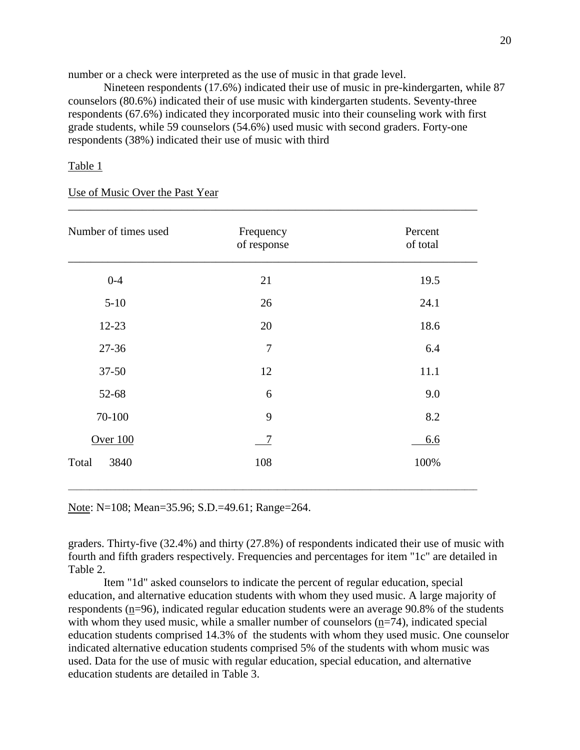number or a check were interpreted as the use of music in that grade level.

Nineteen respondents (17.6%) indicated their use of music in pre-kindergarten, while 87 counselors (80.6%) indicated their of use music with kindergarten students. Seventy-three respondents (67.6%) indicated they incorporated music into their counseling work with first grade students, while 59 counselors (54.6%) used music with second graders. Forty-one respondents (38%) indicated their use of music with third

## Table 1

#### Use of Music Over the Past Year

| Number of times used | Frequency<br>of response | Percent<br>of total |
|----------------------|--------------------------|---------------------|
| $0 - 4$              | 21                       | 19.5                |
| $5-10$               | 26                       | 24.1                |
| $12 - 23$            | 20                       | 18.6                |
| $27 - 36$            | 7                        | 6.4                 |
| 37-50                | 12                       | 11.1                |
| 52-68                | 6                        | 9.0                 |
| 70-100               | 9                        | 8.2                 |
| Over 100             | $\overline{7}$           | 6.6                 |
| 3840<br>Total        | 108                      | 100%                |
|                      |                          |                     |

\_\_\_\_\_\_\_\_\_\_\_\_\_\_\_\_\_\_\_\_\_\_\_\_\_\_\_\_\_\_\_\_\_\_\_\_\_\_\_\_\_\_\_\_\_\_\_\_\_\_\_\_\_\_\_\_\_\_\_\_\_\_\_\_\_\_\_\_\_\_\_\_

Note: N=108; Mean=35.96; S.D.=49.61; Range=264.

graders. Thirty-five (32.4%) and thirty (27.8%) of respondents indicated their use of music with fourth and fifth graders respectively. Frequencies and percentages for item "1c" are detailed in Table 2.

 $\overline{a}$  , and the state of the state of the state of the state of the state of the state of the state of the state of the state of the state of the state of the state of the state of the state of the state of the state o

Item "1d" asked counselors to indicate the percent of regular education, special education, and alternative education students with whom they used music. A large majority of respondents (n=96), indicated regular education students were an average 90.8% of the students with whom they used music, while a smaller number of counselors (n=74), indicated special education students comprised 14.3% of the students with whom they used music. One counselor indicated alternative education students comprised 5% of the students with whom music was used. Data for the use of music with regular education, special education, and alternative education students are detailed in Table 3.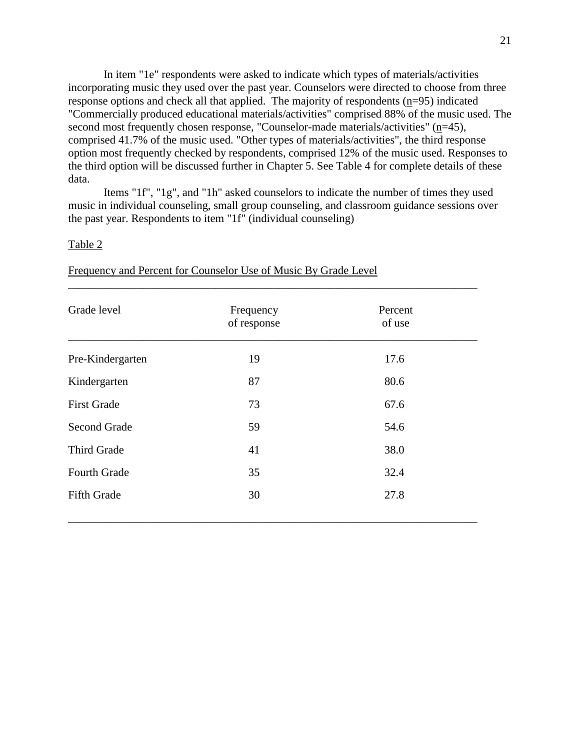In item "1e" respondents were asked to indicate which types of materials/activities incorporating music they used over the past year. Counselors were directed to choose from three response options and check all that applied. The majority of respondents (n=95) indicated "Commercially produced educational materials/activities" comprised 88% of the music used. The second most frequently chosen response, "Counselor-made materials/activities" (n=45), comprised 41.7% of the music used. "Other types of materials/activities", the third response option most frequently checked by respondents, comprised 12% of the music used. Responses to the third option will be discussed further in Chapter 5. See Table 4 for complete details of these data.

Items "1f", "1g", and "1h" asked counselors to indicate the number of times they used music in individual counseling, small group counseling, and classroom guidance sessions over the past year. Respondents to item "1f" (individual counseling)

#### Table 2

| Grade level         | Frequency<br>of response | Percent<br>of use |  |
|---------------------|--------------------------|-------------------|--|
| Pre-Kindergarten    | 19                       | 17.6              |  |
| Kindergarten        | 87                       | 80.6              |  |
| <b>First Grade</b>  | 73                       | 67.6              |  |
| <b>Second Grade</b> | 59                       | 54.6              |  |
| Third Grade         | 41                       | 38.0              |  |
| <b>Fourth Grade</b> | 35                       | 32.4              |  |
| <b>Fifth Grade</b>  | 30                       | 27.8              |  |

\_\_\_\_\_\_\_\_\_\_\_\_\_\_\_\_\_\_\_\_\_\_\_\_\_\_\_\_\_\_\_\_\_\_\_\_\_\_\_\_\_\_\_\_\_\_\_\_\_\_\_\_\_\_\_\_\_\_\_\_\_\_\_\_\_\_\_\_\_\_\_\_

Frequency and Percent for Counselor Use of Music By Grade Level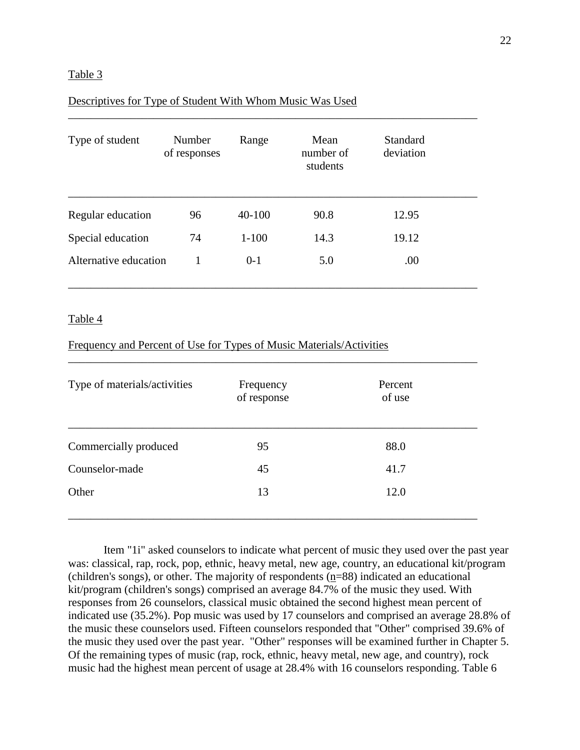### Table 3

## Descriptives for Type of Student With Whom Music Was Used

| Type of student       | Number<br>of responses | Range      | Mean<br>number of<br>students | <b>Standard</b><br>deviation |  |
|-----------------------|------------------------|------------|-------------------------------|------------------------------|--|
| Regular education     | 96                     | $40 - 100$ | 90.8                          | 12.95                        |  |
| Special education     | 74                     | $1 - 100$  | 14.3                          | 19.12                        |  |
| Alternative education |                        | $0-1$      | 5.0                           | .00                          |  |

\_\_\_\_\_\_\_\_\_\_\_\_\_\_\_\_\_\_\_\_\_\_\_\_\_\_\_\_\_\_\_\_\_\_\_\_\_\_\_\_\_\_\_\_\_\_\_\_\_\_\_\_\_\_\_\_\_\_\_\_\_\_\_\_\_\_\_\_\_\_\_\_

## Table 4

## Frequency and Percent of Use for Types of Music Materials/Activities

| Type of materials/activities | Frequency<br>of response | Percent<br>of use |
|------------------------------|--------------------------|-------------------|
| Commercially produced        | 95                       | 88.0              |
| Counselor-made               | 45                       | 41.7              |
| Other                        | 13                       | 12.0              |

\_\_\_\_\_\_\_\_\_\_\_\_\_\_\_\_\_\_\_\_\_\_\_\_\_\_\_\_\_\_\_\_\_\_\_\_\_\_\_\_\_\_\_\_\_\_\_\_\_\_\_\_\_\_\_\_\_\_\_\_\_\_\_\_\_\_\_\_\_\_\_\_

Item "1i" asked counselors to indicate what percent of music they used over the past year was: classical, rap, rock, pop, ethnic, heavy metal, new age, country, an educational kit/program (children's songs), or other. The majority of respondents (n=88) indicated an educational kit/program (children's songs) comprised an average 84.7% of the music they used. With responses from 26 counselors, classical music obtained the second highest mean percent of indicated use (35.2%). Pop music was used by 17 counselors and comprised an average 28.8% of the music these counselors used. Fifteen counselors responded that "Other" comprised 39.6% of the music they used over the past year. "Other" responses will be examined further in Chapter 5. Of the remaining types of music (rap, rock, ethnic, heavy metal, new age, and country), rock music had the highest mean percent of usage at 28.4% with 16 counselors responding. Table 6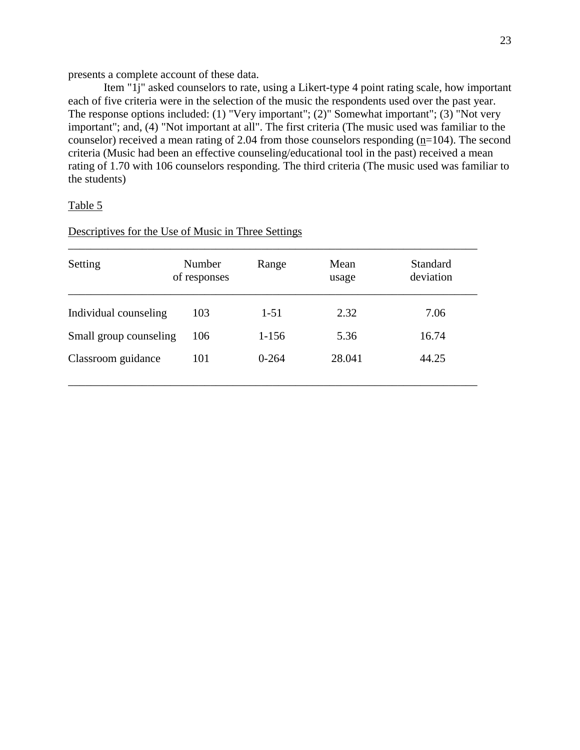presents a complete account of these data.

Item "1j" asked counselors to rate, using a Likert-type 4 point rating scale, how important each of five criteria were in the selection of the music the respondents used over the past year. The response options included: (1) "Very important"; (2)" Somewhat important"; (3) "Not very important"; and, (4) "Not important at all". The first criteria (The music used was familiar to the counselor) received a mean rating of 2.04 from those counselors responding  $(p=104)$ . The second criteria (Music had been an effective counseling/educational tool in the past) received a mean rating of 1.70 with 106 counselors responding. The third criteria (The music used was familiar to the students)

### Table 5

Descriptives for the Use of Music in Three Settings

| Setting                | Number<br>of responses | Range     | Mean<br>usage | Standard<br>deviation |
|------------------------|------------------------|-----------|---------------|-----------------------|
| Individual counseling  | 103                    | $1 - 51$  | 2.32          | 7.06                  |
| Small group counseling | 106                    | $1 - 156$ | 5.36          | 16.74                 |
| Classroom guidance     | 101                    | $0 - 264$ | 28.041        | 44.25                 |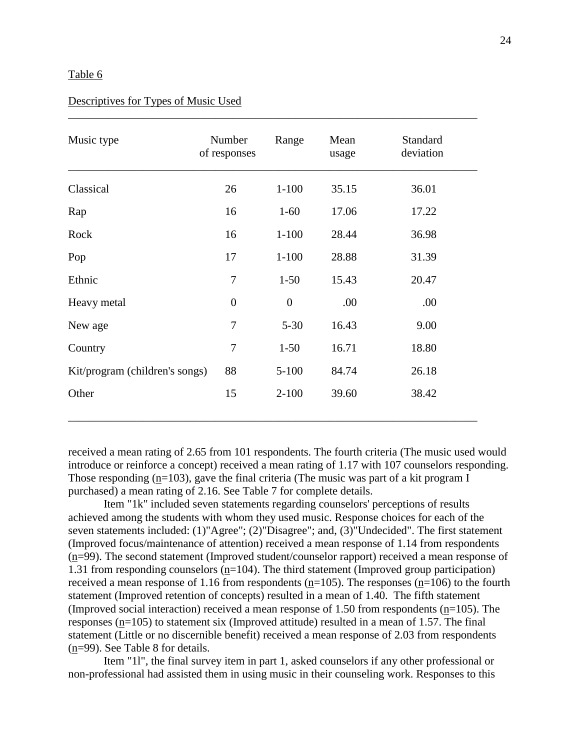#### Table 6

## Descriptives for Types of Music Used

| Music type                     | Number<br>of responses | Range          | Mean<br>usage | Standard<br>deviation |
|--------------------------------|------------------------|----------------|---------------|-----------------------|
| Classical                      | 26                     | $1 - 100$      | 35.15         | 36.01                 |
| Rap                            | 16                     | $1-60$         | 17.06         | 17.22                 |
| Rock                           | 16                     | $1 - 100$      | 28.44         | 36.98                 |
| Pop                            | 17                     | $1 - 100$      | 28.88         | 31.39                 |
| Ethnic                         | 7                      | $1 - 50$       | 15.43         | 20.47                 |
| Heavy metal                    | $\overline{0}$         | $\overline{0}$ | .00           | .00                   |
| New age                        | 7                      | $5 - 30$       | 16.43         | 9.00                  |
| Country                        | $\overline{7}$         | $1 - 50$       | 16.71         | 18.80                 |
| Kit/program (children's songs) | 88                     | $5 - 100$      | 84.74         | 26.18                 |
| Other                          | 15                     | $2 - 100$      | 39.60         | 38.42                 |

\_\_\_\_\_\_\_\_\_\_\_\_\_\_\_\_\_\_\_\_\_\_\_\_\_\_\_\_\_\_\_\_\_\_\_\_\_\_\_\_\_\_\_\_\_\_\_\_\_\_\_\_\_\_\_\_\_\_\_\_\_\_\_\_\_\_\_\_\_\_\_\_

received a mean rating of 2.65 from 101 respondents. The fourth criteria (The music used would introduce or reinforce a concept) received a mean rating of 1.17 with 107 counselors responding. Those responding (n=103), gave the final criteria (The music was part of a kit program I purchased) a mean rating of 2.16. See Table 7 for complete details.

Item "1k" included seven statements regarding counselors' perceptions of results achieved among the students with whom they used music. Response choices for each of the seven statements included: (1)"Agree"; (2)"Disagree"; and, (3)"Undecided". The first statement (Improved focus/maintenance of attention) received a mean response of 1.14 from respondents (n=99). The second statement (Improved student/counselor rapport) received a mean response of 1.31 from responding counselors (n=104). The third statement (Improved group participation) received a mean response of 1.16 from respondents ( $n=105$ ). The responses ( $n=106$ ) to the fourth statement (Improved retention of concepts) resulted in a mean of 1.40. The fifth statement (Improved social interaction) received a mean response of 1.50 from respondents (n=105). The responses (n=105) to statement six (Improved attitude) resulted in a mean of 1.57. The final statement (Little or no discernible benefit) received a mean response of 2.03 from respondents (n=99). See Table 8 for details.

Item "1l", the final survey item in part 1, asked counselors if any other professional or non-professional had assisted them in using music in their counseling work. Responses to this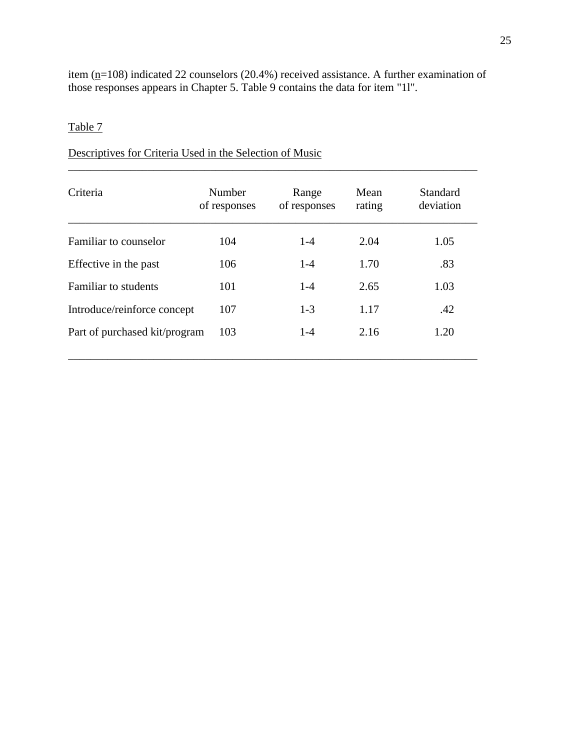item  $(p=108)$  indicated 22 counselors (20.4%) received assistance. A further examination of those responses appears in Chapter 5. Table 9 contains the data for item "1l".

# Table 7

# Descriptives for Criteria Used in the Selection of Music

| Criteria                      | Number<br>of responses | Range<br>of responses | Mean<br>rating | Standard<br>deviation |
|-------------------------------|------------------------|-----------------------|----------------|-----------------------|
| Familiar to counselor         | 104                    | $1-4$                 | 2.04           | 1.05                  |
| Effective in the past         | 106                    | $1-4$                 | 1.70           | .83                   |
| Familiar to students          | 101                    | $1-4$                 | 2.65           | 1.03                  |
| Introduce/reinforce concept   | 107                    | $1-3$                 | 1.17           | .42                   |
| Part of purchased kit/program | 103                    | $1 - 4$               | 2.16           | 1.20                  |

\_\_\_\_\_\_\_\_\_\_\_\_\_\_\_\_\_\_\_\_\_\_\_\_\_\_\_\_\_\_\_\_\_\_\_\_\_\_\_\_\_\_\_\_\_\_\_\_\_\_\_\_\_\_\_\_\_\_\_\_\_\_\_\_\_\_\_\_\_\_\_\_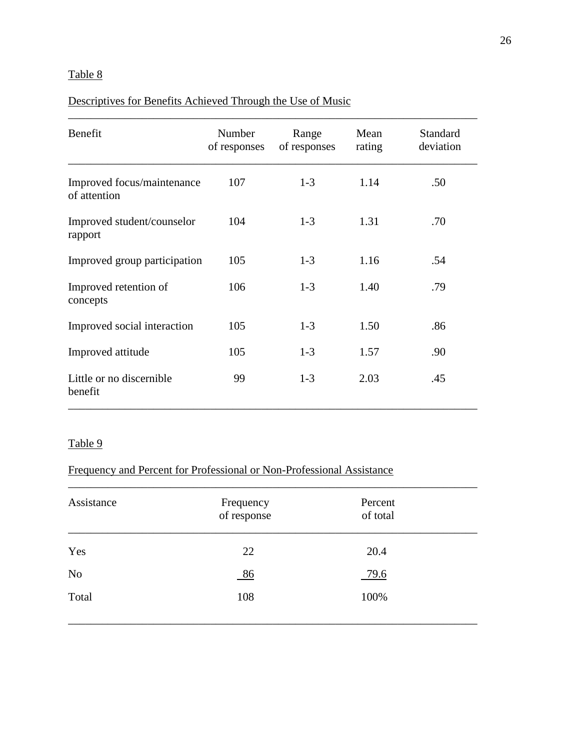# Table 8

# Descriptives for Benefits Achieved Through the Use of Music

| Benefit                                    | Number<br>of responses | Range<br>of responses | Mean<br>rating | <b>Standard</b><br>deviation |
|--------------------------------------------|------------------------|-----------------------|----------------|------------------------------|
| Improved focus/maintenance<br>of attention | 107                    | $1-3$                 | 1.14           | .50                          |
| Improved student/counselor<br>rapport      | 104                    | $1-3$                 | 1.31           | .70                          |
| Improved group participation               | 105                    | $1-3$                 | 1.16           | .54                          |
| Improved retention of<br>concepts          | 106                    | $1-3$                 | 1.40           | .79                          |
| Improved social interaction                | 105                    | $1 - 3$               | 1.50           | .86                          |
| Improved attitude                          | 105                    | $1-3$                 | 1.57           | .90                          |
| Little or no discernible<br>benefit        | 99                     | $1-3$                 | 2.03           | .45                          |

# Table 9

# Frequency and Percent for Professional or Non-Professional Assistance

| Assistance     | Frequency<br>of response | Percent<br>of total |  |
|----------------|--------------------------|---------------------|--|
| Yes            | 22                       | 20.4                |  |
| N <sub>o</sub> | 86                       | 79.6                |  |
| Total          | 108                      | 100%                |  |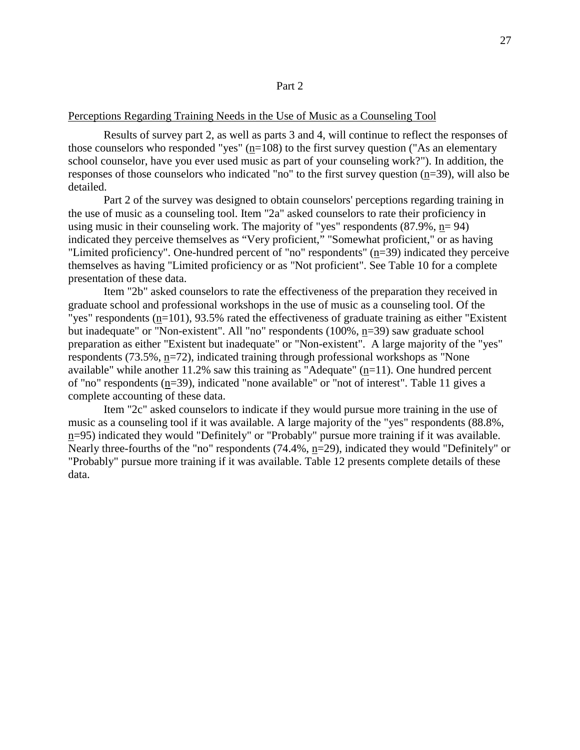#### Perceptions Regarding Training Needs in the Use of Music as a Counseling Tool

Results of survey part 2, as well as parts 3 and 4, will continue to reflect the responses of those counselors who responded "yes"  $(n=108)$  to the first survey question ("As an elementary school counselor, have you ever used music as part of your counseling work?"). In addition, the responses of those counselors who indicated "no" to the first survey question (n=39), will also be detailed.

Part 2 of the survey was designed to obtain counselors' perceptions regarding training in the use of music as a counseling tool. Item "2a" asked counselors to rate their proficiency in using music in their counseling work. The majority of "yes" respondents  $(87.9\%, n=94)$ indicated they perceive themselves as "Very proficient," "Somewhat proficient," or as having "Limited proficiency". One-hundred percent of "no" respondents" (n=39) indicated they perceive themselves as having "Limited proficiency or as "Not proficient". See Table 10 for a complete presentation of these data.

Item "2b" asked counselors to rate the effectiveness of the preparation they received in graduate school and professional workshops in the use of music as a counseling tool. Of the "yes" respondents (n=101), 93.5% rated the effectiveness of graduate training as either "Existent but inadequate" or "Non-existent". All "no" respondents (100%, n=39) saw graduate school preparation as either "Existent but inadequate" or "Non-existent". A large majority of the "yes" respondents (73.5%, n=72), indicated training through professional workshops as "None available" while another  $11.2\%$  saw this training as "Adequate" (n=11). One hundred percent of "no" respondents  $(n=39)$ , indicated "none available" or "not of interest". Table 11 gives a complete accounting of these data.

Item "2c" asked counselors to indicate if they would pursue more training in the use of music as a counseling tool if it was available. A large majority of the "yes" respondents (88.8%, n=95) indicated they would "Definitely" or "Probably" pursue more training if it was available. Nearly three-fourths of the "no" respondents (74.4%, n=29), indicated they would "Definitely" or "Probably" pursue more training if it was available. Table 12 presents complete details of these data.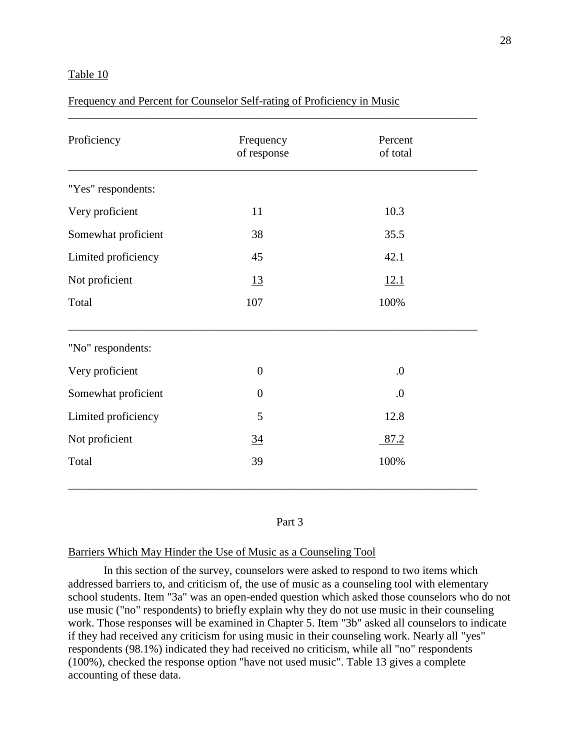### Table 10

## Frequency and Percent for Counselor Self-rating of Proficiency in Music

| Proficiency         | Frequency<br>of response | Percent<br>of total |  |
|---------------------|--------------------------|---------------------|--|
| "Yes" respondents:  |                          |                     |  |
| Very proficient     | 11                       | 10.3                |  |
| Somewhat proficient | 38                       | 35.5                |  |
| Limited proficiency | 45                       | 42.1                |  |
| Not proficient      | <u>13</u>                | 12.1                |  |
| Total               | 107                      | 100%                |  |
| "No" respondents:   |                          |                     |  |
| Very proficient     | $\overline{0}$           | $\overline{0}$ .    |  |
| Somewhat proficient | $\boldsymbol{0}$         | 0.                  |  |
| Limited proficiency | 5                        | 12.8                |  |
| Not proficient      | $\overline{34}$          | 87.2                |  |
| Total               | 39                       | 100%                |  |

#### Part 3

#### Barriers Which May Hinder the Use of Music as a Counseling Tool

In this section of the survey, counselors were asked to respond to two items which addressed barriers to, and criticism of, the use of music as a counseling tool with elementary school students. Item "3a" was an open-ended question which asked those counselors who do not use music ("no" respondents) to briefly explain why they do not use music in their counseling work. Those responses will be examined in Chapter 5. Item "3b" asked all counselors to indicate if they had received any criticism for using music in their counseling work. Nearly all "yes" respondents (98.1%) indicated they had received no criticism, while all "no" respondents (100%), checked the response option "have not used music". Table 13 gives a complete accounting of these data.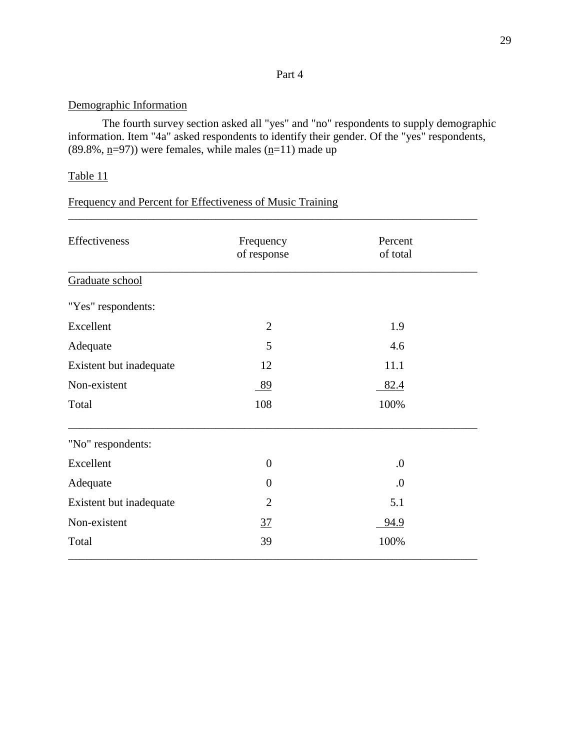# Part 4

# Demographic Information

The fourth survey section asked all "yes" and "no" respondents to supply demographic information. Item "4a" asked respondents to identify their gender. Of the "yes" respondents, (89.8%,  $\underline{n}$ =97)) were females, while males ( $\underline{n}$ =11) made up

\_\_\_\_\_\_\_\_\_\_\_\_\_\_\_\_\_\_\_\_\_\_\_\_\_\_\_\_\_\_\_\_\_\_\_\_\_\_\_\_\_\_\_\_\_\_\_\_\_\_\_\_\_\_\_\_\_\_\_\_\_\_\_\_\_\_\_\_\_\_\_\_

# Table 11

# Frequency and Percent for Effectiveness of Music Training

| Effectiveness           | Frequency      | Percent  |  |
|-------------------------|----------------|----------|--|
|                         | of response    | of total |  |
| Graduate school         |                |          |  |
| "Yes" respondents:      |                |          |  |
| Excellent               | $\overline{2}$ | 1.9      |  |
| Adequate                | 5              | 4.6      |  |
| Existent but inadequate | 12             | 11.1     |  |
| Non-existent            | 89             | 82.4     |  |
| Total                   | 108            | 100%     |  |
| "No" respondents:       |                |          |  |
| Excellent               | $\theta$       | $\cdot$  |  |
| Adequate                | $\overline{0}$ | $\cdot$  |  |
| Existent but inadequate | $\overline{2}$ | 5.1      |  |
| Non-existent            | $\frac{37}{2}$ | 94.9     |  |
| Total                   | 39             | 100%     |  |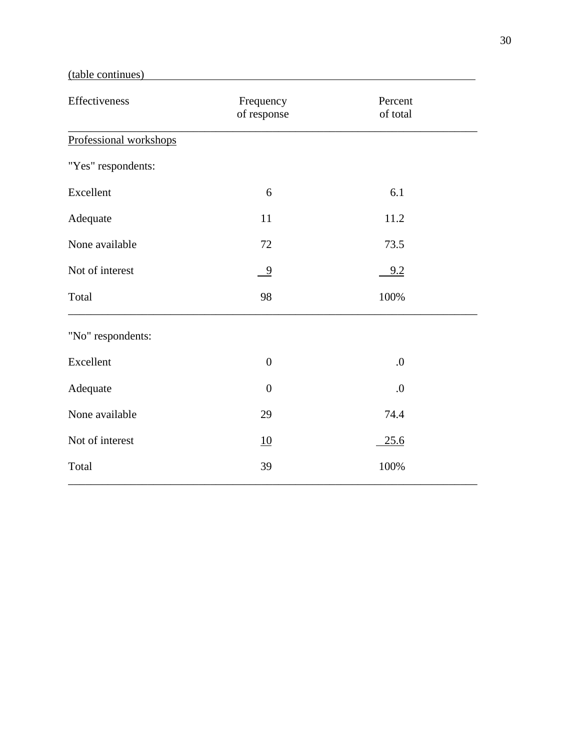# (table continues)

| Effectiveness          | Frequency<br>of response | Percent<br>of total |
|------------------------|--------------------------|---------------------|
| Professional workshops |                          |                     |
| "Yes" respondents:     |                          |                     |
| Excellent              | 6                        | 6.1                 |
| Adequate               | 11                       | 11.2                |
| None available         | 72                       | 73.5                |
| Not of interest        | $\frac{9}{2}$            | 9.2                 |
| Total                  | 98                       | 100%                |
| "No" respondents:      |                          |                     |
| Excellent              | $\boldsymbol{0}$         | $\boldsymbol{0}$    |
| Adequate               | $\boldsymbol{0}$         | $\boldsymbol{0}$    |
| None available         | 29                       | 74.4                |
| Not of interest        | 10                       | 25.6                |
| Total                  | 39                       | 100%                |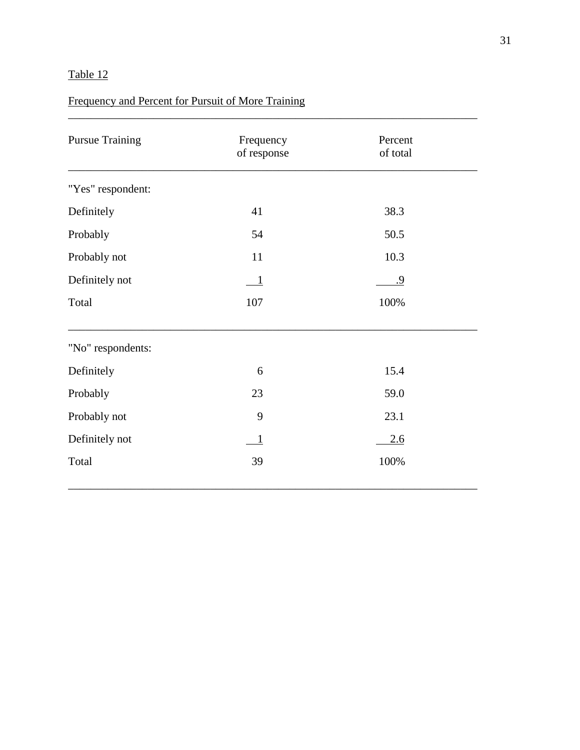## Frequency and Percent for Pursuit of More Training

| <b>Pursue Training</b> | Frequency<br>of response | Percent<br>of total |  |
|------------------------|--------------------------|---------------------|--|
| "Yes" respondent:      |                          |                     |  |
| Definitely             | 41                       | 38.3                |  |
| Probably               | 54                       | 50.5                |  |
| Probably not           | 11                       | 10.3                |  |
| Definitely not         | $\mathbf{1}$             | .9                  |  |
| Total                  | 107                      | 100%                |  |
| "No" respondents:      |                          |                     |  |
| Definitely             | 6                        | 15.4                |  |
| Probably               | 23                       | 59.0                |  |
| Probably not           | 9                        | 23.1                |  |
| Definitely not         | 1                        | 2.6                 |  |
| Total                  | 39                       | 100%                |  |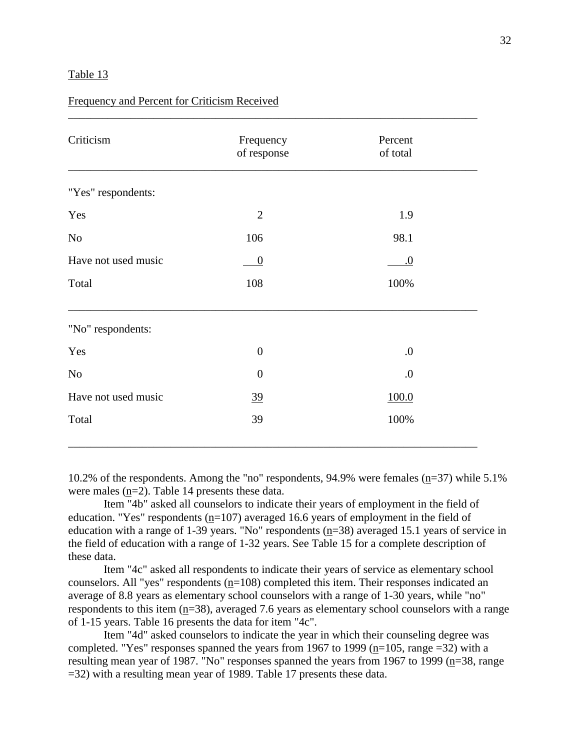| Frequency and Percent for Criticism Received |
|----------------------------------------------|
|----------------------------------------------|

| Criticism           | Frequency<br>of response | Percent<br>of total |  |
|---------------------|--------------------------|---------------------|--|
| "Yes" respondents:  |                          |                     |  |
| Yes                 | $\overline{2}$           | 1.9                 |  |
| $\rm No$            | 106                      | 98.1                |  |
| Have not used music | $\boldsymbol{0}$         | .0                  |  |
| Total               | 108                      | 100%                |  |
| "No" respondents:   |                          |                     |  |
| Yes                 | $\overline{0}$           | $\boldsymbol{0}$    |  |
| $\rm No$            | $\boldsymbol{0}$         | $\cdot$             |  |
| Have not used music | $\frac{39}{2}$           | 100.0               |  |
| Total               | 39                       | 100%                |  |

\_\_\_\_\_\_\_\_\_\_\_\_\_\_\_\_\_\_\_\_\_\_\_\_\_\_\_\_\_\_\_\_\_\_\_\_\_\_\_\_\_\_\_\_\_\_\_\_\_\_\_\_\_\_\_\_\_\_\_\_\_\_\_\_\_\_\_\_\_\_\_\_

10.2% of the respondents. Among the "no" respondents, 94.9% were females (n=37) while 5.1% were males (n=2). Table 14 presents these data.

Item "4b" asked all counselors to indicate their years of employment in the field of education. "Yes" respondents  $(n=107)$  averaged 16.6 years of employment in the field of education with a range of 1-39 years. "No" respondents  $(n=38)$  averaged 15.1 years of service in the field of education with a range of 1-32 years. See Table 15 for a complete description of these data.

Item "4c" asked all respondents to indicate their years of service as elementary school counselors. All "yes" respondents  $(n=108)$  completed this item. Their responses indicated an average of 8.8 years as elementary school counselors with a range of 1-30 years, while "no" respondents to this item (n=38), averaged 7.6 years as elementary school counselors with a range of 1-15 years. Table 16 presents the data for item "4c".

Item "4d" asked counselors to indicate the year in which their counseling degree was completed. "Yes" responses spanned the years from 1967 to 1999 (n=105, range =32) with a resulting mean year of 1987. "No" responses spanned the years from 1967 to 1999 ( $n=38$ , range =32) with a resulting mean year of 1989. Table 17 presents these data.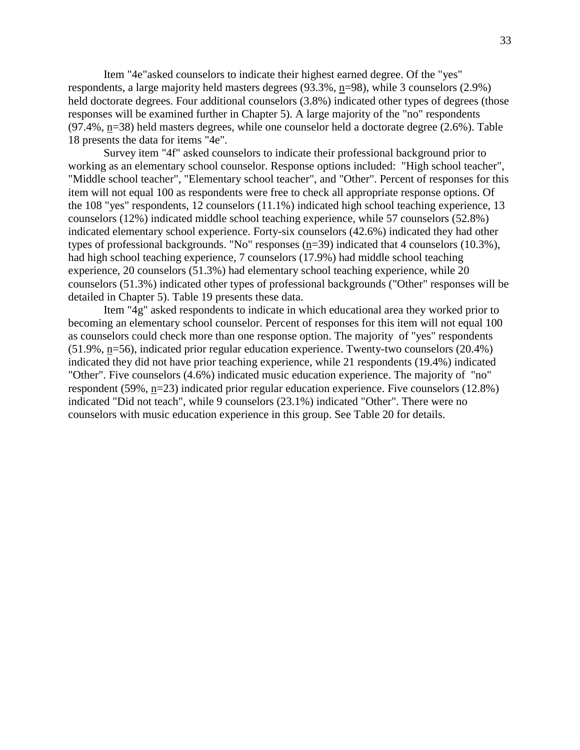Item "4e"asked counselors to indicate their highest earned degree. Of the "yes" respondents, a large majority held masters degrees (93.3%, n=98), while 3 counselors (2.9%) held doctorate degrees. Four additional counselors (3.8%) indicated other types of degrees (those responses will be examined further in Chapter 5). A large majority of the "no" respondents (97.4%, n=38) held masters degrees, while one counselor held a doctorate degree (2.6%). Table 18 presents the data for items "4e".

Survey item "4f" asked counselors to indicate their professional background prior to working as an elementary school counselor. Response options included: "High school teacher", "Middle school teacher", "Elementary school teacher", and "Other". Percent of responses for this item will not equal 100 as respondents were free to check all appropriate response options. Of the 108 "yes" respondents, 12 counselors (11.1%) indicated high school teaching experience, 13 counselors (12%) indicated middle school teaching experience, while 57 counselors (52.8%) indicated elementary school experience. Forty-six counselors (42.6%) indicated they had other types of professional backgrounds. "No" responses (n=39) indicated that 4 counselors (10.3%), had high school teaching experience, 7 counselors (17.9%) had middle school teaching experience, 20 counselors (51.3%) had elementary school teaching experience, while 20 counselors (51.3%) indicated other types of professional backgrounds ("Other" responses will be detailed in Chapter 5). Table 19 presents these data.

Item "4g" asked respondents to indicate in which educational area they worked prior to becoming an elementary school counselor. Percent of responses for this item will not equal 100 as counselors could check more than one response option. The majority of "yes" respondents (51.9%, n=56), indicated prior regular education experience. Twenty-two counselors (20.4%) indicated they did not have prior teaching experience, while 21 respondents (19.4%) indicated "Other". Five counselors (4.6%) indicated music education experience. The majority of "no" respondent (59%, n=23) indicated prior regular education experience. Five counselors (12.8%) indicated "Did not teach", while 9 counselors (23.1%) indicated "Other". There were no counselors with music education experience in this group. See Table 20 for details.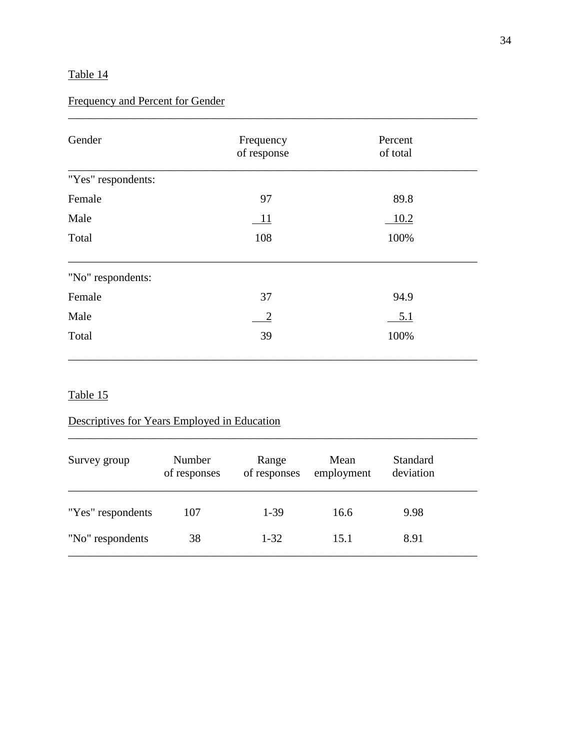## Frequency and Percent for Gender

| Gender             | Frequency<br>of response | Percent<br>of total |  |
|--------------------|--------------------------|---------------------|--|
| "Yes" respondents: |                          |                     |  |
| Female             | 97                       | 89.8                |  |
| Male               | 11                       | 10.2                |  |
| Total              | 108                      | 100%                |  |
| "No" respondents:  |                          |                     |  |
| Female             | 37                       | 94.9                |  |
| Male               | $\overline{2}$           | <u>5.1</u>          |  |
| Total              | 39                       | 100%                |  |

\_\_\_\_\_\_\_\_\_\_\_\_\_\_\_\_\_\_\_\_\_\_\_\_\_\_\_\_\_\_\_\_\_\_\_\_\_\_\_\_\_\_\_\_\_\_\_\_\_\_\_\_\_\_\_\_\_\_\_\_\_\_\_\_\_\_\_\_\_\_\_\_

### Table 15

## Descriptives for Years Employed in Education

| Survey group      | Number<br>of responses | Range<br>of responses | Mean<br>employment | Standard<br>deviation |  |
|-------------------|------------------------|-----------------------|--------------------|-----------------------|--|
| "Yes" respondents | 107                    | $1-39$                | 16.6               | 9.98                  |  |
| "No" respondents  | 38                     | $1 - 32$              | 15.1               | 8.91                  |  |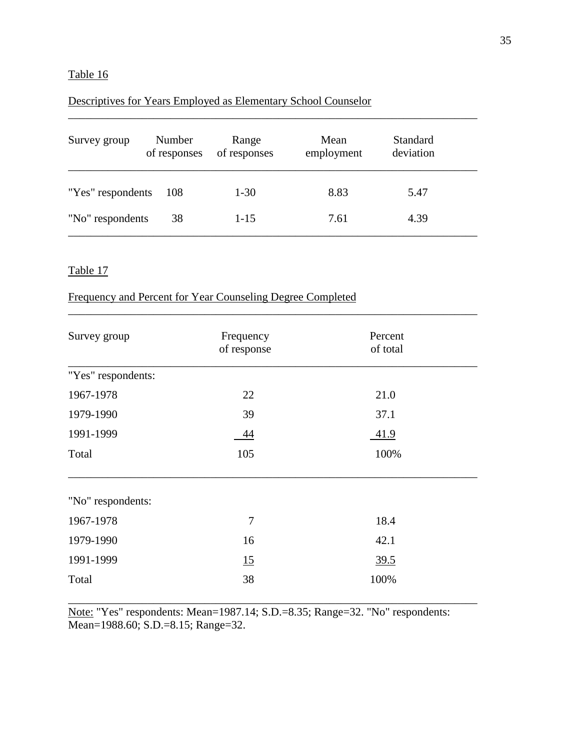## Descriptives for Years Employed as Elementary School Counselor

| Survey group      | Number<br>of responses | Range<br>of responses | Mean<br>employment | Standard<br>deviation |  |
|-------------------|------------------------|-----------------------|--------------------|-----------------------|--|
| "Yes" respondents | 108                    | $1-30$                | 8.83               | 5.47                  |  |
| "No" respondents  | 38                     | $1 - 15$              | 7.61               | 4.39                  |  |

\_\_\_\_\_\_\_\_\_\_\_\_\_\_\_\_\_\_\_\_\_\_\_\_\_\_\_\_\_\_\_\_\_\_\_\_\_\_\_\_\_\_\_\_\_\_\_\_\_\_\_\_\_\_\_\_\_\_\_\_\_\_\_\_\_\_\_\_\_\_\_\_

\_\_\_\_\_\_\_\_\_\_\_\_\_\_\_\_\_\_\_\_\_\_\_\_\_\_\_\_\_\_\_\_\_\_\_\_\_\_\_\_\_\_\_\_\_\_\_\_\_\_\_\_\_\_\_\_\_\_\_\_\_\_\_\_\_\_\_\_\_\_\_\_

### Table 17

### Frequency and Percent for Year Counseling Degree Completed

| Survey group       | Frequency<br>of response | Percent<br>of total |  |
|--------------------|--------------------------|---------------------|--|
| "Yes" respondents: |                          |                     |  |
| 1967-1978          | 22                       | 21.0                |  |
| 1979-1990          | 39                       | 37.1                |  |
| 1991-1999          | 44                       | 41.9                |  |
| Total              | 105                      | 100%                |  |
| "No" respondents:  |                          |                     |  |
| 1967-1978          | 7                        | 18.4                |  |
| 1979-1990          | 16                       | 42.1                |  |
| 1991-1999          | 15                       | 39.5                |  |
| Total              | 38                       | 100%                |  |

Note: "Yes" respondents: Mean=1987.14; S.D.=8.35; Range=32. "No" respondents: Mean=1988.60; S.D.=8.15; Range=32.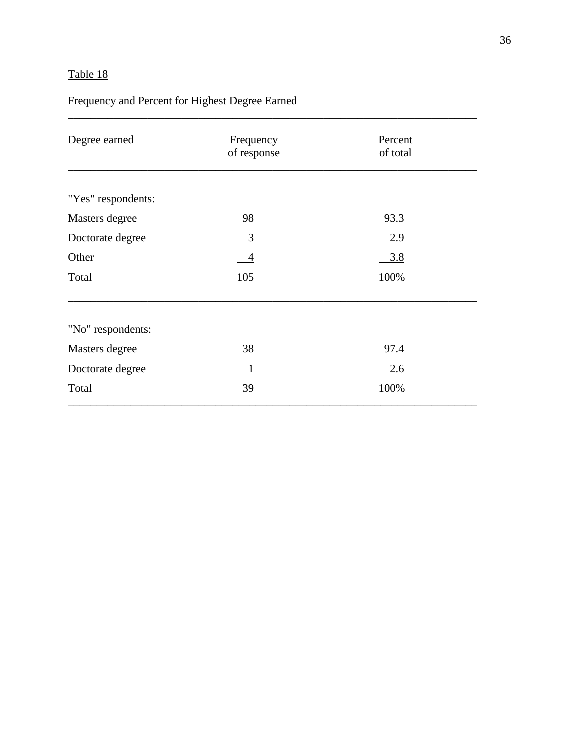## Frequency and Percent for Highest Degree Earned

| Degree earned      | Frequency<br>of response | Percent<br>of total |  |
|--------------------|--------------------------|---------------------|--|
|                    |                          |                     |  |
| "Yes" respondents: |                          |                     |  |
| Masters degree     | 98                       | 93.3                |  |
| Doctorate degree   | 3                        | 2.9                 |  |
| Other              | 4                        | 3.8                 |  |
| Total              | 105                      | 100%                |  |
| "No" respondents:  |                          |                     |  |
| Masters degree     | 38                       | 97.4                |  |
| Doctorate degree   | $\mathbf{1}$             | 2.6                 |  |
| Total              | 39                       | 100%                |  |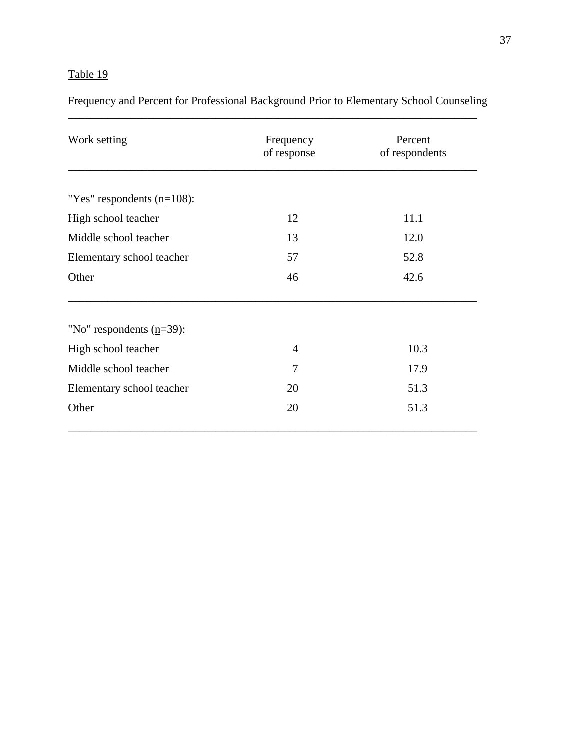Frequency and Percent for Professional Background Prior to Elementary School Counseling \_\_\_\_\_\_\_\_\_\_\_\_\_\_\_\_\_\_\_\_\_\_\_\_\_\_\_\_\_\_\_\_\_\_\_\_\_\_\_\_\_\_\_\_\_\_\_\_\_\_\_\_\_\_\_\_\_\_\_\_\_\_\_\_\_\_\_\_\_\_\_\_

| Work setting                  | Frequency<br>of response | Percent<br>of respondents |
|-------------------------------|--------------------------|---------------------------|
| "Yes" respondents $(n=108)$ : |                          |                           |
| High school teacher           | 12                       | 11.1                      |
| Middle school teacher         | 13                       | 12.0                      |
| Elementary school teacher     | 57                       | 52.8                      |
| Other                         | 46                       | 42.6                      |
| "No" respondents $(n=39)$ :   |                          |                           |
| High school teacher           | 4                        | 10.3                      |
| Middle school teacher         | 7                        | 17.9                      |
| Elementary school teacher     | 20                       | 51.3                      |
| Other                         | 20                       | 51.3                      |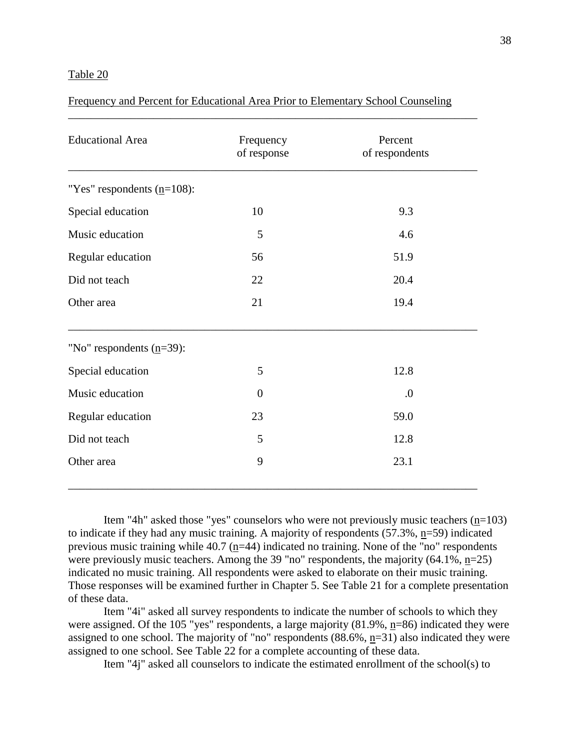Frequency and Percent for Educational Area Prior to Elementary School Counseling

| <b>Educational Area</b>       | Frequency<br>of response | Percent<br>of respondents |
|-------------------------------|--------------------------|---------------------------|
| "Yes" respondents $(n=108)$ : |                          |                           |
| Special education             | 10                       | 9.3                       |
| Music education               | 5                        | 4.6                       |
| Regular education             | 56                       | 51.9                      |
| Did not teach                 | 22                       | 20.4                      |
| Other area                    | 21                       | 19.4                      |
| "No" respondents $(n=39)$ :   |                          |                           |
| Special education             | 5                        | 12.8                      |
| Music education               | $\overline{0}$           | $\boldsymbol{0}$          |
| Regular education             | 23                       | 59.0                      |
| Did not teach                 | 5                        | 12.8                      |
| Other area                    | 9                        | 23.1                      |

Item "4h" asked those "yes" counselors who were not previously music teachers  $(n=103)$ to indicate if they had any music training. A majority of respondents (57.3%, n=59) indicated previous music training while 40.7 (n=44) indicated no training. None of the "no" respondents were previously music teachers. Among the 39 "no" respondents, the majority  $(64.1\%, n=25)$ indicated no music training. All respondents were asked to elaborate on their music training. Those responses will be examined further in Chapter 5. See Table 21 for a complete presentation of these data.

Item "4i" asked all survey respondents to indicate the number of schools to which they were assigned. Of the 105 "yes" respondents, a large majority  $(81.9\%, n=86)$  indicated they were assigned to one school. The majority of "no" respondents (88.6%, n=31) also indicated they were assigned to one school. See Table 22 for a complete accounting of these data.

Item "4j" asked all counselors to indicate the estimated enrollment of the school(s) to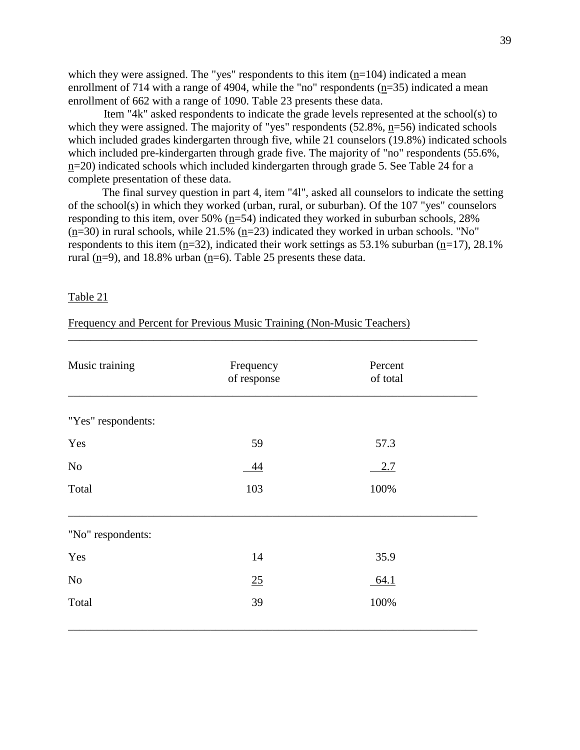which they were assigned. The "yes" respondents to this item  $(n=104)$  indicated a mean enrollment of 714 with a range of 4904, while the "no" respondents (n=35) indicated a mean enrollment of 662 with a range of 1090. Table 23 presents these data.

Item "4k" asked respondents to indicate the grade levels represented at the school(s) to which they were assigned. The majority of "yes" respondents (52.8%, n=56) indicated schools which included grades kindergarten through five, while 21 counselors (19.8%) indicated schools which included pre-kindergarten through grade five. The majority of "no" respondents (55.6%, n=20) indicated schools which included kindergarten through grade 5. See Table 24 for a complete presentation of these data.

The final survey question in part 4, item "4l", asked all counselors to indicate the setting of the school(s) in which they worked (urban, rural, or suburban). Of the 107 "yes" counselors responding to this item, over 50%  $(n=54)$  indicated they worked in suburban schools, 28%  $(n=30)$  in rural schools, while 21.5%  $(n=23)$  indicated they worked in urban schools. "No" respondents to this item (n=32), indicated their work settings as  $53.1\%$  suburban (n=17), 28.1% rural  $(n=9)$ , and 18.8% urban  $(n=6)$ . Table 25 presents these data.

#### Table 21

Frequency and Percent for Previous Music Training (Non-Music Teachers)

| Music training     | Frequency<br>of response | Percent<br>of total |  |
|--------------------|--------------------------|---------------------|--|
| "Yes" respondents: |                          |                     |  |
| Yes                | 59                       | 57.3                |  |
| $\rm No$           | <u>44</u>                | 2.7                 |  |
| Total              | 103                      | 100%                |  |
| "No" respondents:  |                          |                     |  |
| Yes                | 14                       | 35.9                |  |
| $\rm No$           | 25                       | 64.1                |  |
| Total              | 39                       | 100%                |  |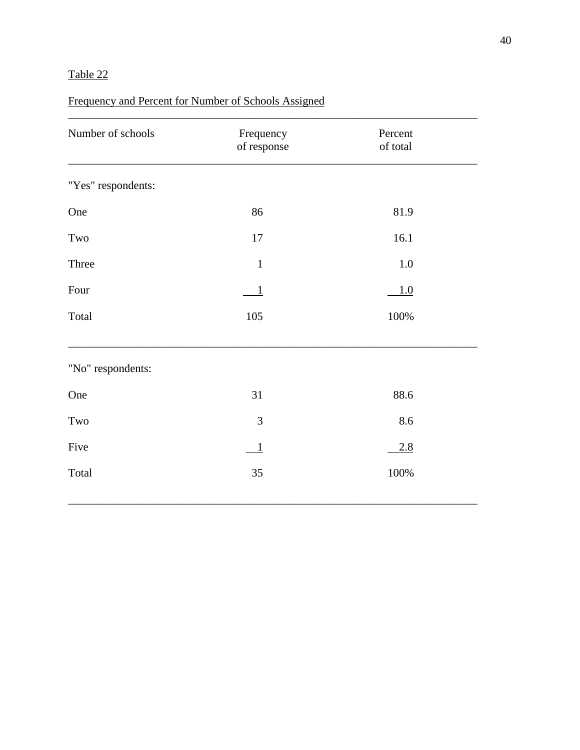## Frequency and Percent for Number of Schools Assigned

| Number of schools    | Frequency<br>of response | Percent<br>of total |  |
|----------------------|--------------------------|---------------------|--|
| "Yes" respondents:   |                          |                     |  |
| One                  | 86                       | 81.9                |  |
| Two                  | 17                       | 16.1                |  |
| Three                | $\mathbf{1}$             | $1.0\,$             |  |
| Four                 |                          | 1.0                 |  |
| Total                | 105                      | 100%                |  |
| "No" respondents:    |                          |                     |  |
| One                  | 31                       | 88.6                |  |
| $\operatorname{Two}$ | 3                        | 8.6                 |  |
| Five                 | $\mathbf{1}$             | 2.8                 |  |
| Total                | 35                       | 100%                |  |
|                      |                          |                     |  |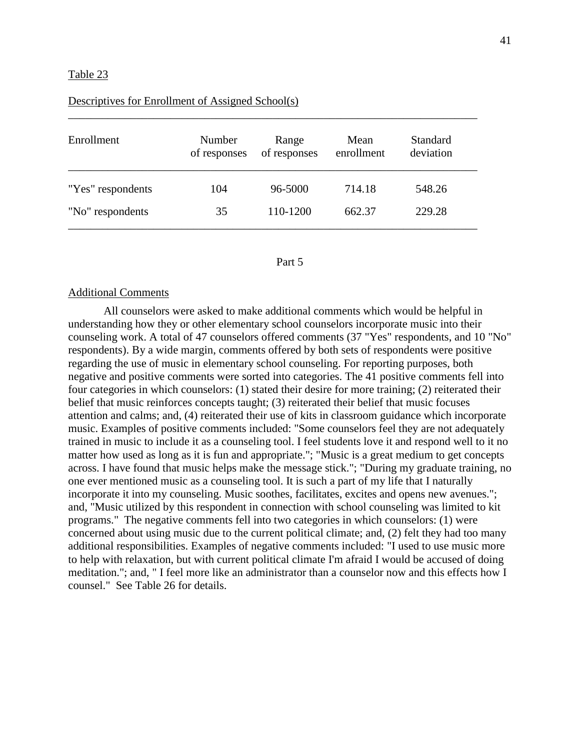| Enrollment        | Number<br>of responses | Range<br>of responses | Mean<br>enrollment | <b>Standard</b><br>deviation |
|-------------------|------------------------|-----------------------|--------------------|------------------------------|
| "Yes" respondents | 104                    | 96-5000               | 714.18             | 548.26                       |
| "No" respondents  | 35                     | 110-1200              | 662.37             | 229.28                       |

\_\_\_\_\_\_\_\_\_\_\_\_\_\_\_\_\_\_\_\_\_\_\_\_\_\_\_\_\_\_\_\_\_\_\_\_\_\_\_\_\_\_\_\_\_\_\_\_\_\_\_\_\_\_\_\_\_\_\_\_\_\_\_\_\_\_\_\_\_\_\_\_

#### Descriptives for Enrollment of Assigned School(s)

#### Part 5

#### Additional Comments

All counselors were asked to make additional comments which would be helpful in understanding how they or other elementary school counselors incorporate music into their counseling work. A total of 47 counselors offered comments (37 "Yes" respondents, and 10 "No" respondents). By a wide margin, comments offered by both sets of respondents were positive regarding the use of music in elementary school counseling. For reporting purposes, both negative and positive comments were sorted into categories. The 41 positive comments fell into four categories in which counselors: (1) stated their desire for more training; (2) reiterated their belief that music reinforces concepts taught; (3) reiterated their belief that music focuses attention and calms; and, (4) reiterated their use of kits in classroom guidance which incorporate music. Examples of positive comments included: "Some counselors feel they are not adequately trained in music to include it as a counseling tool. I feel students love it and respond well to it no matter how used as long as it is fun and appropriate."; "Music is a great medium to get concepts across. I have found that music helps make the message stick."; "During my graduate training, no one ever mentioned music as a counseling tool. It is such a part of my life that I naturally incorporate it into my counseling. Music soothes, facilitates, excites and opens new avenues."; and, "Music utilized by this respondent in connection with school counseling was limited to kit programs." The negative comments fell into two categories in which counselors: (1) were concerned about using music due to the current political climate; and, (2) felt they had too many additional responsibilities. Examples of negative comments included: "I used to use music more to help with relaxation, but with current political climate I'm afraid I would be accused of doing meditation."; and, " I feel more like an administrator than a counselor now and this effects how I counsel." See Table 26 for details.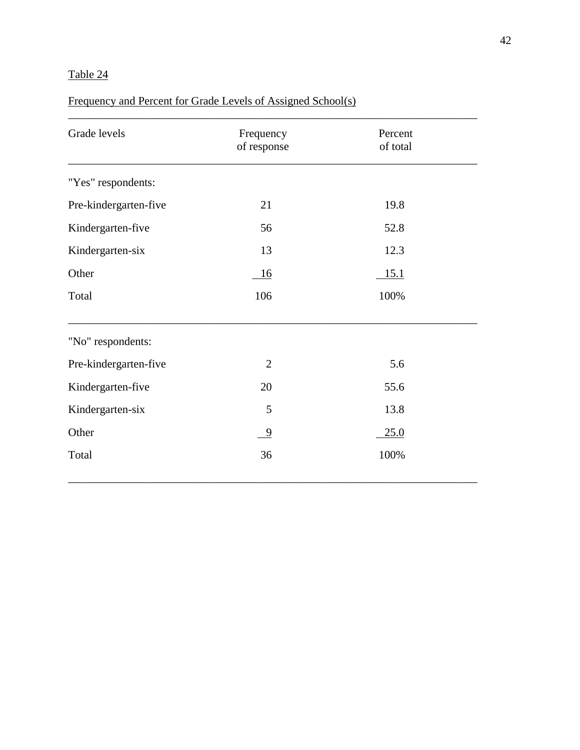## Frequency and Percent for Grade Levels of Assigned School(s)

| Grade levels          | Frequency<br>of response | Percent<br>of total |  |
|-----------------------|--------------------------|---------------------|--|
| "Yes" respondents:    |                          |                     |  |
| Pre-kindergarten-five | 21                       | 19.8                |  |
| Kindergarten-five     | 56                       | 52.8                |  |
| Kindergarten-six      | 13                       | 12.3                |  |
| Other                 | 16                       | 15.1                |  |
| Total                 | 106                      | 100%                |  |
| "No" respondents:     |                          |                     |  |
| Pre-kindergarten-five | $\overline{2}$           | 5.6                 |  |
| Kindergarten-five     | 20                       | 55.6                |  |
| Kindergarten-six      | 5                        | 13.8                |  |
| Other                 | - 9                      | 25.0                |  |
| Total                 | 36                       | 100%                |  |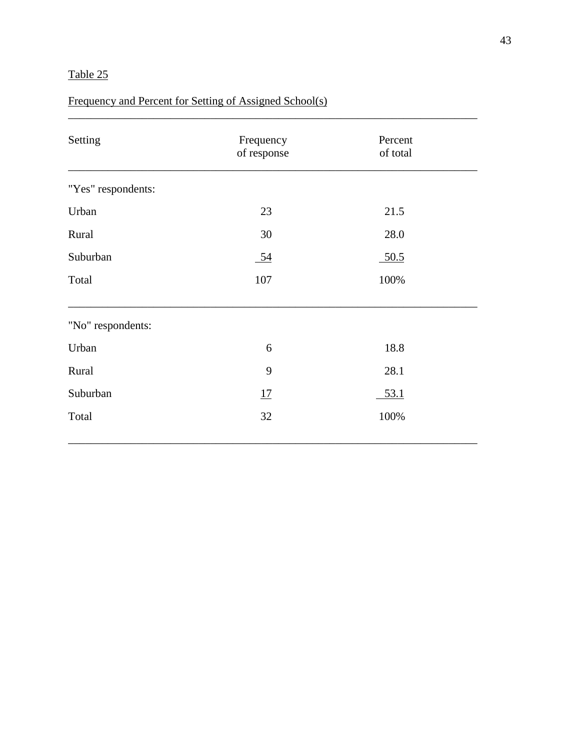## Frequency and Percent for Setting of Assigned School(s)

| Setting            | Frequency<br>of response | Percent<br>of total |  |
|--------------------|--------------------------|---------------------|--|
| "Yes" respondents: |                          |                     |  |
| Urban              | 23                       | 21.5                |  |
| Rural              | 30                       | 28.0                |  |
| Suburban           | $\underline{54}$         | 50.5                |  |
| Total              | 107                      | 100%                |  |
| "No" respondents:  |                          |                     |  |
| Urban              | 6                        | 18.8                |  |
| Rural              | 9                        | 28.1                |  |
| Suburban           | 17                       | 53.1                |  |
| Total              | 32                       | 100%                |  |
|                    |                          |                     |  |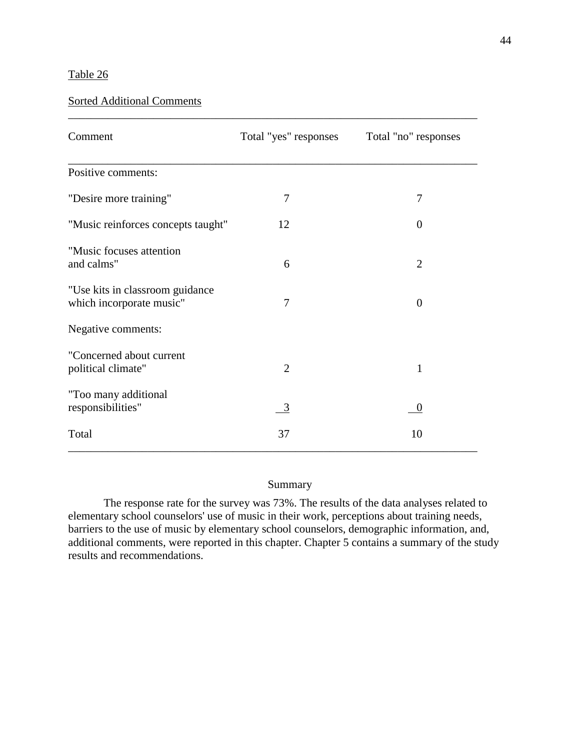### Sorted Additional Comments

| Comment                                                     | Total "yes" responses | Total "no" responses |
|-------------------------------------------------------------|-----------------------|----------------------|
| Positive comments:                                          |                       |                      |
| "Desire more training"                                      | 7                     | 7                    |
| "Music reinforces concepts taught"                          | 12                    | $\theta$             |
| "Music focuses attention<br>and calms"                      | 6                     | $\overline{2}$       |
| "Use kits in classroom guidance<br>which incorporate music" | 7                     | $\Omega$             |
| Negative comments:                                          |                       |                      |
| "Concerned about current<br>political climate"              | $\overline{2}$        | 1                    |
| "Too many additional<br>responsibilities"                   | 3                     | $\overline{0}$       |
| Total                                                       | 37                    | 10                   |

\_\_\_\_\_\_\_\_\_\_\_\_\_\_\_\_\_\_\_\_\_\_\_\_\_\_\_\_\_\_\_\_\_\_\_\_\_\_\_\_\_\_\_\_\_\_\_\_\_\_\_\_\_\_\_\_\_\_\_\_\_\_\_\_\_\_\_\_\_\_\_\_

### Summary

The response rate for the survey was 73%. The results of the data analyses related to elementary school counselors' use of music in their work, perceptions about training needs, barriers to the use of music by elementary school counselors, demographic information, and, additional comments, were reported in this chapter. Chapter 5 contains a summary of the study results and recommendations.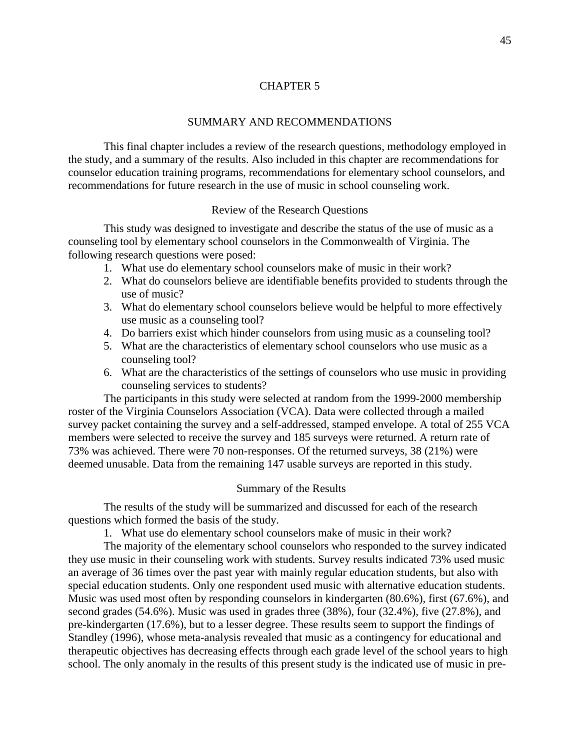#### [CHAPTER 5](#page-4-0)

#### SUMMARY AND RECOMMENDATIONS

This final chapter includes a review of the research questions, methodology employed in the study, and a summary of the results. Also included in this chapter are recommendations for counselor education training programs, recommendations for elementary school counselors, and recommendations for future research in the use of music in school counseling work.

#### Review of the Research Questions

This study was designed to investigate and describe the status of the use of music as a counseling tool by elementary school counselors in the Commonwealth of Virginia. The following research questions were posed:

- 1. What use do elementary school counselors make of music in their work?
- 2. What do counselors believe are identifiable benefits provided to students through the use of music?
- 3. What do elementary school counselors believe would be helpful to more effectively use music as a counseling tool?
- 4. Do barriers exist which hinder counselors from using music as a counseling tool?
- 5. What are the characteristics of elementary school counselors who use music as a counseling tool?
- 6. What are the characteristics of the settings of counselors who use music in providing counseling services to students?

The participants in this study were selected at random from the 1999-2000 membership roster of the Virginia Counselors Association (VCA). Data were collected through a mailed survey packet containing the survey and a self-addressed, stamped envelope. A total of 255 VCA members were selected to receive the survey and 185 surveys were returned. A return rate of 73% was achieved. There were 70 non-responses. Of the returned surveys, 38 (21%) were deemed unusable. Data from the remaining 147 usable surveys are reported in this study.

#### Summary of the Results

The results of the study will be summarized and discussed for each of the research questions which formed the basis of the study.

1. What use do elementary school counselors make of music in their work?

The majority of the elementary school counselors who responded to the survey indicated they use music in their counseling work with students. Survey results indicated 73% used music an average of 36 times over the past year with mainly regular education students, but also with special education students. Only one respondent used music with alternative education students. Music was used most often by responding counselors in kindergarten (80.6%), first (67.6%), and second grades (54.6%). Music was used in grades three (38%), four (32.4%), five (27.8%), and pre-kindergarten (17.6%), but to a lesser degree. These results seem to support the findings of Standley (1996), whose meta-analysis revealed that music as a contingency for educational and therapeutic objectives has decreasing effects through each grade level of the school years to high school. The only anomaly in the results of this present study is the indicated use of music in pre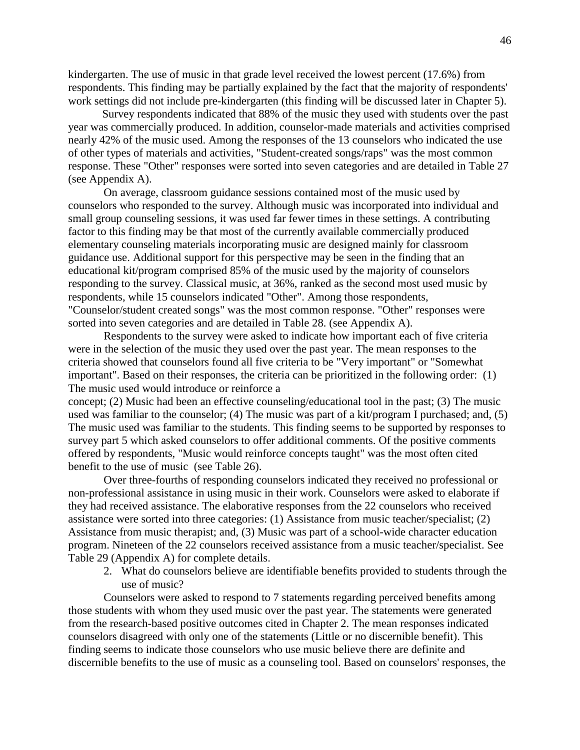kindergarten. The use of music in that grade level received the lowest percent (17.6%) from respondents. This finding may be partially explained by the fact that the majority of respondents' work settings did not include pre-kindergarten (this finding will be discussed later in Chapter 5).

Survey respondents indicated that 88% of the music they used with students over the past year was commercially produced. In addition, counselor-made materials and activities comprised nearly 42% of the music used. Among the responses of the 13 counselors who indicated the use of other types of materials and activities, "Student-created songs/raps" was the most common response. These "Other" responses were sorted into seven categories and are detailed in Table 27 (see Appendix A).

On average, classroom guidance sessions contained most of the music used by counselors who responded to the survey. Although music was incorporated into individual and small group counseling sessions, it was used far fewer times in these settings. A contributing factor to this finding may be that most of the currently available commercially produced elementary counseling materials incorporating music are designed mainly for classroom guidance use. Additional support for this perspective may be seen in the finding that an educational kit/program comprised 85% of the music used by the majority of counselors responding to the survey. Classical music, at 36%, ranked as the second most used music by respondents, while 15 counselors indicated "Other". Among those respondents, "Counselor/student created songs" was the most common response. "Other" responses were sorted into seven categories and are detailed in Table 28. (see Appendix A).

Respondents to the survey were asked to indicate how important each of five criteria were in the selection of the music they used over the past year. The mean responses to the criteria showed that counselors found all five criteria to be "Very important" or "Somewhat important". Based on their responses, the criteria can be prioritized in the following order: (1) The music used would introduce or reinforce a

concept; (2) Music had been an effective counseling/educational tool in the past; (3) The music used was familiar to the counselor; (4) The music was part of a kit/program I purchased; and, (5) The music used was familiar to the students. This finding seems to be supported by responses to survey part 5 which asked counselors to offer additional comments. Of the positive comments offered by respondents, "Music would reinforce concepts taught" was the most often cited benefit to the use of music (see Table 26).

Over three-fourths of responding counselors indicated they received no professional or non-professional assistance in using music in their work. Counselors were asked to elaborate if they had received assistance. The elaborative responses from the 22 counselors who received assistance were sorted into three categories: (1) Assistance from music teacher/specialist; (2) Assistance from music therapist; and, (3) Music was part of a school-wide character education program. Nineteen of the 22 counselors received assistance from a music teacher/specialist. See Table 29 (Appendix A) for complete details.

2. What do counselors believe are identifiable benefits provided to students through the use of music?

Counselors were asked to respond to 7 statements regarding perceived benefits among those students with whom they used music over the past year. The statements were generated from the research-based positive outcomes cited in Chapter 2. The mean responses indicated counselors disagreed with only one of the statements (Little or no discernible benefit). This finding seems to indicate those counselors who use music believe there are definite and discernible benefits to the use of music as a counseling tool. Based on counselors' responses, the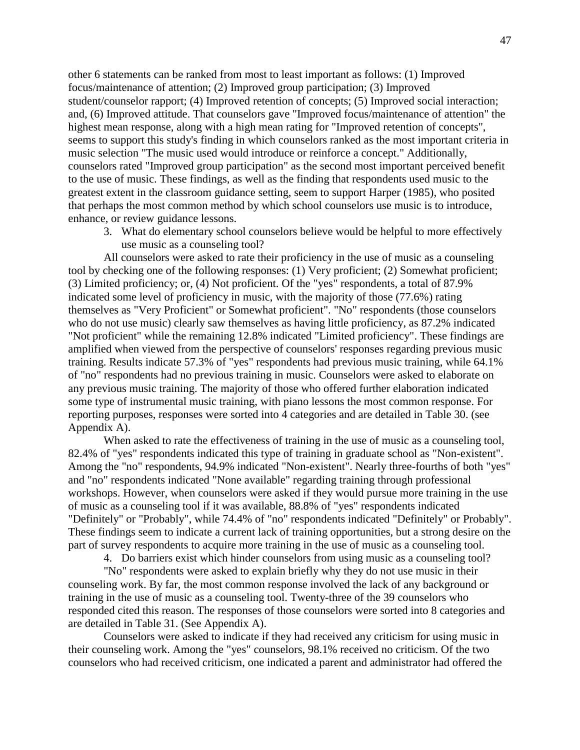other 6 statements can be ranked from most to least important as follows: (1) Improved focus/maintenance of attention; (2) Improved group participation; (3) Improved student/counselor rapport; (4) Improved retention of concepts; (5) Improved social interaction; and, (6) Improved attitude. That counselors gave "Improved focus/maintenance of attention" the highest mean response, along with a high mean rating for "Improved retention of concepts", seems to support this study's finding in which counselors ranked as the most important criteria in music selection "The music used would introduce or reinforce a concept." Additionally, counselors rated "Improved group participation" as the second most important perceived benefit to the use of music. These findings, as well as the finding that respondents used music to the greatest extent in the classroom guidance setting, seem to support Harper (1985), who posited that perhaps the most common method by which school counselors use music is to introduce, enhance, or review guidance lessons.

3. What do elementary school counselors believe would be helpful to more effectively use music as a counseling tool?

All counselors were asked to rate their proficiency in the use of music as a counseling tool by checking one of the following responses: (1) Very proficient; (2) Somewhat proficient; (3) Limited proficiency; or, (4) Not proficient. Of the "yes" respondents, a total of 87.9% indicated some level of proficiency in music, with the majority of those (77.6%) rating themselves as "Very Proficient" or Somewhat proficient". "No" respondents (those counselors who do not use music) clearly saw themselves as having little proficiency, as 87.2% indicated "Not proficient" while the remaining 12.8% indicated "Limited proficiency". These findings are amplified when viewed from the perspective of counselors' responses regarding previous music training. Results indicate 57.3% of "yes" respondents had previous music training, while 64.1% of "no" respondents had no previous training in music. Counselors were asked to elaborate on any previous music training. The majority of those who offered further elaboration indicated some type of instrumental music training, with piano lessons the most common response. For reporting purposes, responses were sorted into 4 categories and are detailed in Table 30. (see Appendix A).

When asked to rate the effectiveness of training in the use of music as a counseling tool, 82.4% of "yes" respondents indicated this type of training in graduate school as "Non-existent". Among the "no" respondents, 94.9% indicated "Non-existent". Nearly three-fourths of both "yes" and "no" respondents indicated "None available" regarding training through professional workshops. However, when counselors were asked if they would pursue more training in the use of music as a counseling tool if it was available, 88.8% of "yes" respondents indicated "Definitely" or "Probably", while 74.4% of "no" respondents indicated "Definitely" or Probably". These findings seem to indicate a current lack of training opportunities, but a strong desire on the part of survey respondents to acquire more training in the use of music as a counseling tool.

4. Do barriers exist which hinder counselors from using music as a counseling tool?

"No" respondents were asked to explain briefly why they do not use music in their counseling work. By far, the most common response involved the lack of any background or training in the use of music as a counseling tool. Twenty-three of the 39 counselors who responded cited this reason. The responses of those counselors were sorted into 8 categories and are detailed in Table 31. (See Appendix A).

Counselors were asked to indicate if they had received any criticism for using music in their counseling work. Among the "yes" counselors, 98.1% received no criticism. Of the two counselors who had received criticism, one indicated a parent and administrator had offered the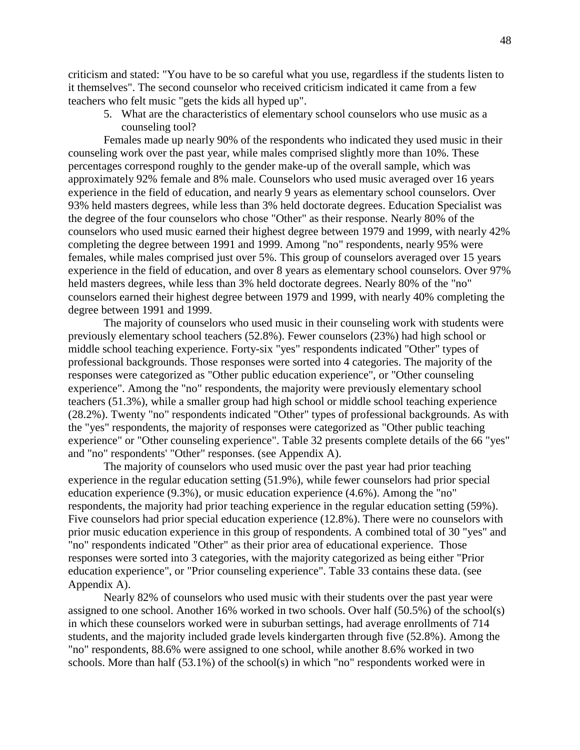criticism and stated: "You have to be so careful what you use, regardless if the students listen to it themselves". The second counselor who received criticism indicated it came from a few teachers who felt music "gets the kids all hyped up".

5. What are the characteristics of elementary school counselors who use music as a counseling tool?

Females made up nearly 90% of the respondents who indicated they used music in their counseling work over the past year, while males comprised slightly more than 10%. These percentages correspond roughly to the gender make-up of the overall sample, which was approximately 92% female and 8% male. Counselors who used music averaged over 16 years experience in the field of education, and nearly 9 years as elementary school counselors. Over 93% held masters degrees, while less than 3% held doctorate degrees. Education Specialist was the degree of the four counselors who chose "Other" as their response. Nearly 80% of the counselors who used music earned their highest degree between 1979 and 1999, with nearly 42% completing the degree between 1991 and 1999. Among "no" respondents, nearly 95% were females, while males comprised just over 5%. This group of counselors averaged over 15 years experience in the field of education, and over 8 years as elementary school counselors. Over 97% held masters degrees, while less than 3% held doctorate degrees. Nearly 80% of the "no" counselors earned their highest degree between 1979 and 1999, with nearly 40% completing the degree between 1991 and 1999.

The majority of counselors who used music in their counseling work with students were previously elementary school teachers (52.8%). Fewer counselors (23%) had high school or middle school teaching experience. Forty-six "yes" respondents indicated "Other" types of professional backgrounds. Those responses were sorted into 4 categories. The majority of the responses were categorized as "Other public education experience", or "Other counseling experience". Among the "no" respondents, the majority were previously elementary school teachers (51.3%), while a smaller group had high school or middle school teaching experience (28.2%). Twenty "no" respondents indicated "Other" types of professional backgrounds. As with the "yes" respondents, the majority of responses were categorized as "Other public teaching experience" or "Other counseling experience". Table 32 presents complete details of the 66 "yes" and "no" respondents' "Other" responses. (see Appendix A).

The majority of counselors who used music over the past year had prior teaching experience in the regular education setting (51.9%), while fewer counselors had prior special education experience (9.3%), or music education experience (4.6%). Among the "no" respondents, the majority had prior teaching experience in the regular education setting (59%). Five counselors had prior special education experience (12.8%). There were no counselors with prior music education experience in this group of respondents. A combined total of 30 "yes" and "no" respondents indicated "Other" as their prior area of educational experience. Those responses were sorted into 3 categories, with the majority categorized as being either "Prior education experience", or "Prior counseling experience". Table 33 contains these data. (see Appendix A).

Nearly 82% of counselors who used music with their students over the past year were assigned to one school. Another 16% worked in two schools. Over half (50.5%) of the school(s) in which these counselors worked were in suburban settings, had average enrollments of 714 students, and the majority included grade levels kindergarten through five (52.8%). Among the "no" respondents, 88.6% were assigned to one school, while another 8.6% worked in two schools. More than half (53.1%) of the school(s) in which "no" respondents worked were in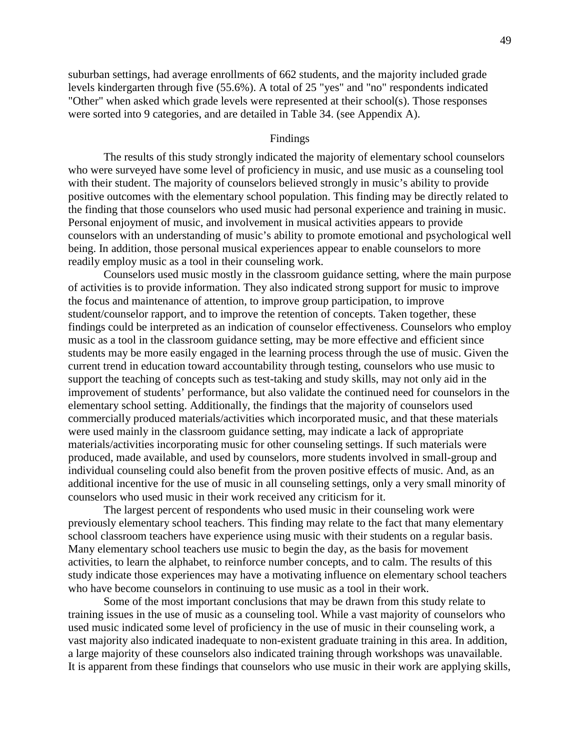suburban settings, had average enrollments of 662 students, and the majority included grade levels kindergarten through five (55.6%). A total of 25 "yes" and "no" respondents indicated "Other" when asked which grade levels were represented at their school(s). Those responses were sorted into 9 categories, and are detailed in Table 34. (see Appendix A).

#### Findings

The results of this study strongly indicated the majority of elementary school counselors who were surveyed have some level of proficiency in music, and use music as a counseling tool with their student. The majority of counselors believed strongly in music's ability to provide positive outcomes with the elementary school population. This finding may be directly related to the finding that those counselors who used music had personal experience and training in music. Personal enjoyment of music, and involvement in musical activities appears to provide counselors with an understanding of music's ability to promote emotional and psychological well being. In addition, those personal musical experiences appear to enable counselors to more readily employ music as a tool in their counseling work.

Counselors used music mostly in the classroom guidance setting, where the main purpose of activities is to provide information. They also indicated strong support for music to improve the focus and maintenance of attention, to improve group participation, to improve student/counselor rapport, and to improve the retention of concepts. Taken together, these findings could be interpreted as an indication of counselor effectiveness. Counselors who employ music as a tool in the classroom guidance setting, may be more effective and efficient since students may be more easily engaged in the learning process through the use of music. Given the current trend in education toward accountability through testing, counselors who use music to support the teaching of concepts such as test-taking and study skills, may not only aid in the improvement of students' performance, but also validate the continued need for counselors in the elementary school setting. Additionally, the findings that the majority of counselors used commercially produced materials/activities which incorporated music, and that these materials were used mainly in the classroom guidance setting, may indicate a lack of appropriate materials/activities incorporating music for other counseling settings. If such materials were produced, made available, and used by counselors, more students involved in small-group and individual counseling could also benefit from the proven positive effects of music. And, as an additional incentive for the use of music in all counseling settings, only a very small minority of counselors who used music in their work received any criticism for it.

The largest percent of respondents who used music in their counseling work were previously elementary school teachers. This finding may relate to the fact that many elementary school classroom teachers have experience using music with their students on a regular basis. Many elementary school teachers use music to begin the day, as the basis for movement activities, to learn the alphabet, to reinforce number concepts, and to calm. The results of this study indicate those experiences may have a motivating influence on elementary school teachers who have become counselors in continuing to use music as a tool in their work.

Some of the most important conclusions that may be drawn from this study relate to training issues in the use of music as a counseling tool. While a vast majority of counselors who used music indicated some level of proficiency in the use of music in their counseling work, a vast majority also indicated inadequate to non-existent graduate training in this area. In addition, a large majority of these counselors also indicated training through workshops was unavailable. It is apparent from these findings that counselors who use music in their work are applying skills,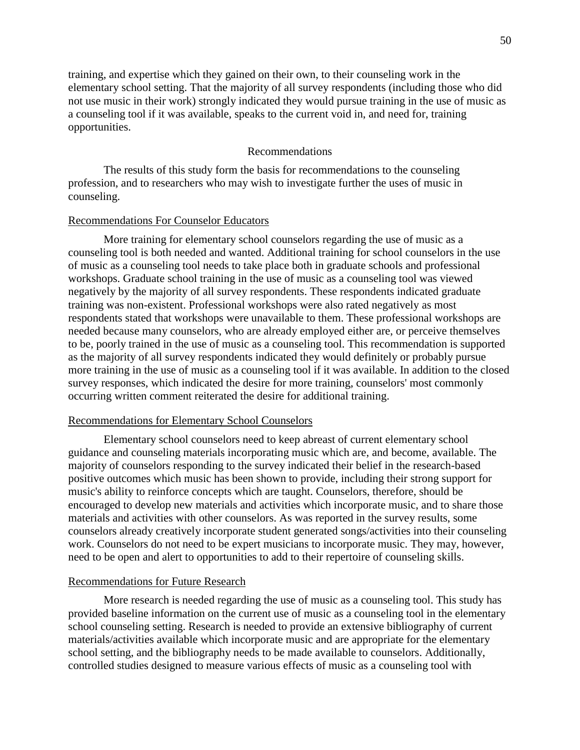training, and expertise which they gained on their own, to their counseling work in the elementary school setting. That the majority of all survey respondents (including those who did not use music in their work) strongly indicated they would pursue training in the use of music as a counseling tool if it was available, speaks to the current void in, and need for, training opportunities.

#### Recommendations

The results of this study form the basis for recommendations to the counseling profession, and to researchers who may wish to investigate further the uses of music in counseling.

#### Recommendations For Counselor Educators

More training for elementary school counselors regarding the use of music as a counseling tool is both needed and wanted. Additional training for school counselors in the use of music as a counseling tool needs to take place both in graduate schools and professional workshops. Graduate school training in the use of music as a counseling tool was viewed negatively by the majority of all survey respondents. These respondents indicated graduate training was non-existent. Professional workshops were also rated negatively as most respondents stated that workshops were unavailable to them. These professional workshops are needed because many counselors, who are already employed either are, or perceive themselves to be, poorly trained in the use of music as a counseling tool. This recommendation is supported as the majority of all survey respondents indicated they would definitely or probably pursue more training in the use of music as a counseling tool if it was available. In addition to the closed survey responses, which indicated the desire for more training, counselors' most commonly occurring written comment reiterated the desire for additional training.

#### Recommendations for Elementary School Counselors

Elementary school counselors need to keep abreast of current elementary school guidance and counseling materials incorporating music which are, and become, available. The majority of counselors responding to the survey indicated their belief in the research-based positive outcomes which music has been shown to provide, including their strong support for music's ability to reinforce concepts which are taught. Counselors, therefore, should be encouraged to develop new materials and activities which incorporate music, and to share those materials and activities with other counselors. As was reported in the survey results, some counselors already creatively incorporate student generated songs/activities into their counseling work. Counselors do not need to be expert musicians to incorporate music. They may, however, need to be open and alert to opportunities to add to their repertoire of counseling skills.

#### Recommendations for Future Research

More research is needed regarding the use of music as a counseling tool. This study has provided baseline information on the current use of music as a counseling tool in the elementary school counseling setting. Research is needed to provide an extensive bibliography of current materials/activities available which incorporate music and are appropriate for the elementary school setting, and the bibliography needs to be made available to counselors. Additionally, controlled studies designed to measure various effects of music as a counseling tool with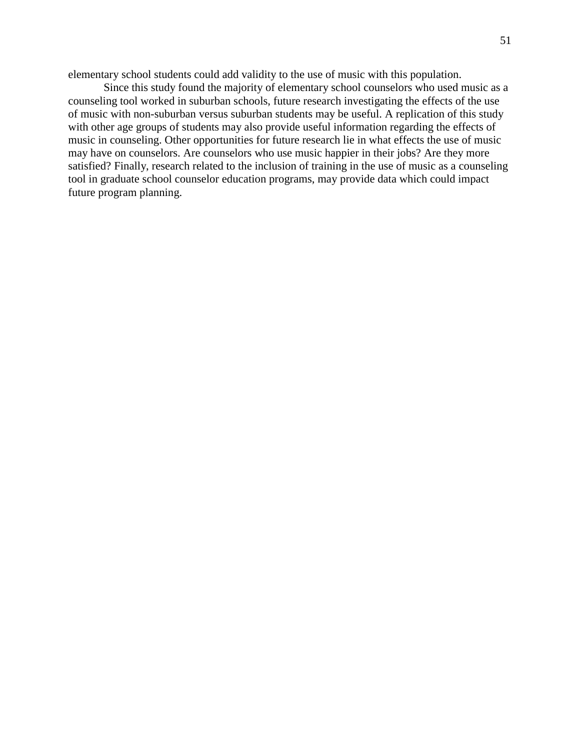elementary school students could add validity to the use of music with this population.

Since this study found the majority of elementary school counselors who used music as a counseling tool worked in suburban schools, future research investigating the effects of the use of music with non-suburban versus suburban students may be useful. A replication of this study with other age groups of students may also provide useful information regarding the effects of music in counseling. Other opportunities for future research lie in what effects the use of music may have on counselors. Are counselors who use music happier in their jobs? Are they more satisfied? Finally, research related to the inclusion of training in the use of music as a counseling tool in graduate school counselor education programs, may provide data which could impact future program planning.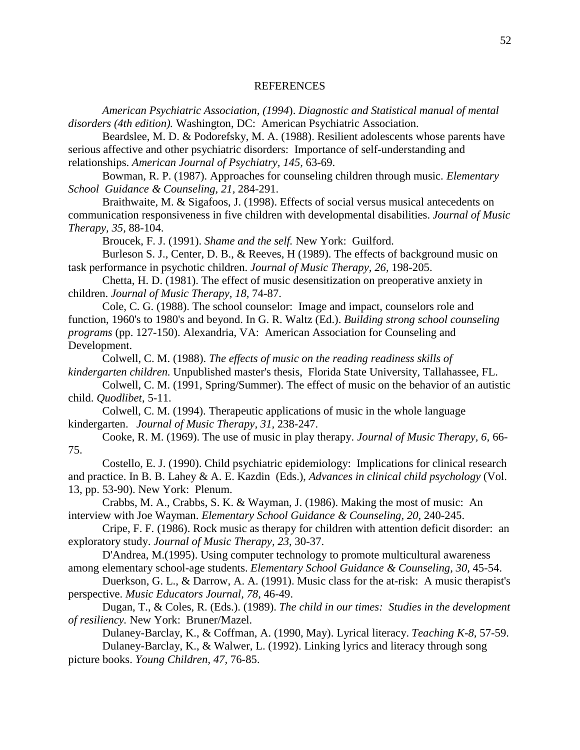#### [REFERENCES](#page-4-0)

*American Psychiatric Association, (1994*). *Diagnostic and Statistical manual of mental disorders (4th edition).* Washington, DC: American Psychiatric Association.

Beardslee, M. D. & Podorefsky, M. A. (1988). Resilient adolescents whose parents have serious affective and other psychiatric disorders: Importance of self-understanding and relationships. *American Journal of Psychiatry, 145,* 63-69.

Bowman, R. P. (1987). Approaches for counseling children through music. *Elementary School Guidance & Counseling, 21,* 284-291.

Braithwaite, M. & Sigafoos, J. (1998). Effects of social versus musical antecedents on communication responsiveness in five children with developmental disabilities. *Journal of Music Therapy, 35,* 88-104.

Broucek, F. J. (1991). *Shame and the self.* New York: Guilford.

Burleson S. J., Center, D. B., & Reeves, H (1989). The effects of background music on task performance in psychotic children. *Journal of Music Therapy, 26,* 198-205.

Chetta, H. D. (1981). The effect of music desensitization on preoperative anxiety in children. *Journal of Music Therapy, 18,* 74-87.

Cole, C. G. (1988). The school counselor: Image and impact, counselors role and function, 1960's to 1980's and beyond. In G. R. Waltz (Ed.). *Building strong school counseling programs* (pp. 127-150). Alexandria, VA: American Association for Counseling and Development.

Colwell, C. M. (1988). *The effects of music on the reading readiness skills of kindergarten children.* Unpublished master's thesis, Florida State University, Tallahassee, FL.

Colwell, C. M. (1991, Spring/Summer). The effect of music on the behavior of an autistic child. *Quodlibet*, 5-11.

Colwell, C. M. (1994). Therapeutic applications of music in the whole language kindergarten. *Journal of Music Therapy, 31,* 238-247.

Cooke, R. M. (1969). The use of music in play therapy. *Journal of Music Therapy, 6,* 66- 75.

Costello, E. J. (1990). Child psychiatric epidemiology: Implications for clinical research and practice. In B. B. Lahey & A. E. Kazdin (Eds.), *Advances in clinical child psychology* (Vol. 13, pp. 53-90). New York: Plenum.

Crabbs, M. A., Crabbs, S. K. & Wayman, J. (1986). Making the most of music: An interview with Joe Wayman. *Elementary School Guidance & Counseling, 20,* 240-245.

Cripe, F. F. (1986). Rock music as therapy for children with attention deficit disorder: an exploratory study. *Journal of Music Therapy, 23*, 30-37.

D'Andrea, M.(1995). Using computer technology to promote multicultural awareness among elementary school-age students. *Elementary School Guidance & Counseling, 30,* 45-54.

Duerkson, G. L., & Darrow, A. A. (1991). Music class for the at-risk: A music therapist's perspective. *Music Educators Journal, 78,* 46-49.

Dugan, T., & Coles, R. (Eds.). (1989). *The child in our times: Studies in the development of resiliency.* New York: Bruner/Mazel.

Dulaney-Barclay, K., & Coffman, A. (1990, May). Lyrical literacy. *Teaching K-8,* 57-59. Dulaney-Barclay, K., & Walwer, L. (1992). Linking lyrics and literacy through song

picture books. *Young Children, 47,* 76-85.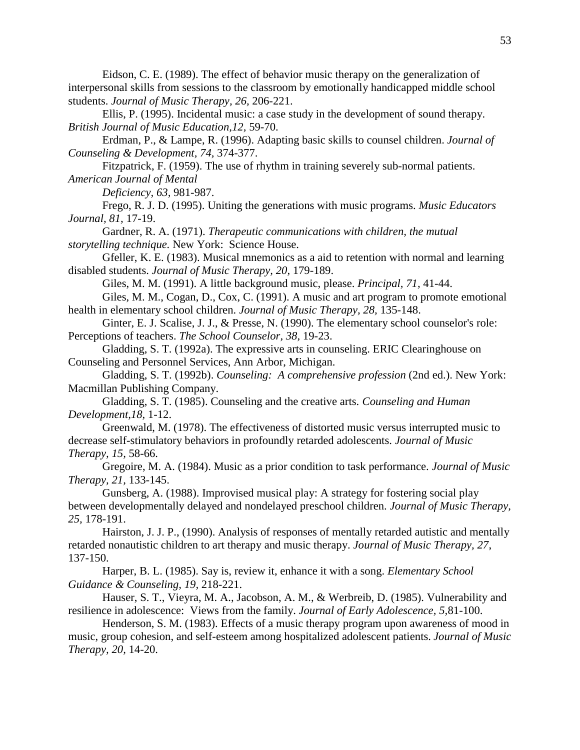Eidson, C. E. (1989). The effect of behavior music therapy on the generalization of interpersonal skills from sessions to the classroom by emotionally handicapped middle school students. *Journal of Music Therapy, 26,* 206-221.

Ellis, P. (1995). Incidental music: a case study in the development of sound therapy. *British Journal of Music Education,12,* 59-70.

Erdman, P., & Lampe, R. (1996). Adapting basic skills to counsel children. *Journal of Counseling & Development, 74,* 374-377.

Fitzpatrick, F. (1959). The use of rhythm in training severely sub-normal patients. *American Journal of Mental*

*Deficiency, 63,* 981-987.

Frego, R. J. D. (1995). Uniting the generations with music programs. *Music Educators Journal, 81,* 17-19.

Gardner, R. A. (1971). *Therapeutic communications with children, the mutual storytelling technique.* New York: Science House.

Gfeller, K. E. (1983). Musical mnemonics as a aid to retention with normal and learning disabled students. *Journal of Music Therapy, 20,* 179-189.

Giles, M. M. (1991). A little background music, please. *Principal, 71,* 41-44.

Giles, M. M., Cogan, D., Cox, C. (1991). A music and art program to promote emotional health in elementary school children. *Journal of Music Therapy, 28,* 135-148.

Ginter, E. J. Scalise, J. J., & Presse, N. (1990). The elementary school counselor's role: Perceptions of teachers. *The School Counselor, 38,* 19-23.

Gladding, S. T. (1992a). The expressive arts in counseling. ERIC Clearinghouse on Counseling and Personnel Services, Ann Arbor, Michigan.

Gladding, S. T. (1992b). *Counseling: A comprehensive profession* (2nd ed.). New York: Macmillan Publishing Company.

Gladding, S. T. (1985). Counseling and the creative arts. *Counseling and Human Development,18,* 1-12.

Greenwald, M. (1978). The effectiveness of distorted music versus interrupted music to decrease self-stimulatory behaviors in profoundly retarded adolescents. *Journal of Music Therapy, 15,* 58-66.

Gregoire, M. A. (1984). Music as a prior condition to task performance. *Journal of Music Therapy, 21,* 133-145.

Gunsberg, A. (1988). Improvised musical play: A strategy for fostering social play between developmentally delayed and nondelayed preschool children. *Journal of Music Therapy, 25,* 178-191.

Hairston, J. J. P., (1990). Analysis of responses of mentally retarded autistic and mentally retarded nonautistic children to art therapy and music therapy. *Journal of Music Therapy, 27*, 137-150.

Harper, B. L. (1985). Say is, review it, enhance it with a song. *Elementary School Guidance & Counseling, 19,* 218-221.

Hauser, S. T., Vieyra, M. A., Jacobson, A. M., & Werbreib, D. (1985). Vulnerability and resilience in adolescence: Views from the family. *Journal of Early Adolescence, 5,*81-100.

Henderson, S. M. (1983). Effects of a music therapy program upon awareness of mood in music, group cohesion, and self-esteem among hospitalized adolescent patients. *Journal of Music Therapy, 20,* 14-20.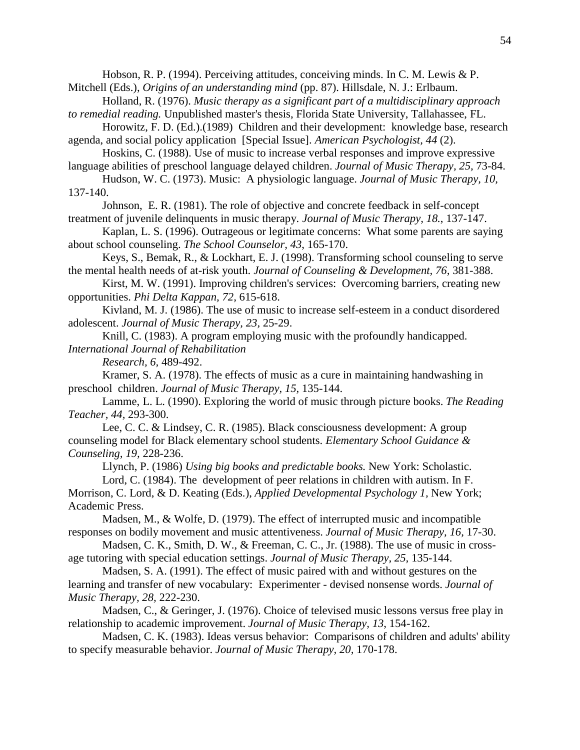Hobson, R. P. (1994). Perceiving attitudes, conceiving minds. In C. M. Lewis & P. Mitchell (Eds.), *Origins of an understanding mind* (pp. 87). Hillsdale, N. J.: Erlbaum.

Holland, R. (1976). *Music therapy as a significant part of a multidisciplinary approach to remedial reading.* Unpublished master's thesis, Florida State University, Tallahassee, FL.

Horowitz, F. D. (Ed.).(1989) Children and their development: knowledge base, research agenda, and social policy application [Special Issue]. *American Psychologist, 44* (2).

Hoskins, C. (1988). Use of music to increase verbal responses and improve expressive language abilities of preschool language delayed children. *Journal of Music Therapy, 25,* 73-84.

Hudson, W. C. (1973). Music: A physiologic language. *Journal of Music Therapy, 10,* 137-140.

Johnson, E. R. (1981). The role of objective and concrete feedback in self-concept treatment of juvenile delinquents in music therapy. *Journal of Music Therapy, 18.*, 137-147.

Kaplan, L. S. (1996). Outrageous or legitimate concerns: What some parents are saying about school counseling. *The School Counselor, 43*, 165-170.

Keys, S., Bemak, R., & Lockhart, E. J. (1998). Transforming school counseling to serve the mental health needs of at-risk youth. *Journal of Counseling & Development, 76,* 381-388.

Kirst, M. W. (1991). Improving children's services: Overcoming barriers, creating new opportunities. *Phi Delta Kappan, 72,* 615-618.

Kivland, M. J. (1986). The use of music to increase self-esteem in a conduct disordered adolescent. *Journal of Music Therapy, 23,* 25-29.

Knill, C. (1983). A program employing music with the profoundly handicapped. *International Journal of Rehabilitation*

*Research, 6,* 489-492.

Kramer, S. A. (1978). The effects of music as a cure in maintaining handwashing in preschool children. *Journal of Music Therapy, 15,* 135-144.

Lamme, L. L. (1990). Exploring the world of music through picture books. *The Reading Teacher, 44,* 293-300.

Lee, C. C. & Lindsey, C. R. (1985). Black consciousness development: A group counseling model for Black elementary school students. *Elementary School Guidance & Counseling, 19,* 228-236.

Llynch, P. (1986) *Using big books and predictable books.* New York: Scholastic. Lord, C. (1984). The development of peer relations in children with autism. In F.

Morrison, C. Lord, & D. Keating (Eds.), *Applied Developmental Psychology 1,* New York; Academic Press.

Madsen, M., & Wolfe, D. (1979). The effect of interrupted music and incompatible responses on bodily movement and music attentiveness. *Journal of Music Therapy, 16,* 17-30.

Madsen, C. K., Smith, D. W., & Freeman, C. C., Jr. (1988). The use of music in crossage tutoring with special education settings. *Journal of Music Therapy, 25,* 135-144.

Madsen, S. A. (1991). The effect of music paired with and without gestures on the learning and transfer of new vocabulary: Experimenter - devised nonsense words. *Journal of Music Therapy, 28,* 222-230.

Madsen, C., & Geringer, J. (1976). Choice of televised music lessons versus free play in relationship to academic improvement. *Journal of Music Therapy, 13*, 154-162.

Madsen, C. K. (1983). Ideas versus behavior: Comparisons of children and adults' ability to specify measurable behavior. *Journal of Music Therapy, 20,* 170-178.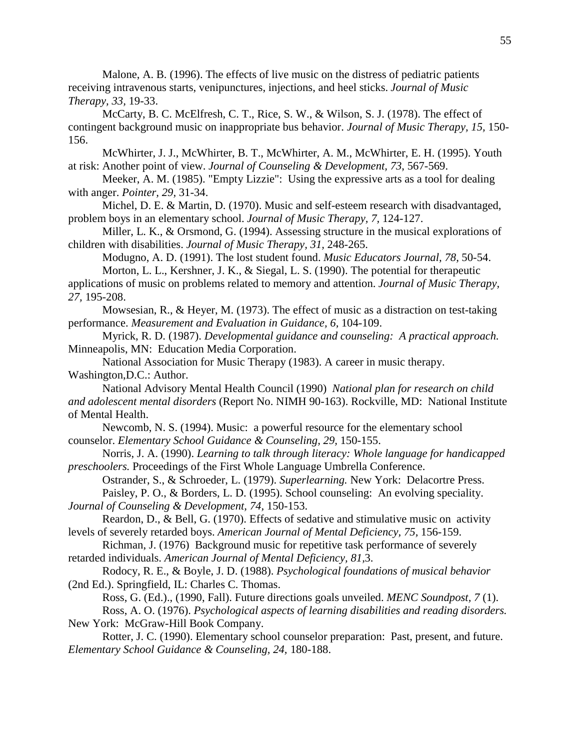Malone, A. B. (1996). The effects of live music on the distress of pediatric patients receiving intravenous starts, venipunctures, injections, and heel sticks. *Journal of Music Therapy, 33,* 19-33.

McCarty, B. C. McElfresh, C. T., Rice, S. W., & Wilson, S. J. (1978). The effect of contingent background music on inappropriate bus behavior. *Journal of Music Therapy, 15,* 150- 156.

McWhirter, J. J., McWhirter, B. T., McWhirter, A. M., McWhirter, E. H. (1995). Youth at risk: Another point of view. *Journal of Counseling & Development, 73*, 567-569.

Meeker, A. M. (1985). "Empty Lizzie": Using the expressive arts as a tool for dealing with anger. *Pointer, 29,* 31-34.

Michel, D. E. & Martin, D. (1970). Music and self-esteem research with disadvantaged, problem boys in an elementary school. *Journal of Music Therapy, 7,* 124-127.

Miller, L. K., & Orsmond, G. (1994). Assessing structure in the musical explorations of children with disabilities. *Journal of Music Therapy, 31,* 248-265.

Modugno, A. D. (1991). The lost student found. *Music Educators Journal, 78,* 50-54.

Morton, L. L., Kershner, J. K., & Siegal, L. S. (1990). The potential for therapeutic applications of music on problems related to memory and attention. *Journal of Music Therapy, 27,* 195-208.

Mowsesian, R., & Heyer, M. (1973). The effect of music as a distraction on test-taking performance. *Measurement and Evaluation in Guidance, 6,* 104-109.

Myrick, R. D. (1987). *Developmental guidance and counseling: A practical approach.* Minneapolis, MN: Education Media Corporation.

National Association for Music Therapy (1983). A career in music therapy. Washington,D.C.: Author.

National Advisory Mental Health Council (1990) *National plan for research on child and adolescent mental disorders* (Report No. NIMH 90-163). Rockville, MD: National Institute of Mental Health.

Newcomb, N. S. (1994). Music: a powerful resource for the elementary school counselor. *Elementary School Guidance & Counseling, 29,* 150-155.

Norris, J. A. (1990). *Learning to talk through literacy: Whole language for handicapped preschoolers.* Proceedings of the First Whole Language Umbrella Conference.

Ostrander, S., & Schroeder, L. (1979). *Superlearning.* New York: Delacortre Press. Paisley, P. O., & Borders, L. D. (1995). School counseling: An evolving speciality.

*Journal of Counseling & Development, 74,* 150-153.

Reardon, D., & Bell, G. (1970). Effects of sedative and stimulative music on activity levels of severely retarded boys. *American Journal of Mental Deficiency, 75,* 156-159.

Richman, J. (1976) Background music for repetitive task performance of severely retarded individuals. *American Journal of Mental Deficiency, 81,*3.

Rodocy, R. E., & Boyle, J. D. (1988). *Psychological foundations of musical behavior* (2nd Ed.). Springfield, IL: Charles C. Thomas.

Ross, G. (Ed.)., (1990, Fall). Future directions goals unveiled. *MENC Soundpost, 7* (1). Ross, A. O. (1976). *Psychological aspects of learning disabilities and reading disorders.*

New York: McGraw-Hill Book Company. Rotter, J. C. (1990). Elementary school counselor preparation: Past, present, and future.

*Elementary School Guidance & Counseling, 24,* 180-188.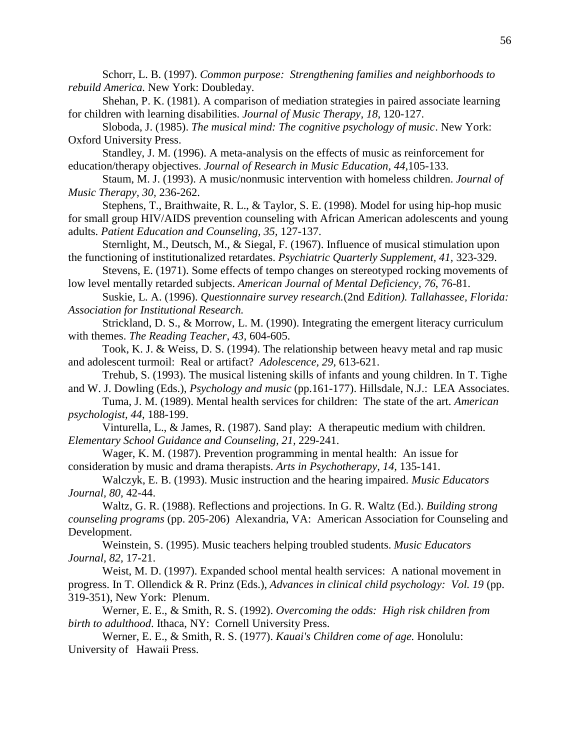Schorr, L. B. (1997). *Common purpose: Strengthening families and neighborhoods to rebuild America.* New York: Doubleday.

Shehan, P. K. (1981). A comparison of mediation strategies in paired associate learning for children with learning disabilities. *Journal of Music Therapy, 18,* 120-127.

Sloboda, J. (1985). *The musical mind: The cognitive psychology of music*. New York: Oxford University Press.

Standley, J. M. (1996). A meta-analysis on the effects of music as reinforcement for education/therapy objectives. *Journal of Research in Music Education, 44,*105-133.

Staum, M. J. (1993). A music/nonmusic intervention with homeless children. *Journal of Music Therapy, 30,* 236-262.

Stephens, T., Braithwaite, R. L., & Taylor, S. E. (1998). Model for using hip-hop music for small group HIV/AIDS prevention counseling with African American adolescents and young adults. *Patient Education and Counseling, 35,* 127-137.

Sternlight, M., Deutsch, M., & Siegal, F. (1967). Influence of musical stimulation upon the functioning of institutionalized retardates. *Psychiatric Quarterly Supplement, 41,* 323-329.

Stevens, E. (1971). Some effects of tempo changes on stereotyped rocking movements of low level mentally retarded subjects. *American Journal of Mental Deficiency, 76*, 76-81.

Suskie, L. A. (1996). *Questionnaire survey research.*(2nd *Edition). Tallahassee, Florida: Association for Institutional Research.*

Strickland, D. S., & Morrow, L. M. (1990). Integrating the emergent literacy curriculum with themes. *The Reading Teacher, 43,* 604-605.

Took, K. J. & Weiss, D. S. (1994). The relationship between heavy metal and rap music and adolescent turmoil: Real or artifact? *Adolescence, 29,* 613-621.

Trehub, S. (1993). The musical listening skills of infants and young children. In T. Tighe and W. J. Dowling (Eds.), *Psychology and music* (pp.161-177). Hillsdale, N.J.: LEA Associates.

Tuma, J. M. (1989). Mental health services for children: The state of the art. *American psychologist, 44*, 188-199.

Vinturella, L., & James, R. (1987). Sand play: A therapeutic medium with children. *Elementary School Guidance and Counseling, 21,* 229-241.

Wager, K. M. (1987). Prevention programming in mental health: An issue for consideration by music and drama therapists. *Arts in Psychotherapy, 14,* 135-141.

Walczyk, E. B. (1993). Music instruction and the hearing impaired. *Music Educators Journal, 80,* 42-44.

Waltz, G. R. (1988). Reflections and projections. In G. R. Waltz (Ed.). *Building strong counseling programs* (pp. 205-206) Alexandria, VA: American Association for Counseling and Development.

Weinstein, S. (1995). Music teachers helping troubled students. *Music Educators Journal, 82,* 17-21.

Weist, M. D. (1997). Expanded school mental health services: A national movement in progress. In T. Ollendick & R. Prinz (Eds.), *Advances in clinical child psychology: Vol. 19* (pp. 319-351), New York: Plenum.

Werner, E. E., & Smith, R. S. (1992). *Overcoming the odds: High risk children from birth to adulthood*. Ithaca, NY: Cornell University Press.

Werner, E. E., & Smith, R. S. (1977). *Kauai's Children come of age.* Honolulu: University of Hawaii Press.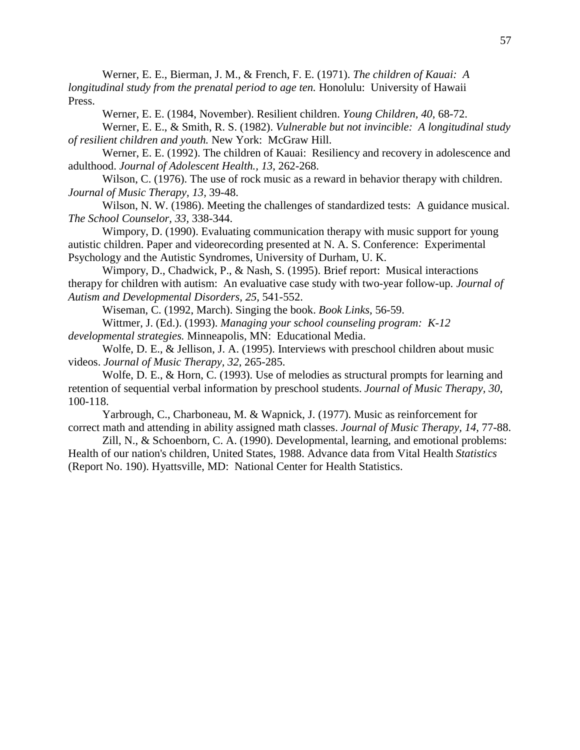Werner, E. E., Bierman, J. M., & French, F. E. (1971). *The children of Kauai: A longitudinal study from the prenatal period to age ten.* Honolulu: University of Hawaii Press.

Werner, E. E. (1984, November). Resilient children. *Young Children, 40,* 68-72.

Werner, E. E., & Smith, R. S. (1982). *Vulnerable but not invincible: A longitudinal study of resilient children and youth.* New York: McGraw Hill.

Werner, E. E. (1992). The children of Kauai: Resiliency and recovery in adolescence and adulthood. *Journal of Adolescent Health., 13*, 262-268.

Wilson, C. (1976). The use of rock music as a reward in behavior therapy with children. *Journal of Music Therapy, 13,* 39-48.

Wilson, N. W. (1986). Meeting the challenges of standardized tests: A guidance musical. *The School Counselor, 33,* 338-344.

Wimpory, D. (1990). Evaluating communication therapy with music support for young autistic children. Paper and videorecording presented at N. A. S. Conference: Experimental Psychology and the Autistic Syndromes, University of Durham, U. K.

Wimpory, D., Chadwick, P., & Nash, S. (1995). Brief report: Musical interactions therapy for children with autism: An evaluative case study with two-year follow-up. *Journal of Autism and Developmental Disorders, 25,* 541-552.

Wiseman, C. (1992, March). Singing the book. *Book Links,* 56-59.

Wittmer, J. (Ed.). (1993). *Managing your school counseling program: K-12 developmental strategies.* Minneapolis, MN: Educational Media.

Wolfe, D. E., & Jellison, J. A. (1995). Interviews with preschool children about music videos. *Journal of Music Therapy, 32,* 265-285.

Wolfe, D. E., & Horn, C. (1993). Use of melodies as structural prompts for learning and retention of sequential verbal information by preschool students. *Journal of Music Therapy, 30*, 100-118.

Yarbrough, C., Charboneau, M. & Wapnick, J. (1977). Music as reinforcement for correct math and attending in ability assigned math classes. *Journal of Music Therapy, 14,* 77-88.

Zill, N., & Schoenborn, C. A. (1990). Developmental, learning, and emotional problems: Health of our nation's children, United States, 1988. Advance data from Vital Health *Statistics* (Report No. 190). Hyattsville, MD: National Center for Health Statistics.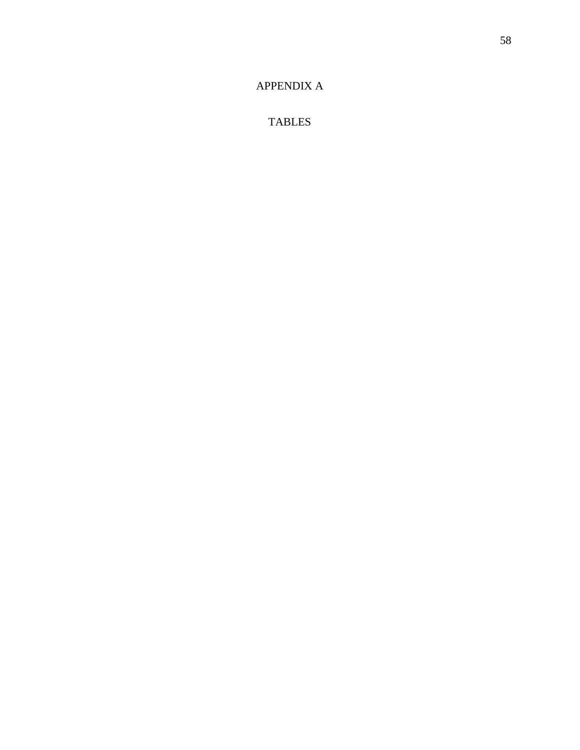## [APPENDIX A](#page-4-0)

TABLES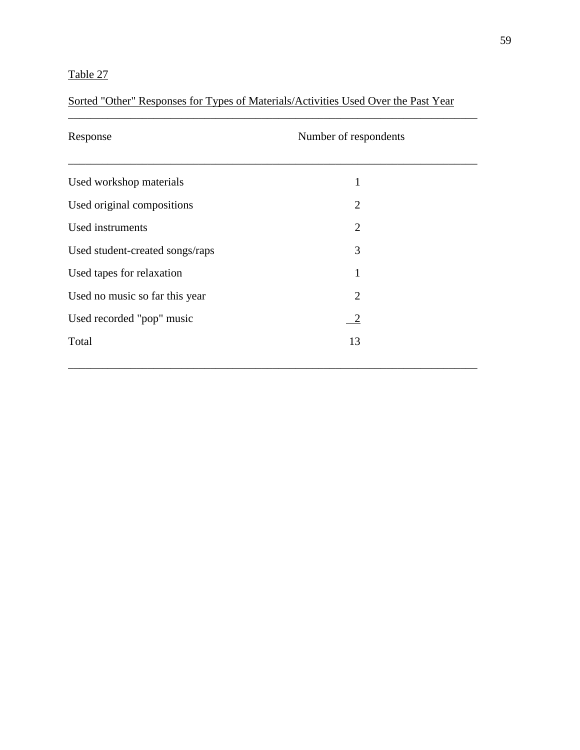## Sorted "Other" Responses for Types of Materials/Activities Used Over the Past Year

| Response                        | Number of respondents |  |
|---------------------------------|-----------------------|--|
| Used workshop materials         | 1                     |  |
| Used original compositions      | $\overline{2}$        |  |
| Used instruments                | $\overline{2}$        |  |
| Used student-created songs/raps | 3                     |  |
| Used tapes for relaxation       | 1                     |  |
| Used no music so far this year  | 2                     |  |
| Used recorded "pop" music       | $\sqrt{2}$            |  |
| Total                           | 13                    |  |
|                                 |                       |  |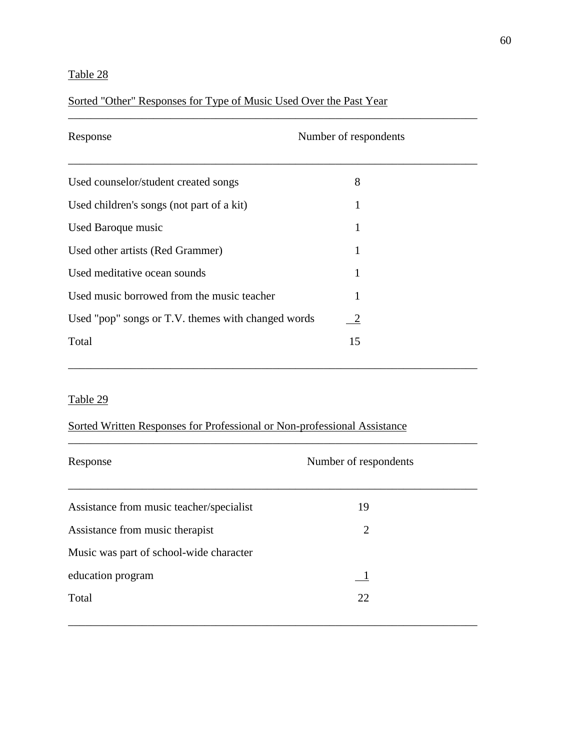### Sorted "Other" Responses for Type of Music Used Over the Past Year

| Response                                           | Number of respondents |
|----------------------------------------------------|-----------------------|
| Used counselor/student created songs               | 8                     |
| Used children's songs (not part of a kit)          | 1                     |
| Used Baroque music                                 | 1                     |
| Used other artists (Red Grammer)                   | 1                     |
| Used meditative ocean sounds                       | 1                     |
| Used music borrowed from the music teacher         | 1                     |
| Used "pop" songs or T.V. themes with changed words | $\sqrt{2}$            |
| Total                                              | 15                    |

\_\_\_\_\_\_\_\_\_\_\_\_\_\_\_\_\_\_\_\_\_\_\_\_\_\_\_\_\_\_\_\_\_\_\_\_\_\_\_\_\_\_\_\_\_\_\_\_\_\_\_\_\_\_\_\_\_\_\_\_\_\_\_\_\_\_\_\_\_\_\_\_

\_\_\_\_\_\_\_\_\_\_\_\_\_\_\_\_\_\_\_\_\_\_\_\_\_\_\_\_\_\_\_\_\_\_\_\_\_\_\_\_\_\_\_\_\_\_\_\_\_\_\_\_\_\_\_\_\_\_\_\_\_\_\_\_\_\_\_\_\_\_\_\_

### Table 29

### Sorted Written Responses for Professional or Non-professional Assistance

| Response                                 | Number of respondents |  |
|------------------------------------------|-----------------------|--|
|                                          |                       |  |
| Assistance from music teacher/specialist | 19                    |  |
| Assistance from music therapist          | $\overline{2}$        |  |
| Music was part of school-wide character  |                       |  |
| education program                        | $\blacksquare$        |  |
| Total                                    | 22                    |  |
|                                          |                       |  |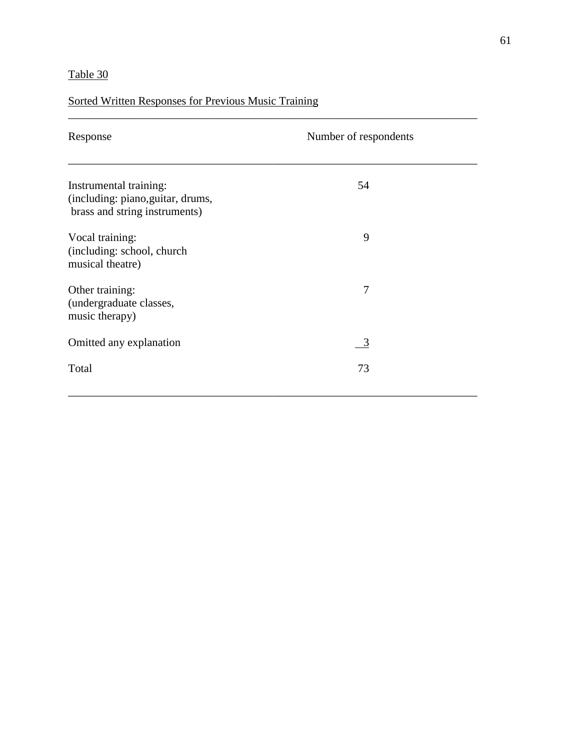## Sorted Written Responses for Previous Music Training

| Response                                                                                     | Number of respondents |
|----------------------------------------------------------------------------------------------|-----------------------|
| Instrumental training:<br>(including: piano, guitar, drums,<br>brass and string instruments) | 54                    |
| Vocal training:<br>(including: school, church<br>musical theatre)                            | 9                     |
| Other training:<br>(undergraduate classes,<br>music therapy)                                 | $\overline{7}$        |
| Omitted any explanation                                                                      | $\frac{3}{2}$         |
| Total                                                                                        | 73                    |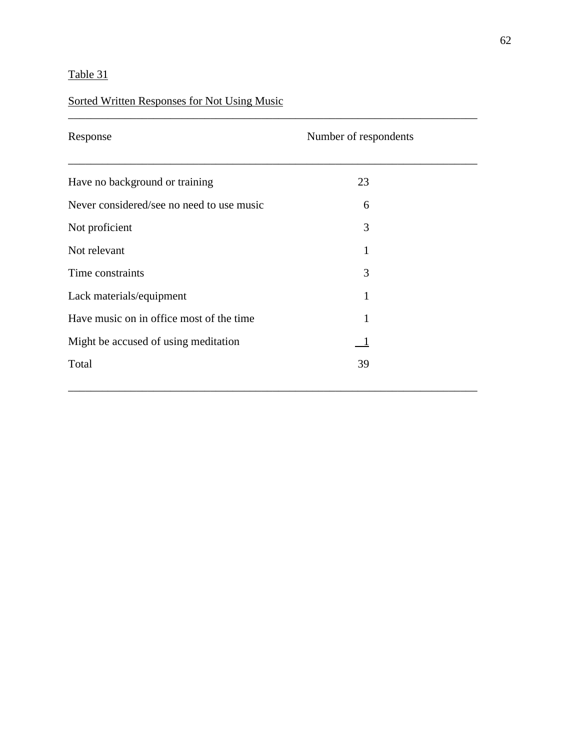## Sorted Written Responses for Not Using Music

| Response                                  | Number of respondents |  |
|-------------------------------------------|-----------------------|--|
| Have no background or training            | 23                    |  |
| Never considered/see no need to use music | 6                     |  |
| Not proficient                            | 3                     |  |
| Not relevant                              | 1                     |  |
| Time constraints                          | 3                     |  |
| Lack materials/equipment                  | 1                     |  |
| Have music on in office most of the time  | $\mathbf{1}$          |  |
| Might be accused of using meditation      | $\blacksquare$        |  |
| Total                                     | 39                    |  |
|                                           |                       |  |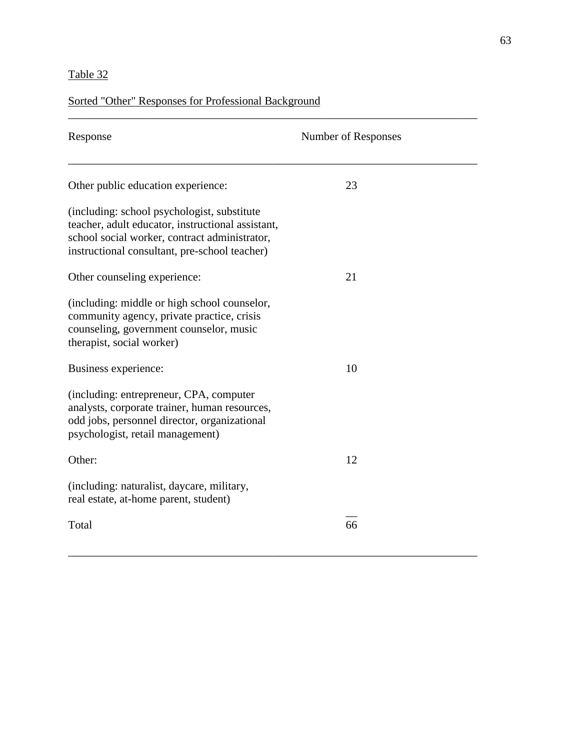## Sorted "Other" Responses for Professional Background

| Response                                                                                                                                                                                            | Number of Responses |
|-----------------------------------------------------------------------------------------------------------------------------------------------------------------------------------------------------|---------------------|
| Other public education experience:                                                                                                                                                                  | 23                  |
| (including: school psychologist, substitute)<br>teacher, adult educator, instructional assistant,<br>school social worker, contract administrator,<br>instructional consultant, pre-school teacher) |                     |
| Other counseling experience:                                                                                                                                                                        | 21                  |
| (including: middle or high school counselor,<br>community agency, private practice, crisis<br>counseling, government counselor, music<br>therapist, social worker)                                  |                     |
| Business experience:                                                                                                                                                                                | 10                  |
| (including: entrepreneur, CPA, computer<br>analysts, corporate trainer, human resources,<br>odd jobs, personnel director, organizational<br>psychologist, retail management)                        |                     |
| Other:                                                                                                                                                                                              | 12                  |
| (including: naturalist, daycare, military,<br>real estate, at-home parent, student)                                                                                                                 |                     |
| Total                                                                                                                                                                                               | 66                  |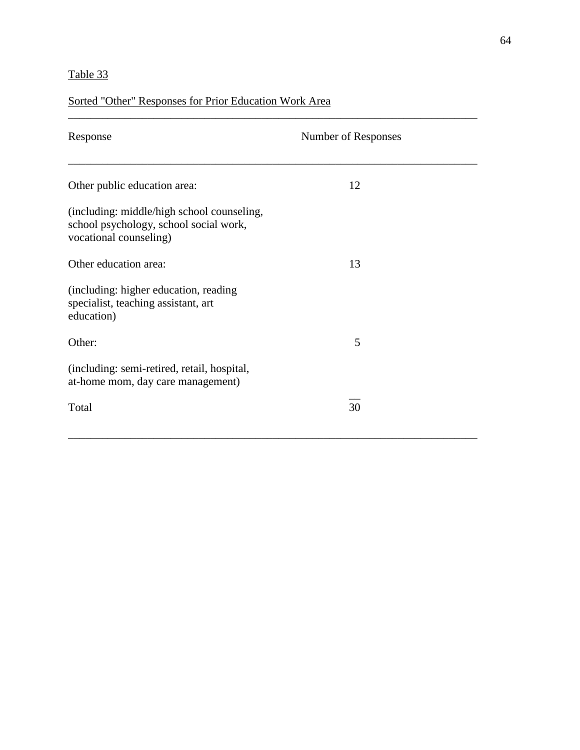## Sorted "Other" Responses for Prior Education Work Area

| Response                                                                                                       | Number of Responses |  |
|----------------------------------------------------------------------------------------------------------------|---------------------|--|
| Other public education area:                                                                                   | 12                  |  |
| (including: middle/high school counseling,<br>school psychology, school social work,<br>vocational counseling) |                     |  |
| Other education area:                                                                                          | 13                  |  |
| (including: higher education, reading<br>specialist, teaching assistant, art<br>education)                     |                     |  |
| Other:                                                                                                         | 5                   |  |
| (including: semi-retired, retail, hospital,<br>at-home mom, day care management)                               |                     |  |
| Total                                                                                                          | 30                  |  |
|                                                                                                                |                     |  |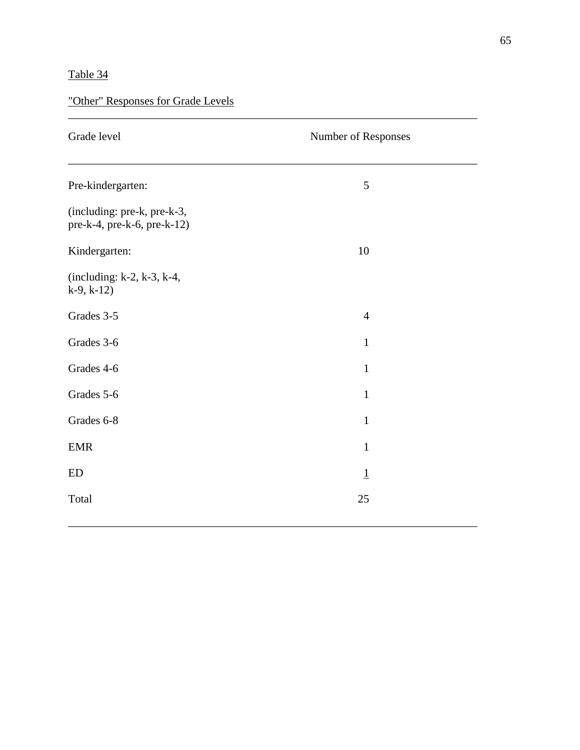| "Other" Responses for Grade Levels |  |  |
|------------------------------------|--|--|
|                                    |  |  |

| Grade level                                                         | Number of Responses |  |
|---------------------------------------------------------------------|---------------------|--|
| Pre-kindergarten:                                                   | 5                   |  |
| (including: pre-k, pre-k-3,<br>$pre-k-4$ , $pre-k-6$ , $pre-k-12$ ) |                     |  |
| Kindergarten:                                                       | 10                  |  |
| (including: $k-2$ , $k-3$ , $k-4$ ,<br>$k-9, k-12)$                 |                     |  |
| Grades 3-5                                                          | $\overline{4}$      |  |
| Grades 3-6                                                          | $\mathbf{1}$        |  |
| Grades 4-6                                                          | $\mathbf{1}$        |  |
| Grades 5-6                                                          | $\mathbf{1}$        |  |
| Grades 6-8                                                          | $\mathbf{1}$        |  |
| <b>EMR</b>                                                          | $\mathbf{1}$        |  |
| <b>ED</b>                                                           | $\overline{1}$      |  |
| Total                                                               | 25                  |  |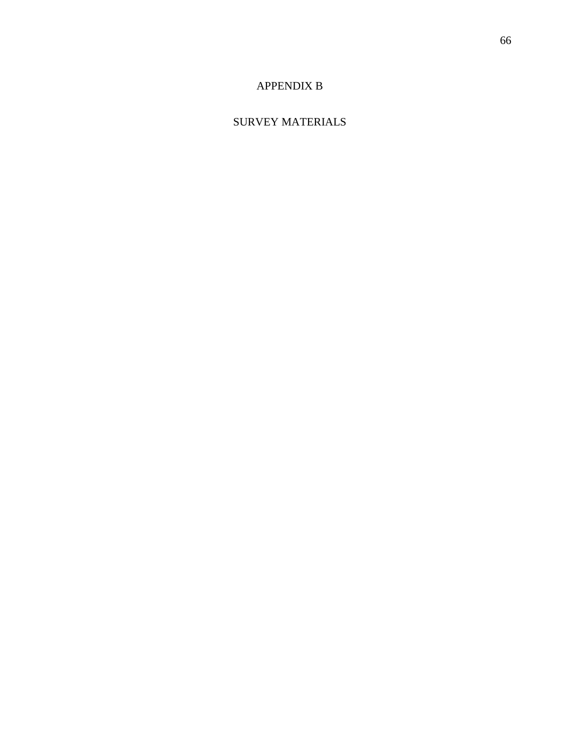# [APPENDIX B](#page-5-0)

# SURVEY MATERIALS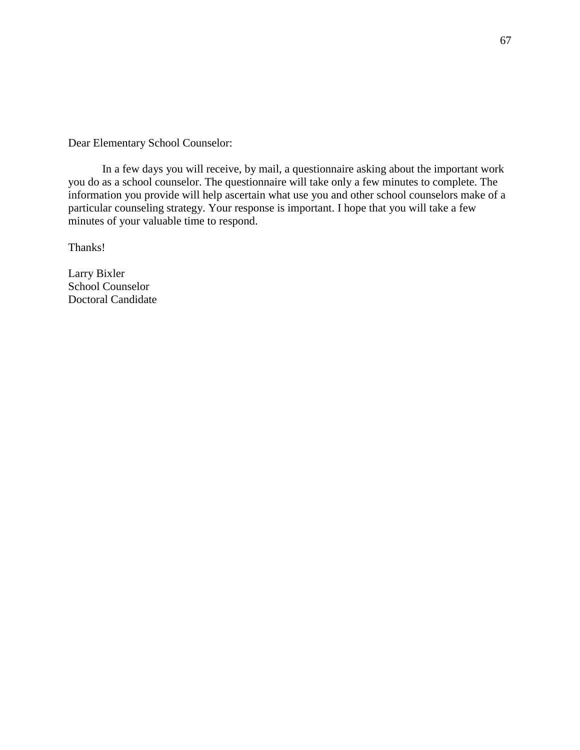Dear Elementary School Counselor:

In a few days you will receive, by mail, a questionnaire asking about the important work you do as a school counselor. The questionnaire will take only a few minutes to complete. The information you provide will help ascertain what use you and other school counselors make of a particular counseling strategy. Your response is important. I hope that you will take a few minutes of your valuable time to respond.

Thanks!

Larry Bixler School Counselor Doctoral Candidate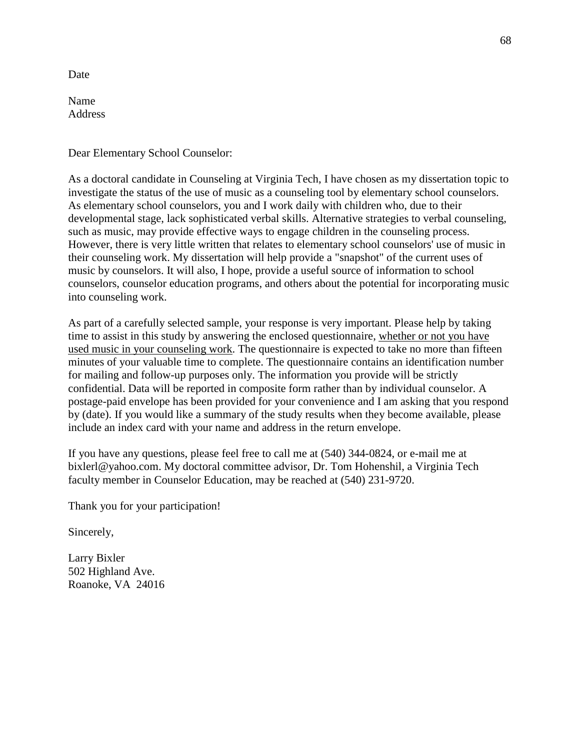Date

Name Address

Dear Elementary School Counselor:

As a doctoral candidate in Counseling at Virginia Tech, I have chosen as my dissertation topic to investigate the status of the use of music as a counseling tool by elementary school counselors. As elementary school counselors, you and I work daily with children who, due to their developmental stage, lack sophisticated verbal skills. Alternative strategies to verbal counseling, such as music, may provide effective ways to engage children in the counseling process. However, there is very little written that relates to elementary school counselors' use of music in their counseling work. My dissertation will help provide a "snapshot" of the current uses of music by counselors. It will also, I hope, provide a useful source of information to school counselors, counselor education programs, and others about the potential for incorporating music into counseling work.

As part of a carefully selected sample, your response is very important. Please help by taking time to assist in this study by answering the enclosed questionnaire, whether or not you have used music in your counseling work. The questionnaire is expected to take no more than fifteen minutes of your valuable time to complete. The questionnaire contains an identification number for mailing and follow-up purposes only. The information you provide will be strictly confidential. Data will be reported in composite form rather than by individual counselor. A postage-paid envelope has been provided for your convenience and I am asking that you respond by (date). If you would like a summary of the study results when they become available, please include an index card with your name and address in the return envelope.

If you have any questions, please feel free to call me at (540) 344-0824, or e-mail me at bixlerl@yahoo.com. My doctoral committee advisor, Dr. Tom Hohenshil, a Virginia Tech faculty member in Counselor Education, may be reached at (540) 231-9720.

Thank you for your participation!

Sincerely,

Larry Bixler 502 Highland Ave. Roanoke, VA 24016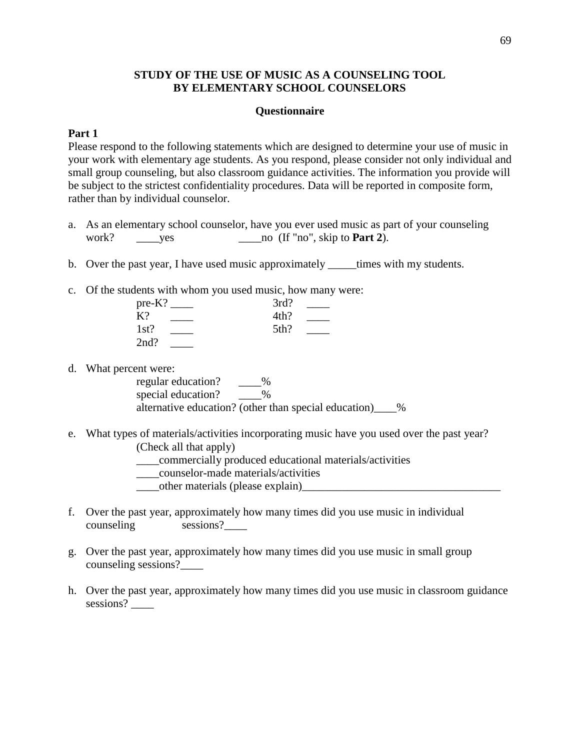### **STUDY OF THE USE OF MUSIC AS A COUNSELING TOOL BY ELEMENTARY SCHOOL COUNSELORS**

#### **Questionnaire**

#### **Part 1**

Please respond to the following statements which are designed to determine your use of music in your work with elementary age students. As you respond, please consider not only individual and small group counseling, but also classroom guidance activities. The information you provide will be subject to the strictest confidentiality procedures. Data will be reported in composite form, rather than by individual counselor.

- a. As an elementary school counselor, have you ever used music as part of your counseling work? \_\_\_\_yes \_\_\_\_no (If "no", skip to **Part 2**).
- b. Over the past year, I have used music approximately \_\_\_\_\_times with my students.
- c. Of the students with whom you used music, how many were:

| $pre-K?$ | 3rd? |  |
|----------|------|--|
| K?       | 4th? |  |
| 1st?     | 5th? |  |
| 2nd?     |      |  |

d. What percent were:

regular education? \_\_\_\_\_%<br>special education? \_\_\_\_\_\_\_\_% special education? alternative education? (other than special education) %

- e. What types of materials/activities incorporating music have you used over the past year? (Check all that apply)
	- \_\_\_\_commercially produced educational materials/activities
	- \_\_\_\_counselor-made materials/activities
	- other materials (please explain)
- f. Over the past year, approximately how many times did you use music in individual counseling sessions?
- g. Over the past year, approximately how many times did you use music in small group counseling sessions?\_\_\_\_
- h. Over the past year, approximately how many times did you use music in classroom guidance sessions?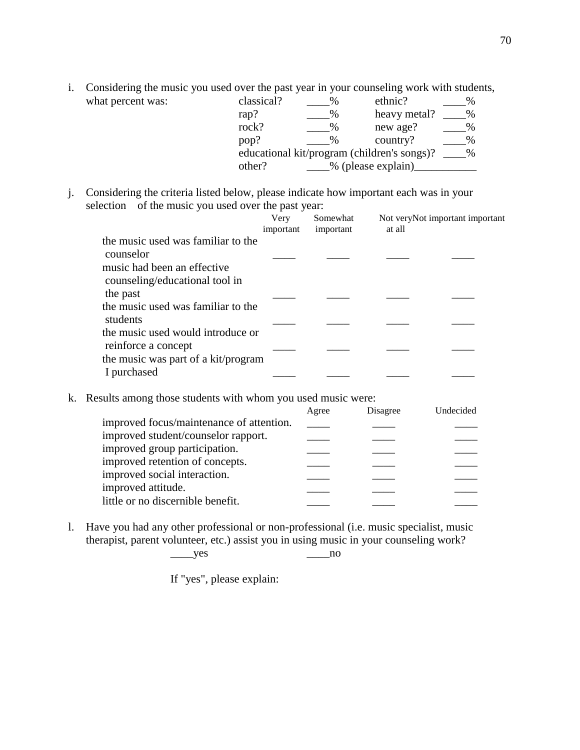i. Considering the music you used over the past year in your counseling work with students, what percent was: c

| classical?                                                   | ℅             | ethnic?            |   |
|--------------------------------------------------------------|---------------|--------------------|---|
| rap?                                                         | $\%$          | heavy metal?       | % |
| rock?                                                        | $\%$          | new age?           | % |
| pop?                                                         | $\frac{0}{0}$ | country?           | % |
| educational kit/program (children's songs)?<br>$\frac{0}{0}$ |               |                    |   |
| other?                                                       |               | % (please explain) |   |

j. Considering the criteria listed below, please indicate how important each was in your selection of the music you used over the past year:

|                                                                                                                  | Very<br>important | Somewhat<br>important | at all | Not veryNot important important |
|------------------------------------------------------------------------------------------------------------------|-------------------|-----------------------|--------|---------------------------------|
| the music used was familiar to the<br>counselor<br>music had been an effective<br>counseling/educational tool in |                   |                       |        |                                 |
| the past<br>the music used was familiar to the                                                                   |                   |                       |        |                                 |
| students<br>the music used would introduce or                                                                    |                   |                       |        |                                 |
| reinforce a concept<br>the music was part of a kit/program                                                       |                   |                       |        |                                 |
| I purchased                                                                                                      |                   |                       |        |                                 |

k. Results among those students with whom you used music were:

|                                          | Agree | Disagree | Undecided |
|------------------------------------------|-------|----------|-----------|
| improved focus/maintenance of attention. |       |          |           |
| improved student/counselor rapport.      |       |          |           |
| improved group participation.            |       |          |           |
| improved retention of concepts.          |       |          |           |
| improved social interaction.             |       |          |           |
| improved attitude.                       |       |          |           |
| little or no discernible benefit.        |       |          |           |

l. Have you had any other professional or non-professional (i.e. music specialist, music therapist, parent volunteer, etc.) assist you in using music in your counseling work?

\_\_\_\_yes \_\_\_\_no

If "yes", please explain: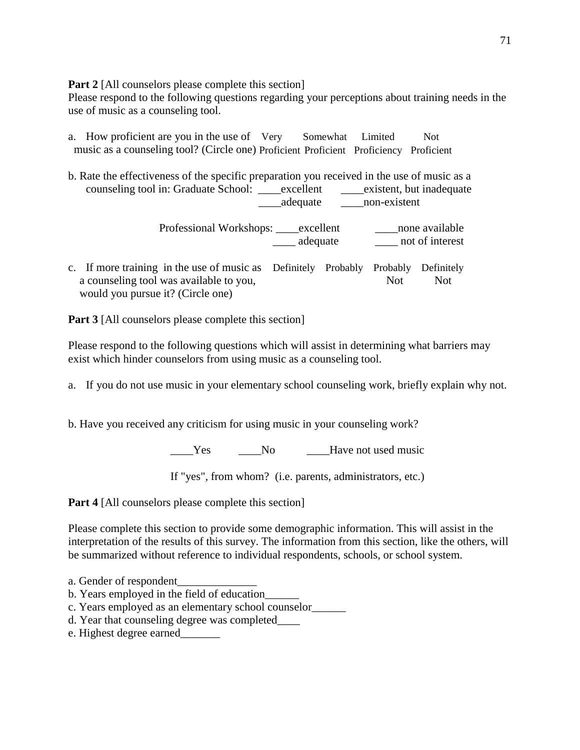**Part 2** [All counselors please complete this section]

Please respond to the following questions regarding your perceptions about training needs in the use of music as a counseling tool.

- a. How proficient are you in the use of Very Somewhat Limited Not music as a counseling tool? (Circle one) Proficient Proficient Proficiency Proficient
- b. Rate the effectiveness of the specific preparation you received in the use of music as a counseling tool in: Graduate School: excellent existent, but inadequate \_\_\_\_adequate \_\_\_\_non-existent

Professional Workshops: \_\_\_\_excellent \_\_\_\_\_\_\_none available \_\_\_\_ adequate \_\_\_\_ not of interest

c. If more training in the use of music as Definitely Probably Probably Definitely a counseling tool was available to you, Not Not Not Not would you pursue it? (Circle one)

**Part 3** [All counselors please complete this section]

Please respond to the following questions which will assist in determining what barriers may exist which hinder counselors from using music as a counseling tool.

a. If you do not use music in your elementary school counseling work, briefly explain why not.

b. Have you received any criticism for using music in your counseling work?

Yes No Like Mode is No No Like May 2 and the Music

If "yes", from whom? (i.e. parents, administrators, etc.)

**Part 4** [All counselors please complete this section]

Please complete this section to provide some demographic information. This will assist in the interpretation of the results of this survey. The information from this section, like the others, will be summarized without reference to individual respondents, schools, or school system.

- a. Gender of respondent\_\_\_\_\_\_\_\_\_\_\_\_\_\_
- b. Years employed in the field of education\_\_\_\_\_\_
- c. Years employed as an elementary school counselor\_\_\_\_\_\_
- d. Year that counseling degree was completed\_\_\_\_
- e. Highest degree earned\_\_\_\_\_\_\_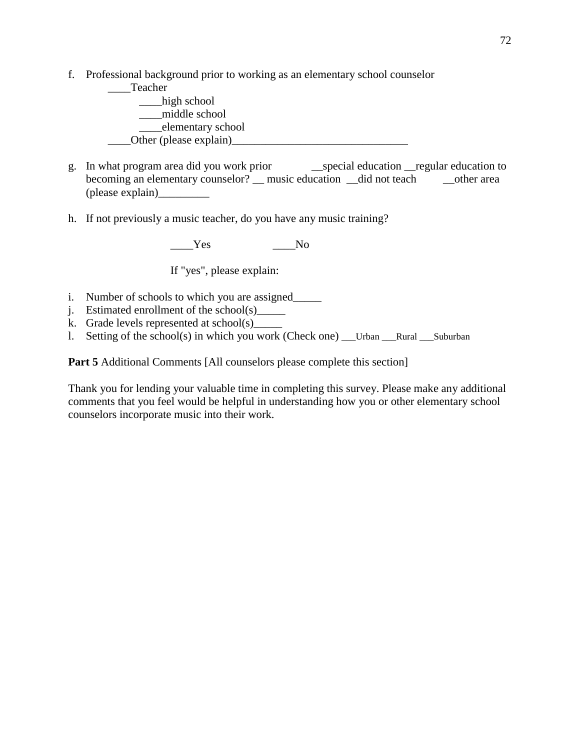f. Professional background prior to working as an elementary school counselor



- g. In what program area did you work prior \_\_special education \_\_regular education to becoming an elementary counselor? \_\_ music education \_\_did not teach \_\_\_\_\_\_\_\_other area (please explain)\_\_\_\_\_\_\_\_\_
- h. If not previously a music teacher, do you have any music training?

 $Y$ es No

If "yes", please explain:

- i. Number of schools to which you are assigned\_\_\_\_\_\_\_
- j. Estimated enrollment of the school(s)
- k. Grade levels represented at school(s)\_\_\_\_\_
- l. Setting of the school(s) in which you work (Check one) \_\_\_Urban \_\_\_Rural \_\_\_Suburban

**Part 5** Additional Comments [All counselors please complete this section]

Thank you for lending your valuable time in completing this survey. Please make any additional comments that you feel would be helpful in understanding how you or other elementary school counselors incorporate music into their work.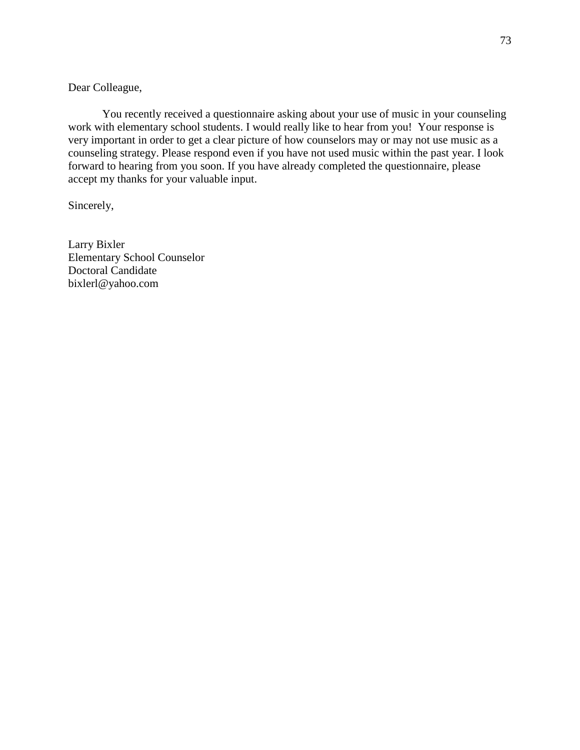### Dear Colleague,

You recently received a questionnaire asking about your use of music in your counseling work with elementary school students. I would really like to hear from you! Your response is very important in order to get a clear picture of how counselors may or may not use music as a counseling strategy. Please respond even if you have not used music within the past year. I look forward to hearing from you soon. If you have already completed the questionnaire, please accept my thanks for your valuable input.

Sincerely,

Larry Bixler Elementary School Counselor Doctoral Candidate bixlerl@yahoo.com